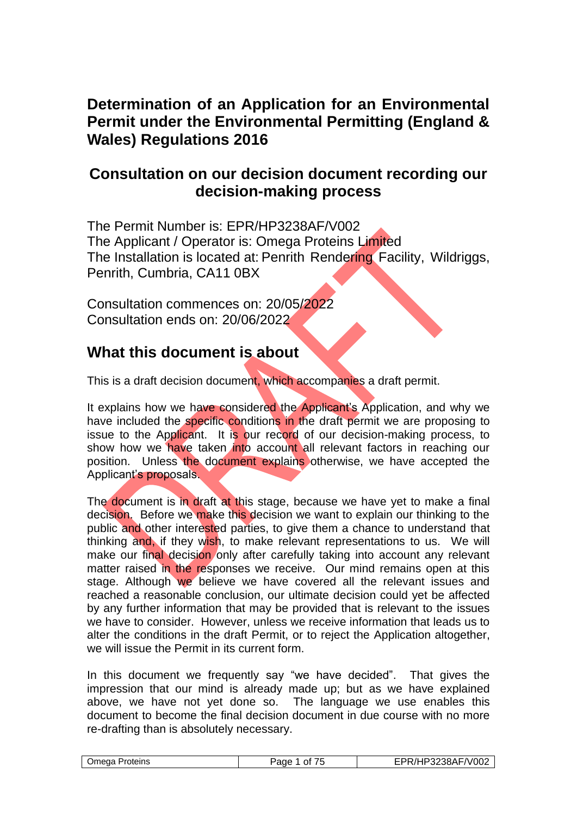## **Determination of an Application for an Environmental Permit under the Environmental Permitting (England & Wales) Regulations 2016**

## **Consultation on our decision document recording our decision-making process**

The Permit Number is: EPR/HP3238AF/V002 The Applicant / Operator is: Omega Proteins Limited The Installation is located at: Penrith Rendering Facility, Wildriggs, Penrith, Cumbria, CA11 0BX

Consultation commences on: 20/05/2022 Consultation ends on: 20/06/2022

## **What this document is about**

This is a draft decision document, which accompanies a draft permit.

It explains how we have considered the Applicant's Application, and why we have included the specific conditions in the draft permit we are proposing to issue to the Applicant. It is our record of our decision-making process, to show how we have taken into account all relevant factors in reaching our position. Unless the document explains otherwise, we have accepted the Applicant's proposals.

The document is in draft at this stage, because we have yet to make a final decision. Before we make this decision we want to explain our thinking to the public and other interested parties, to give them a chance to understand that thinking and, if they wish, to make relevant representations to us. We will make our final decision only after carefully taking into account any relevant matter raised in the responses we receive. Our mind remains open at this stage. Although we believe we have covered all the relevant issues and reached a reasonable conclusion, our ultimate decision could yet be affected by any further information that may be provided that is relevant to the issues we have to consider. However, unless we receive information that leads us to alter the conditions in the draft Permit, or to reject the Application altogether, we will issue the Permit in its current form.

In this document we frequently say "we have decided". That gives the impression that our mind is already made up; but as we have explained above, we have not yet done so. The language we use enables this document to become the final decision document in due course with no more re-drafting than is absolutely necessary.

|--|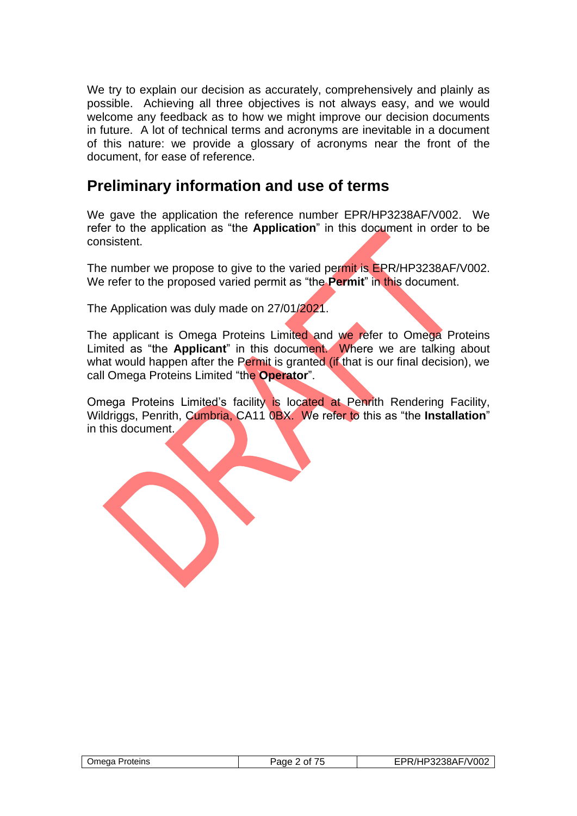We try to explain our decision as accurately, comprehensively and plainly as possible. Achieving all three objectives is not always easy, and we would welcome any feedback as to how we might improve our decision documents in future. A lot of technical terms and acronyms are inevitable in a document of this nature: we provide a glossary of acronyms near the front of the document, for ease of reference.

## **Preliminary information and use of terms**

We gave the application the reference number EPR/HP3238AF/V002. We refer to the application as "the **Application**" in this document in order to be consistent.

The number we propose to give to the varied permit is EPR/HP3238AF/V002. We refer to the proposed varied permit as "the **Permit**" in this document.

The Application was duly made on 27/01/2021.

The applicant is Omega Proteins Limited and we refer to Omega Proteins Limited as "the **Applicant**" in this document. Where we are talking about what would happen after the Permit is granted (if that is our final decision), we call Omega Proteins Limited "the **Operator**".

Omega Proteins Limited's facility is located at Penrith Rendering Facility, Wildriggs, Penrith, Cumbria, CA11 0BX. We refer to this as "the **Installation**" in this document.

| <b>Omega Proteins</b> | יeמe<br>0t | EPR/HP3238AF/V002 |
|-----------------------|------------|-------------------|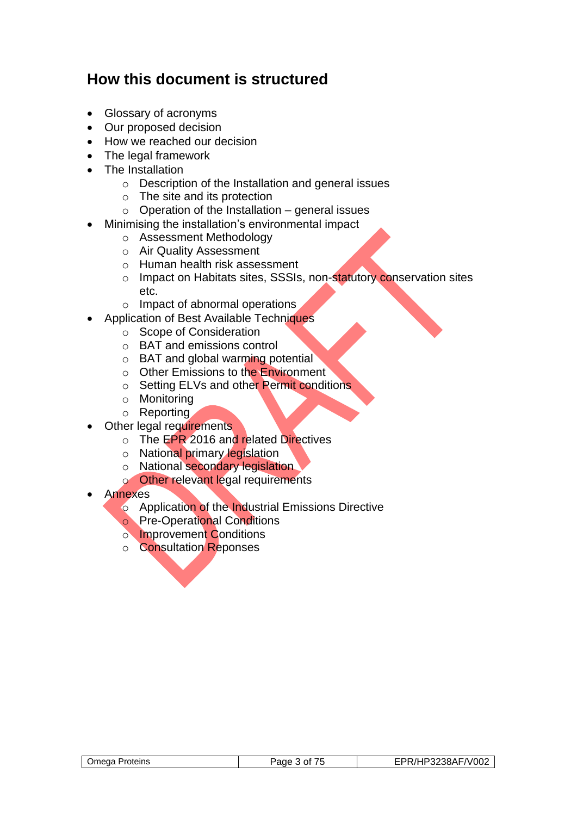## **How this document is structured**

- Glossary of acronyms
- Our proposed decision
- How we reached our decision
- The legal framework
- The Installation
	- o Description of the Installation and general issues
	- o The site and its protection
	- $\circ$  Operation of the Installation general issues
- Minimising the installation's environmental impact
	- o Assessment Methodology
	- o Air Quality Assessment
	- o Human health risk assessment
	- o Impact on Habitats sites, SSSIs, non-statutory conservation sites etc.
	- o Impact of abnormal operations
- Application of Best Available Techniques
	- o Scope of Consideration
	- o BAT and emissions control
	- o BAT and global warming potential
	- o Other Emissions to the Environment
	- o Setting ELVs and other Permit conditions
	- o Monitoring
	- o Reporting
- **Other legal requirements** 
	- o The EPR 2016 and related Directives
	- o National primary legislation
	- o National secondary legislation
	- o Other relevant legal requirements
- Annexes
	- o Application of the Industrial Emissions Directive
	- o Pre-Operational Conditions
	- o Improvement Conditions
	- o Consultation Reponses

| Omega<br>Proteins | Ωt<br>япе | 3238AF/V002<br>. . |
|-------------------|-----------|--------------------|
|                   |           |                    |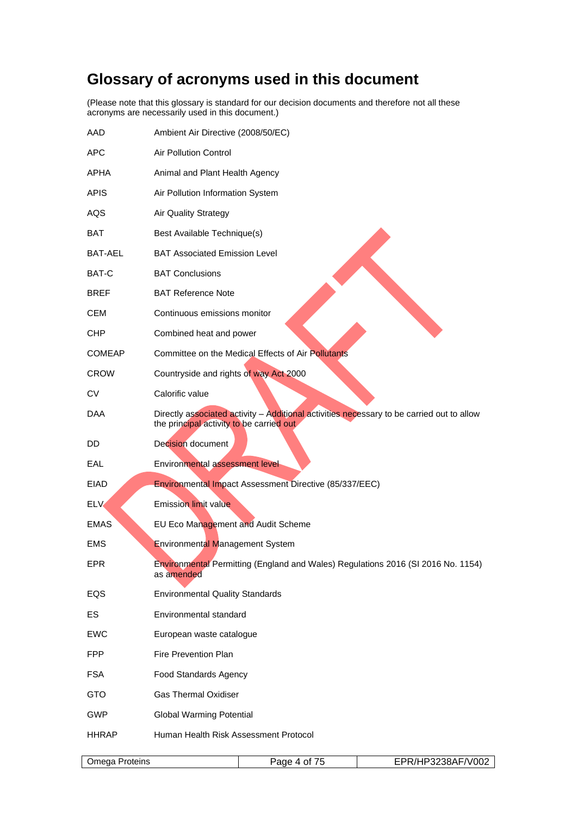# **Glossary of acronyms used in this document**

(Please note that this glossary is standard for our decision documents and therefore not all these acronyms are necessarily used in this document.)

| AAD            | Ambient Air Directive (2008/50/EC)                                                                                                    |                   |
|----------------|---------------------------------------------------------------------------------------------------------------------------------------|-------------------|
| <b>APC</b>     | <b>Air Pollution Control</b>                                                                                                          |                   |
| APHA           | Animal and Plant Health Agency                                                                                                        |                   |
| <b>APIS</b>    | Air Pollution Information System                                                                                                      |                   |
| AQS            | <b>Air Quality Strategy</b>                                                                                                           |                   |
| BAT            | Best Available Technique(s)                                                                                                           |                   |
| BAT-AEL        | <b>BAT Associated Emission Level</b>                                                                                                  |                   |
| BAT-C          | <b>BAT Conclusions</b>                                                                                                                |                   |
| BREF           | <b>BAT Reference Note</b>                                                                                                             |                   |
| <b>CEM</b>     | Continuous emissions monitor                                                                                                          |                   |
| <b>CHP</b>     | Combined heat and power                                                                                                               |                   |
| <b>COMEAP</b>  | Committee on the Medical Effects of Air Pollutants                                                                                    |                   |
| <b>CROW</b>    | Countryside and rights of way Act 2000                                                                                                |                   |
| <b>CV</b>      | Calorific value                                                                                                                       |                   |
| DAA            | Directly associated activity - Additional activities necessary to be carried out to allow<br>the principal activity to be carried out |                   |
| DD             | Decision document                                                                                                                     |                   |
| EAL            | Environmental assessment level                                                                                                        |                   |
| <b>EIAD</b>    | Environmental Impact Assessment Directive (85/337/EEC)                                                                                |                   |
| <b>ELV</b>     | <b>Emission limit value</b>                                                                                                           |                   |
| <b>EMAS</b>    | EU Eco Management and Audit Scheme                                                                                                    |                   |
| <b>EMS</b>     | Environmental Management System                                                                                                       |                   |
| EPR            | Environmental Permitting (England and Wales) Regulations 2016 (SI 2016 No. 1154)<br>as amended                                        |                   |
| EQS            | <b>Environmental Quality Standards</b>                                                                                                |                   |
| ES             | Environmental standard                                                                                                                |                   |
| <b>EWC</b>     | European waste catalogue                                                                                                              |                   |
| <b>FPP</b>     | Fire Prevention Plan                                                                                                                  |                   |
| <b>FSA</b>     | Food Standards Agency                                                                                                                 |                   |
| <b>GTO</b>     | <b>Gas Thermal Oxidiser</b>                                                                                                           |                   |
| <b>GWP</b>     | <b>Global Warming Potential</b>                                                                                                       |                   |
| <b>HHRAP</b>   | Human Health Risk Assessment Protocol                                                                                                 |                   |
| Omega Proteins | Page 4 of 75                                                                                                                          | EPR/HP3238AF/V002 |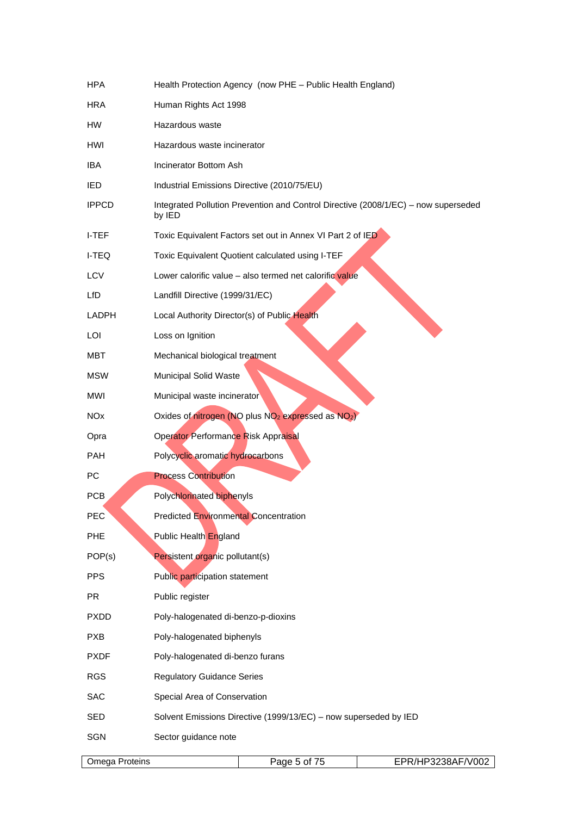| <b>HPA</b>            | Health Protection Agency (now PHE - Public Health England)                                   |
|-----------------------|----------------------------------------------------------------------------------------------|
| HRA                   | Human Rights Act 1998                                                                        |
| <b>HW</b>             | Hazardous waste                                                                              |
| HWI                   | Hazardous waste incinerator                                                                  |
| IBA                   | Incinerator Bottom Ash                                                                       |
| IED                   | Industrial Emissions Directive (2010/75/EU)                                                  |
| <b>IPPCD</b>          | Integrated Pollution Prevention and Control Directive (2008/1/EC) - now superseded<br>by IED |
| I-TEF                 | Toxic Equivalent Factors set out in Annex VI Part 2 of IED                                   |
| I-TEQ                 | Toxic Equivalent Quotient calculated using I-TEF                                             |
| LCV                   | Lower calorific value - also termed net calorific value                                      |
| LfD                   | Landfill Directive (1999/31/EC)                                                              |
| LADPH                 | Local Authority Director(s) of Public Health                                                 |
| LOI                   | Loss on Ignition                                                                             |
| MBT                   | Mechanical biological treatment                                                              |
| <b>MSW</b>            | Municipal Solid Waste                                                                        |
| MWI                   | Municipal waste incinerator                                                                  |
| <b>NO<sub>x</sub></b> | Oxides of nitrogen (NO plus NO <sub>2</sub> expressed as NO <sub>2</sub> )                   |
| Opra                  | Operator Performance Risk Appraisal                                                          |
| <b>PAH</b>            | Polycyclic aromatic hydrocarbons                                                             |
| PC                    | <b>Process Contribution</b>                                                                  |
| <b>PCB</b>            | Polychlorinated biphenyls                                                                    |
| PEC                   | <b>Predicted Environmental Concentration</b>                                                 |
| <b>PHE</b>            | Public Health England                                                                        |
| POP(s)                | Persistent organic pollutant(s)                                                              |
| <b>PPS</b>            | Public participation statement                                                               |
| <b>PR</b>             | Public register                                                                              |
| <b>PXDD</b>           | Poly-halogenated di-benzo-p-dioxins                                                          |
| <b>PXB</b>            | Poly-halogenated biphenyls                                                                   |
| <b>PXDF</b>           | Poly-halogenated di-benzo furans                                                             |
| <b>RGS</b>            | <b>Regulatory Guidance Series</b>                                                            |
| <b>SAC</b>            | Special Area of Conservation                                                                 |
| SED                   | Solvent Emissions Directive (1999/13/EC) - now superseded by IED                             |
| SGN                   | Sector guidance note                                                                         |
| Omega Proteins        | Page 5 of 75<br>EPR/HP3238AF/V002                                                            |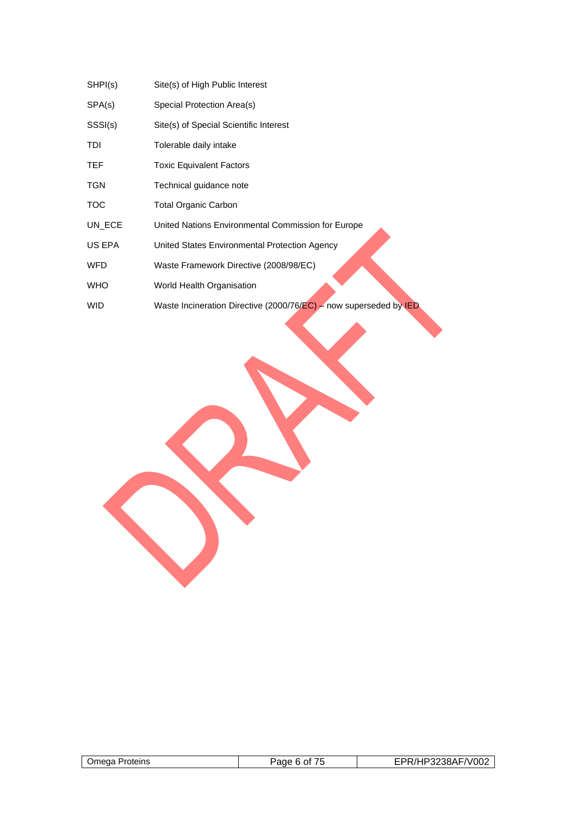| SHPI(s)    | Site(s) of High Public Interest                                       |
|------------|-----------------------------------------------------------------------|
| SPA(s)     | Special Protection Area(s)                                            |
| SSSI(s)    | Site(s) of Special Scientific Interest                                |
| TDI        | Tolerable daily intake                                                |
| TEF        | <b>Toxic Equivalent Factors</b>                                       |
| TGN        | Technical guidance note                                               |
| тос        | <b>Total Organic Carbon</b>                                           |
| UN ECE     | United Nations Environmental Commission for Europe                    |
| US EPA     | United States Environmental Protection Agency                         |
| WFD        | Waste Framework Directive (2008/98/EC)                                |
| <b>WHO</b> | World Health Organisation                                             |
| WID        | Waste Incineration Directive (2000/76/ $EC$ ) – now superseded by IED |
|            |                                                                       |

| Proteins<br><b>Jmega</b> | - יחמי<br>$^{\prime}$ | IP3238AF/V002 |
|--------------------------|-----------------------|---------------|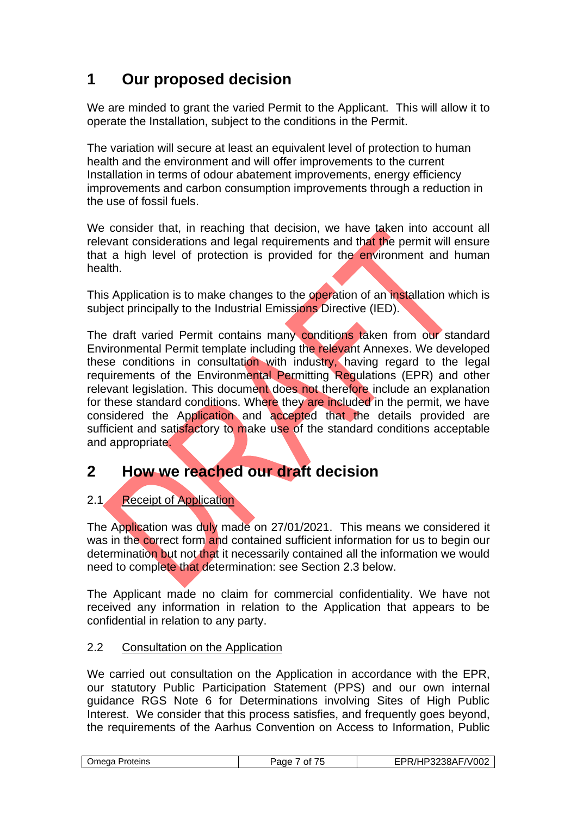## **1 Our proposed decision**

We are minded to grant the varied Permit to the Applicant. This will allow it to operate the Installation, subject to the conditions in the Permit.

The variation will secure at least an equivalent level of protection to human health and the environment and will offer improvements to the current Installation in terms of odour abatement improvements, energy efficiency improvements and carbon consumption improvements through a reduction in the use of fossil fuels.

We consider that, in reaching that decision, we have taken into account all relevant considerations and legal requirements and that the permit will ensure that a high level of protection is provided for the environment and human health.

This Application is to make changes to the operation of an installation which is subject principally to the Industrial Emissions Directive (IED).

The draft varied Permit contains many conditions taken from our standard Environmental Permit template including the relevant Annexes. We developed these conditions in consultation with industry, having regard to the legal requirements of the Environmental Permitting Regulations (EPR) and other relevant legislation. This document does not therefore include an explanation for these standard conditions. Where they are included in the permit, we have considered the Application and accepted that the details provided are sufficient and satisfactory to make use of the standard conditions acceptable and appropriate.

## **2 How we reached our draft decision**

## 2.1 Receipt of Application

The Application was duly made on 27/01/2021. This means we considered it was in the correct form and contained sufficient information for us to begin our determination but not that it necessarily contained all the information we would need to complete that determination: see Section 2.3 below.

The Applicant made no claim for commercial confidentiality. We have not received any information in relation to the Application that appears to be confidential in relation to any party.

## 2.2 Consultation on the Application

We carried out consultation on the Application in accordance with the EPR. our statutory Public Participation Statement (PPS) and our own internal guidance RGS Note 6 for Determinations involving Sites of High Public Interest. We consider that this process satisfies, and frequently goes beyond, the requirements of the Aarhus Convention on Access to Information, Public

| $- -$<br>Jmega.<br>Proteins<br>'age<br>Ωt<br>,, | ` <b>?8AF/V002</b><br>-5238A |
|-------------------------------------------------|------------------------------|
|-------------------------------------------------|------------------------------|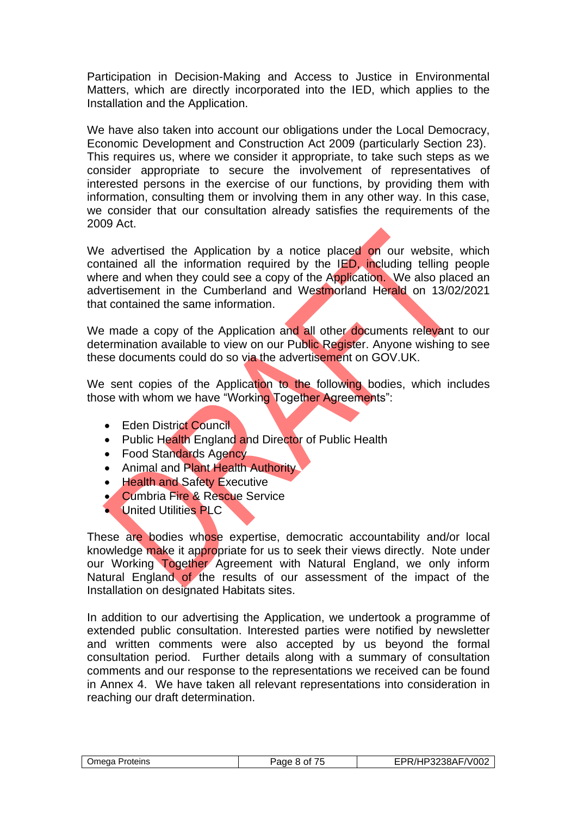Participation in Decision-Making and Access to Justice in Environmental Matters, which are directly incorporated into the IED, which applies to the Installation and the Application.

We have also taken into account our obligations under the Local Democracy, Economic Development and Construction Act 2009 (particularly Section 23). This requires us, where we consider it appropriate, to take such steps as we consider appropriate to secure the involvement of representatives of interested persons in the exercise of our functions, by providing them with information, consulting them or involving them in any other way. In this case, we consider that our consultation already satisfies the requirements of the 2009 Act.

We advertised the Application by a notice placed on our website, which contained all the information required by the IED, including telling people where and when they could see a copy of the Application. We also placed an advertisement in the Cumberland and Westmorland Herald on 13/02/2021 that contained the same information.

We made a copy of the Application and all other documents relevant to our determination available to view on our Public Register. Anyone wishing to see these documents could do so via the advertisement on GOV.UK.

We sent copies of the Application to the following bodies, which includes those with whom we have "Working Together Agreements":

- Eden District Council
- Public Health England and Director of Public Health
- Food Standards Agency
- Animal and Plant Health Authority
- Health and Safety Executive
- Cumbria Fire & Rescue Service
- United Utilities PLC

These are bodies whose expertise, democratic accountability and/or local knowledge make it appropriate for us to seek their views directly. Note under our Working Together Agreement with Natural England, we only inform Natural England of the results of our assessment of the impact of the Installation on designated Habitats sites.

In addition to our advertising the Application, we undertook a programme of extended public consultation. Interested parties were notified by newsletter and written comments were also accepted by us beyond the formal consultation period. Further details along with a summary of consultation comments and our response to the representations we received can be found in Annex 4. We have taken all relevant representations into consideration in reaching our draft determination.

| /HP3238AF/V002<br>ו/ כ<br>Jmega I<br>Proteins<br>3002<br>8 Of<br>пı |
|---------------------------------------------------------------------|
|---------------------------------------------------------------------|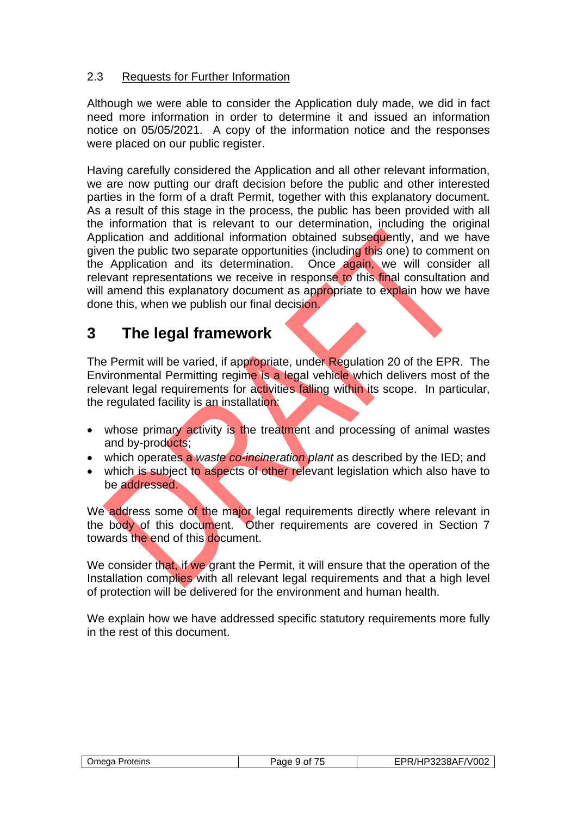## 2.3 Requests for Further Information

Although we were able to consider the Application duly made, we did in fact need more information in order to determine it and issued an information notice on 05/05/2021. A copy of the information notice and the responses were placed on our public register.

Having carefully considered the Application and all other relevant information, we are now putting our draft decision before the public and other interested parties in the form of a draft Permit, together with this explanatory document. As a result of this stage in the process, the public has been provided with all the information that is relevant to our determination, including the original Application and additional information obtained subsequently, and we have given the public two separate opportunities (including this one) to comment on the Application and its determination. Once again, we will consider all relevant representations we receive in response to this final consultation and will amend this explanatory document as appropriate to explain how we have done this, when we publish our final decision.

## **3 The legal framework**

The Permit will be varied, if appropriate, under Regulation 20 of the EPR. The Environmental Permitting regime is a legal vehicle which delivers most of the relevant legal requirements for activities falling within its scope. In particular, the regulated facility is an installation:

- whose primary activity is the treatment and processing of animal wastes and by-products;
- which operates a *waste co-incineration plant* as described by the IED; and
- which is subject to aspects of other relevant legislation which also have to be addressed.

We address some of the major legal requirements directly where relevant in the body of this document. Other requirements are covered in Section 7 towards the end of this document.

We consider that, if we grant the Permit, it will ensure that the operation of the Installation complies with all relevant legal requirements and that a high level of protection will be delivered for the environment and human health.

We explain how we have addressed specific statutory requirements more fully in the rest of this document.

| Omega Proteins | Paqe 9 of | EPR/HP3238AF/V002 |
|----------------|-----------|-------------------|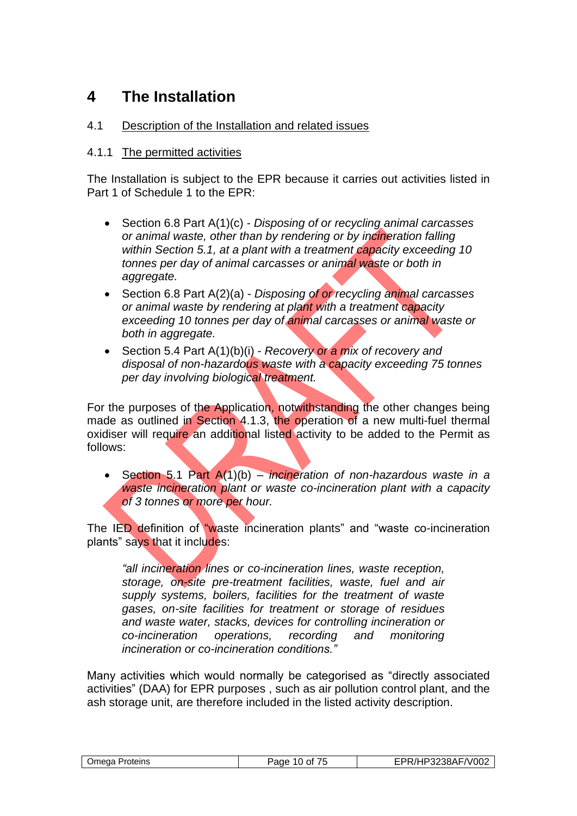## **4 The Installation**

## 4.1 Description of the Installation and related issues

## 4.1.1 The permitted activities

The Installation is subject to the EPR because it carries out activities listed in Part 1 of Schedule 1 to the EPR:

- Section 6.8 Part A(1)(c) *Disposing of or recycling animal carcasses or animal waste, other than by rendering or by incineration falling within Section 5.1, at a plant with a treatment capacity exceeding 10 tonnes per day of animal carcasses or animal waste or both in aggregate.*
- Section 6.8 Part A(2)(a) *Disposing of or recycling animal carcasses or animal waste by rendering at plant with a treatment capacity exceeding 10 tonnes per day of animal carcasses or animal waste or both in aggregate.*
- Section 5.4 Part A(1)(b)(i) *Recovery or a mix of recovery and disposal of non-hazardous waste with a capacity exceeding 75 tonnes per day involving biological treatment.*

For the purposes of the Application, notwithstanding the other changes being made as outlined in Section 4.1.3, the operation of a new multi-fuel thermal oxidiser will require an additional listed activity to be added to the Permit as follows:

• Section 5.1 Part A(1)(b) – *incineration of non-hazardous waste in a waste incineration plant or waste co-incineration plant with a capacity of 3 tonnes or more per hour.*

The IED definition of "waste incineration plants" and "waste co-incineration plants" says that it includes:

*"all incineration lines or co-incineration lines, waste reception, storage, on-site pre-treatment facilities, waste, fuel and air supply systems, boilers, facilities for the treatment of waste gases, on-site facilities for treatment or storage of residues and waste water, stacks, devices for controlling incineration or co-incineration operations, recording and monitoring incineration or co-incineration conditions."* 

Many activities which would normally be categorised as "directly associated activities" (DAA) for EPR purposes , such as air pollution control plant, and the ash storage unit, are therefore included in the listed activity description.

| Omega Proteins | ≌aɑe<br>10 of<br>. | "PR/HP3238AF/V002 |
|----------------|--------------------|-------------------|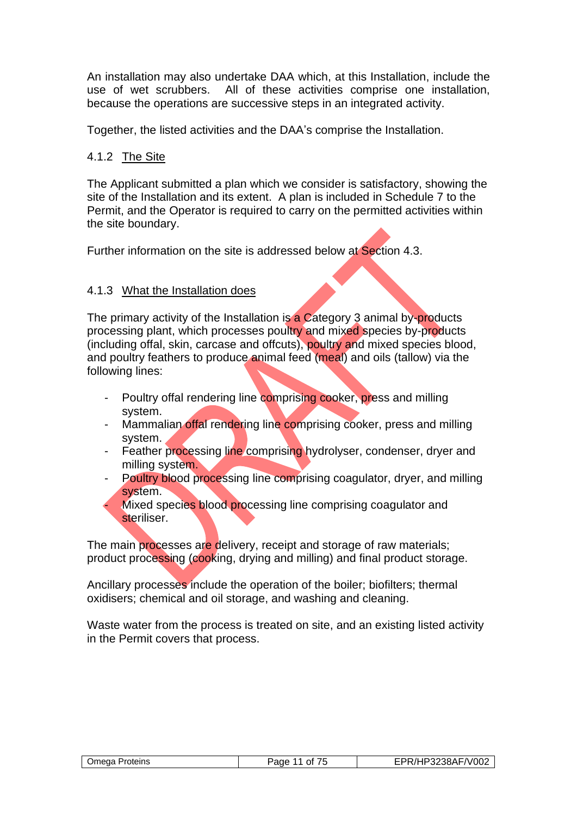An installation may also undertake DAA which, at this Installation, include the use of wet scrubbers. All of these activities comprise one installation, because the operations are successive steps in an integrated activity.

Together, the listed activities and the DAA's comprise the Installation.

## 4.1.2 The Site

The Applicant submitted a plan which we consider is satisfactory, showing the site of the Installation and its extent. A plan is included in Schedule 7 to the Permit, and the Operator is required to carry on the permitted activities within the site boundary.

Further information on the site is addressed below at Section 4.3.

## 4.1.3 What the Installation does

The primary activity of the Installation is a Category 3 animal by-products processing plant, which processes poultry and mixed species by-products (including offal, skin, carcase and offcuts), poultry and mixed species blood, and poultry feathers to produce animal feed (meal) and oils (tallow) via the following lines:

- Poultry offal rendering line comprising cooker, press and milling system.
- Mammalian offal rendering line comprising cooker, press and milling system.
- Feather processing line comprising hydrolyser, condenser, dryer and milling system.
- Poultry blood processing line comprising coagulator, dryer, and milling system.
- Mixed species blood processing line comprising coagulator and steriliser.

The main processes are delivery, receipt and storage of raw materials; product processing (cooking, drying and milling) and final product storage.

Ancillary processes include the operation of the boiler; biofilters; thermal oxidisers; chemical and oil storage, and washing and cleaning.

Waste water from the process is treated on site, and an existing listed activity in the Permit covers that process.

| 'Jmega Proteins | ane<br>∩t | HP3238AF/V002<br>v |
|-----------------|-----------|--------------------|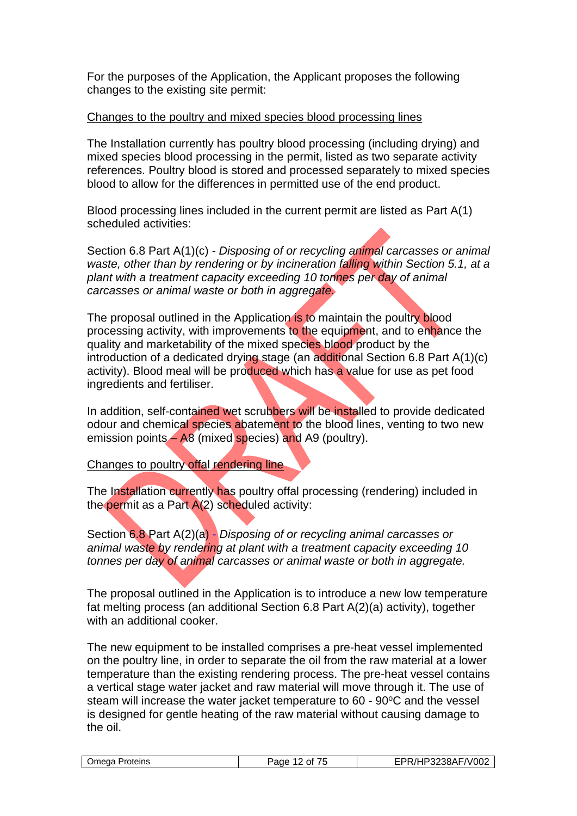For the purposes of the Application, the Applicant proposes the following changes to the existing site permit:

#### Changes to the poultry and mixed species blood processing lines

The Installation currently has poultry blood processing (including drying) and mixed species blood processing in the permit, listed as two separate activity references. Poultry blood is stored and processed separately to mixed species blood to allow for the differences in permitted use of the end product.

Blood processing lines included in the current permit are listed as Part A(1) scheduled activities:

Section 6.8 Part A(1)(c) *- Disposing of or recycling animal carcasses or animal waste, other than by rendering or by incineration falling within Section 5.1, at a plant with a treatment capacity exceeding 10 tonnes per day of animal carcasses or animal waste or both in aggregate.*

The proposal outlined in the Application is to maintain the poultry blood processing activity, with improvements to the equipment, and to enhance the quality and marketability of the mixed species blood product by the introduction of a dedicated drying stage (an additional Section 6.8 Part A(1)(c) activity). Blood meal will be produced which has a value for use as pet food ingredients and fertiliser.

In addition, self-contained wet scrubbers will be installed to provide dedicated odour and chemical species abatement to the blood lines, venting to two new emission points – A8 (mixed species) and A9 (poultry).

Changes to poultry offal rendering line

The Installation currently has poultry offal processing (rendering) included in the permit as a Part A(2) scheduled activity:

Section 6.8 Part A(2)(a) - *Disposing of or recycling animal carcasses or animal waste by rendering at plant with a treatment capacity exceeding 10 tonnes per day of animal carcasses or animal waste or both in aggregate.*

The proposal outlined in the Application is to introduce a new low temperature fat melting process (an additional Section 6.8 Part A(2)(a) activity), together with an additional cooker.

The new equipment to be installed comprises a pre-heat vessel implemented on the poultry line, in order to separate the oil from the raw material at a lower temperature than the existing rendering process. The pre-heat vessel contains a vertical stage water jacket and raw material will move through it. The use of steam will increase the water jacket temperature to  $60 - 90^{\circ}$ C and the vessel is designed for gentle heating of the raw material without causing damage to the oil.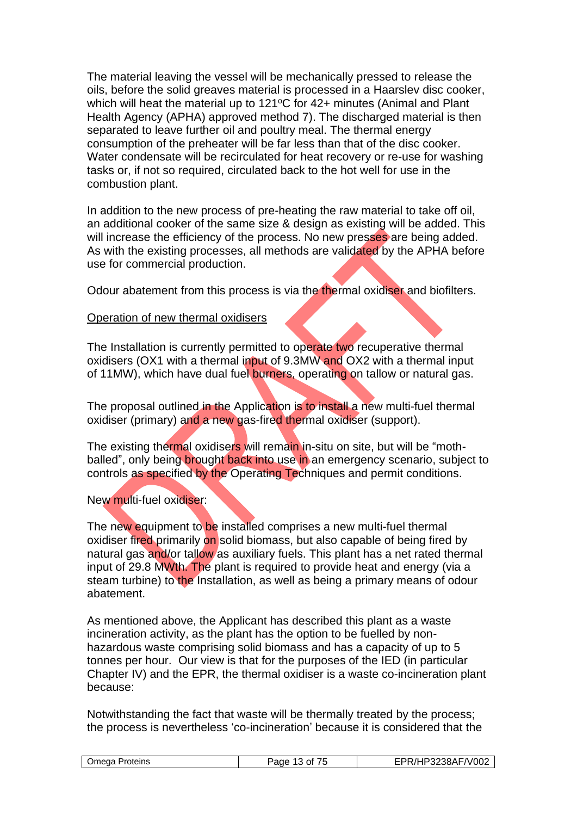The material leaving the vessel will be mechanically pressed to release the oils, before the solid greaves material is processed in a Haarslev disc cooker, which will heat the material up to  $121^{\circ}$ C for  $42+$  minutes (Animal and Plant Health Agency (APHA) approved method 7). The discharged material is then separated to leave further oil and poultry meal. The thermal energy consumption of the preheater will be far less than that of the disc cooker. Water condensate will be recirculated for heat recovery or re-use for washing tasks or, if not so required, circulated back to the hot well for use in the combustion plant.

In addition to the new process of pre-heating the raw material to take off oil, an additional cooker of the same size & design as existing will be added. This will increase the efficiency of the process. No new presses are being added. As with the existing processes, all methods are validated by the APHA before use for commercial production.

Odour abatement from this process is via the thermal oxidiser and biofilters.

#### Operation of new thermal oxidisers

The Installation is currently permitted to operate two recuperative thermal oxidisers (OX1 with a thermal input of 9.3MW and OX2 with a thermal input of 11MW), which have dual fuel burners, operating on tallow or natural gas.

The proposal outlined in the Application is to install a new multi-fuel thermal oxidiser (primary) and a new gas-fired thermal oxidiser (support).

The existing thermal oxidisers will remain in-situ on site, but will be "mothballed", only being brought back into use in an emergency scenario, subject to controls as specified by the Operating Techniques and permit conditions.

#### New multi-fuel oxidiser:

The new equipment to be installed comprises a new multi-fuel thermal oxidiser fired primarily on solid biomass, but also capable of being fired by natural gas and/or tallow as auxiliary fuels. This plant has a net rated thermal input of 29.8 MWth. The plant is required to provide heat and energy (via a steam turbine) to the Installation, as well as being a primary means of odour abatement.

As mentioned above, the Applicant has described this plant as a waste incineration activity, as the plant has the option to be fuelled by nonhazardous waste comprising solid biomass and has a capacity of up to 5 tonnes per hour. Our view is that for the purposes of the IED (in particular Chapter IV) and the EPR, the thermal oxidiser is a waste co-incineration plant because:

Notwithstanding the fact that waste will be thermally treated by the process; the process is nevertheless 'co-incineration' because it is considered that the

| $- -$                 | F/V002                   |
|-----------------------|--------------------------|
| )mega                 | ົີ Λ ∟                   |
| Proteins <sup>2</sup> | . .                      |
| Ωt                    | . ורי                    |
| $\sim$ $\sim$         | וטט ב                    |
| ٠.                    | $\overline{\phantom{a}}$ |
| . .                   |                          |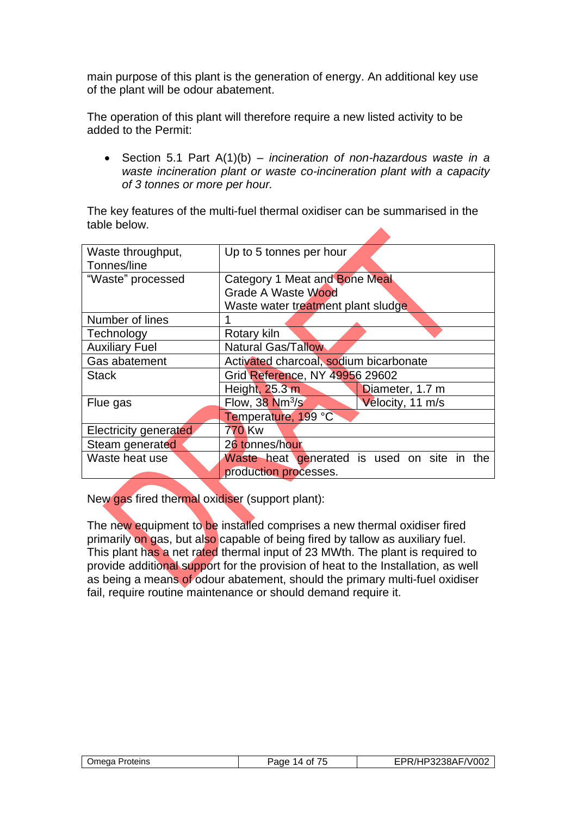main purpose of this plant is the generation of energy. An additional key use of the plant will be odour abatement.

The operation of this plant will therefore require a new listed activity to be added to the Permit:

• Section 5.1 Part A(1)(b) – *incineration of non-hazardous waste in a waste incineration plant or waste co-incineration plant with a capacity of 3 tonnes or more per hour.*

The key features of the multi-fuel thermal oxidiser can be summarised in the table below.

| Waste throughput,     | Up to 5 tonnes per hour                              |  |  |
|-----------------------|------------------------------------------------------|--|--|
| Tonnes/line           |                                                      |  |  |
| "Waste" processed     | Category 1 Meat and Bone Meal                        |  |  |
|                       | Grade A Waste Wood                                   |  |  |
|                       | Waste water treatment plant sludge                   |  |  |
| Number of lines       |                                                      |  |  |
| Technology            | Rotary kiln                                          |  |  |
| <b>Auxiliary Fuel</b> | <b>Natural Gas/Tallow</b>                            |  |  |
| Gas abatement         | Activated charcoal, sodium bicarbonate               |  |  |
| <b>Stack</b>          | Grid Reference, NY 49956 29602                       |  |  |
|                       | Height, 25.3 m<br>Diameter, 1.7 m                    |  |  |
| Flue gas              | Flow, $38 \text{ Nm}^3/\text{s}$<br>Velocity, 11 m/s |  |  |
|                       | Temperature, 199 °C                                  |  |  |
| Electricity generated | 770 Kw                                               |  |  |
| Steam generated       | 26 tonnes/hour                                       |  |  |
| Waste heat use        | Waste heat generated is used on site in the          |  |  |
|                       | production processes.                                |  |  |

New gas fired thermal oxidiser (support plant):

The new equipment to be installed comprises a new thermal oxidiser fired primarily on gas, but also capable of being fired by tallow as auxiliary fuel. This plant has a net rated thermal input of 23 MWth. The plant is required to provide additional support for the provision of heat to the Installation, as well as being a means of odour abatement, should the primary multi-fuel oxidiser fail, require routine maintenance or should demand require it.

| Omega Proteins | $\overline{\phantom{a}}$<br>Page<br>0t<br>14 | P3238AF/V002<br>⊣Р |
|----------------|----------------------------------------------|--------------------|
|                |                                              |                    |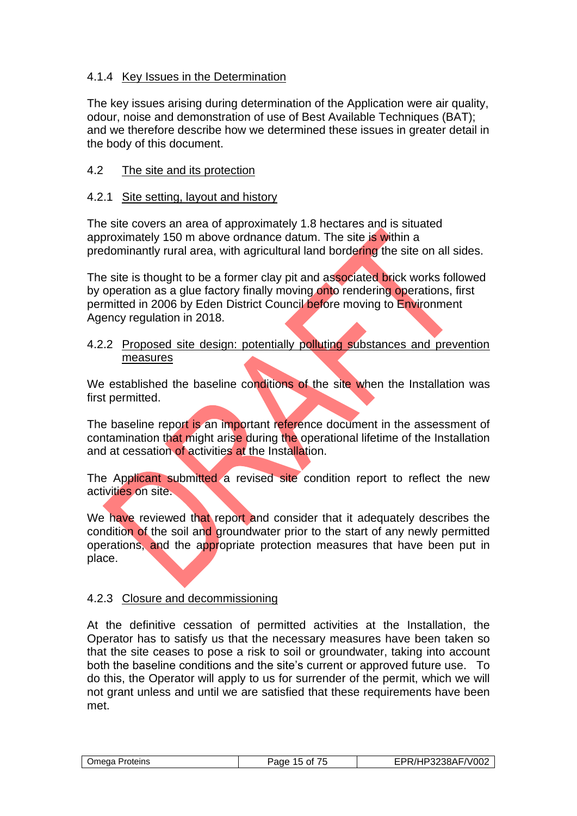## 4.1.4 Key Issues in the Determination

The key issues arising during determination of the Application were air quality, odour, noise and demonstration of use of Best Available Techniques (BAT); and we therefore describe how we determined these issues in greater detail in the body of this document.

## 4.2 The site and its protection

## 4.2.1 Site setting, layout and history

The site covers an area of approximately 1.8 hectares and is situated approximately 150 m above ordnance datum. The site is within a predominantly rural area, with agricultural land bordering the site on all sides.

The site is thought to be a former clay pit and associated brick works followed by operation as a glue factory finally moving onto rendering operations, first permitted in 2006 by Eden District Council before moving to Environment Agency regulation in 2018.

#### 4.2.2 Proposed site design: potentially polluting substances and prevention measures

We established the baseline conditions of the site when the Installation was first permitted.

The baseline report is an important reference document in the assessment of contamination that might arise during the operational lifetime of the Installation and at cessation of activities at the Installation.

The Applicant submitted a revised site condition report to reflect the new activities on site.

We have reviewed that report and consider that it adequately describes the condition of the soil and groundwater prior to the start of any newly permitted operations, and the appropriate protection measures that have been put in place.

## 4.2.3 Closure and decommissioning

At the definitive cessation of permitted activities at the Installation, the Operator has to satisfy us that the necessary measures have been taken so that the site ceases to pose a risk to soil or groundwater, taking into account both the baseline conditions and the site's current or approved future use. To do this, the Operator will apply to us for surrender of the permit, which we will not grant unless and until we are satisfied that these requirements have been met.

| ΩZ<br>.<br>л. | Jmeaa<br>Proteins | $ -$<br>300 <sup>2</sup><br>0t<br>aue | F/V002\<br>$^{\prime}$<br>. המפפחי<br>OOA: |
|---------------|-------------------|---------------------------------------|--------------------------------------------|
|---------------|-------------------|---------------------------------------|--------------------------------------------|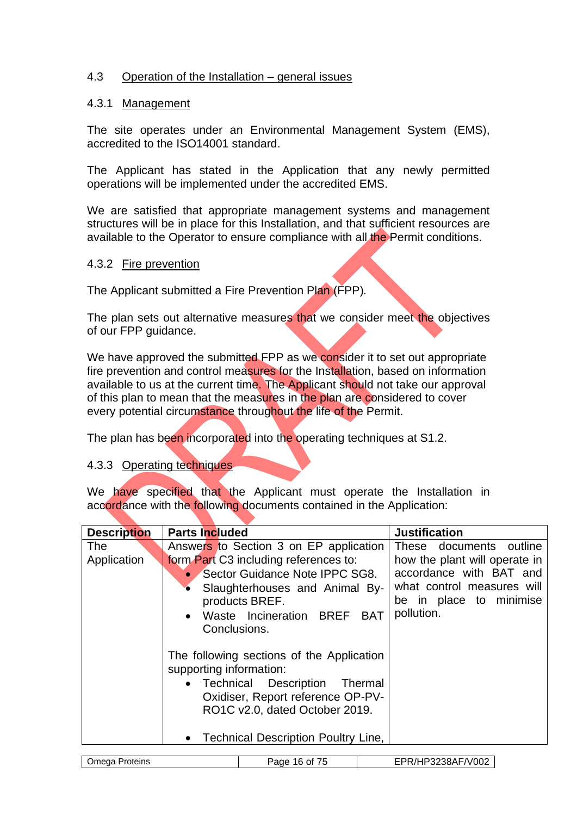### 4.3 Operation of the Installation – general issues

#### 4.3.1 Management

The site operates under an Environmental Management System (EMS), accredited to the ISO14001 standard.

The Applicant has stated in the Application that any newly permitted operations will be implemented under the accredited EMS.

We are satisfied that appropriate management systems and management structures will be in place for this Installation, and that sufficient resources are available to the Operator to ensure compliance with all the Permit conditions.

#### 4.3.2 Fire prevention

The Applicant submitted a Fire Prevention Plan (FPP)*.*

The plan sets out alternative measures that we consider meet the objectives of our FPP guidance.

We have approved the submitted FPP as we consider it to set out appropriate fire prevention and control measures for the Installation, based on information available to us at the current time. The Applicant should not take our approval of this plan to mean that the measures in the plan are considered to cover every potential circumstance throughout the life of the Permit.

The plan has been incorporated into the operating techniques at S1.2.

#### 4.3.3 Operating techniques

We have specified that the Applicant must operate the Installation in accordance with the following documents contained in the Application:

| <b>Description</b> | <b>Parts Included</b>             |                                           |  | <b>Justification</b>          |
|--------------------|-----------------------------------|-------------------------------------------|--|-------------------------------|
| <b>The</b>         |                                   | Answers to Section 3 on EP application    |  | These documents outline       |
| Application        |                                   | form Part C3 including references to:     |  | how the plant will operate in |
|                    |                                   | Sector Guidance Note IPPC SG8.            |  | accordance with BAT and       |
|                    |                                   | Slaughterhouses and Animal By-            |  | what control measures will    |
|                    |                                   | products BREF.                            |  | be in place to minimise       |
|                    |                                   | Waste Incineration BREF BAT               |  | pollution.                    |
|                    | Conclusions.                      |                                           |  |                               |
|                    |                                   |                                           |  |                               |
|                    |                                   | The following sections of the Application |  |                               |
|                    | supporting information:           |                                           |  |                               |
|                    |                                   | • Technical Description Thermal           |  |                               |
|                    | Oxidiser, Report reference OP-PV- |                                           |  |                               |
|                    | RO1C v2.0, dated October 2019.    |                                           |  |                               |
|                    |                                   |                                           |  |                               |
|                    |                                   | • Technical Description Poultry Line,     |  |                               |
|                    |                                   |                                           |  |                               |
| Omega Proteins     |                                   | Page 16 of 75                             |  | EPR/HP3238AF/V002             |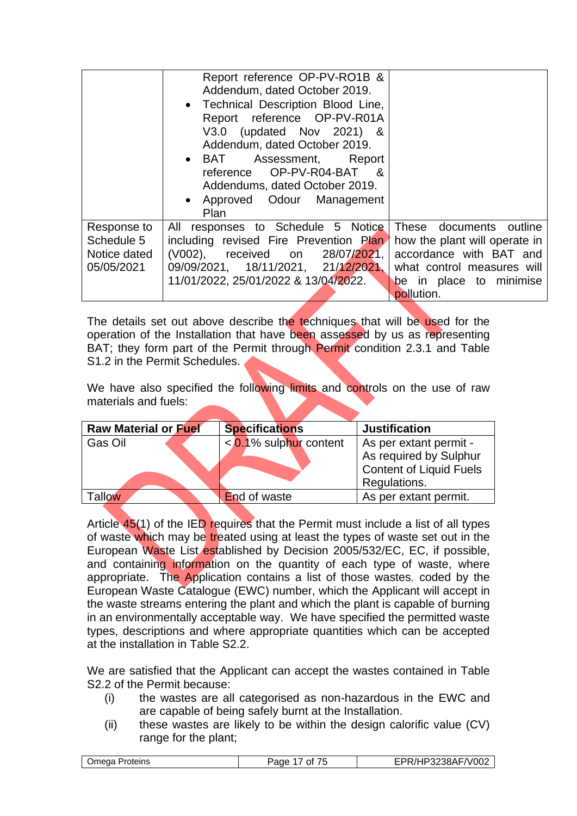|                           | Report reference OP-PV-RO1B &<br>Addendum, dated October 2019.<br>• Technical Description Blood Line,<br>Report reference OP-PV-R01A<br>V3.0 (updated Nov 2021) &<br>Addendum, dated October 2019.<br>• BAT Assessment, Report<br>reference OP-PV-R04-BAT &<br>Addendums, dated October 2019.<br>• Approved Odour Management<br>Plan |                                                          |
|---------------------------|--------------------------------------------------------------------------------------------------------------------------------------------------------------------------------------------------------------------------------------------------------------------------------------------------------------------------------------|----------------------------------------------------------|
| Response to<br>Schedule 5 | responses to Schedule 5 Notice<br>All<br>including revised Fire Prevention Plan                                                                                                                                                                                                                                                      | These documents outline<br>how the plant will operate in |
| Notice dated              | (V002), received on 28/07/2021,                                                                                                                                                                                                                                                                                                      | accordance with BAT and                                  |
| 05/05/2021                | 09/09/2021, 18/11/2021, 21/12/2021,                                                                                                                                                                                                                                                                                                  | what control measures will                               |
|                           | 11/01/2022, 25/01/2022 & 13/04/2022.                                                                                                                                                                                                                                                                                                 | be in place to minimise<br>pollution.                    |
|                           |                                                                                                                                                                                                                                                                                                                                      |                                                          |

The details set out above describe the techniques that will be used for the operation of the Installation that have been assessed by us as representing BAT; they form part of the Permit through Permit condition 2.3.1 and Table S1.2 in the Permit Schedules.

We have also specified the following limits and controls on the use of raw materials and fuels:

| <b>Raw Material or Fuel</b> | <b>Specifications</b>     | <b>Justification</b>                                                                               |
|-----------------------------|---------------------------|----------------------------------------------------------------------------------------------------|
| Gas Oil                     | $< 0.1\%$ sulphur content | As per extant permit -<br>As required by Sulphur<br><b>Content of Liquid Fuels</b><br>Regulations. |
| <b>allow</b>                | <b>End of waste</b>       | As per extant permit.                                                                              |

Article 45(1) of the IED requires that the Permit must include a list of all types of waste which may be treated using at least the types of waste set out in the European Waste List established by Decision 2005/532/EC, EC, if possible, and containing information on the quantity of each type of waste, where appropriate. The Application contains a list of those wastes*,* coded by the European Waste Catalogue (EWC) number, which the Applicant will accept in the waste streams entering the plant and which the plant is capable of burning in an environmentally acceptable way. We have specified the permitted waste types, descriptions and where appropriate quantities which can be accepted at the installation in Table S2.2.

We are satisfied that the Applicant can accept the wastes contained in Table S2.2 of the Permit because:

- (i) the wastes are all categorised as non-hazardous in the EWC and are capable of being safely burnt at the Installation.
- (ii) these wastes are likely to be within the design calorific value (CV) range for the plant;

| $\sqrt{-100}$<br>1D29201E<br>Jmeaa<br>Proteins<br>Ωt<br>٠.<br>zjohr<br>. .<br>ΩZ |
|----------------------------------------------------------------------------------|
|----------------------------------------------------------------------------------|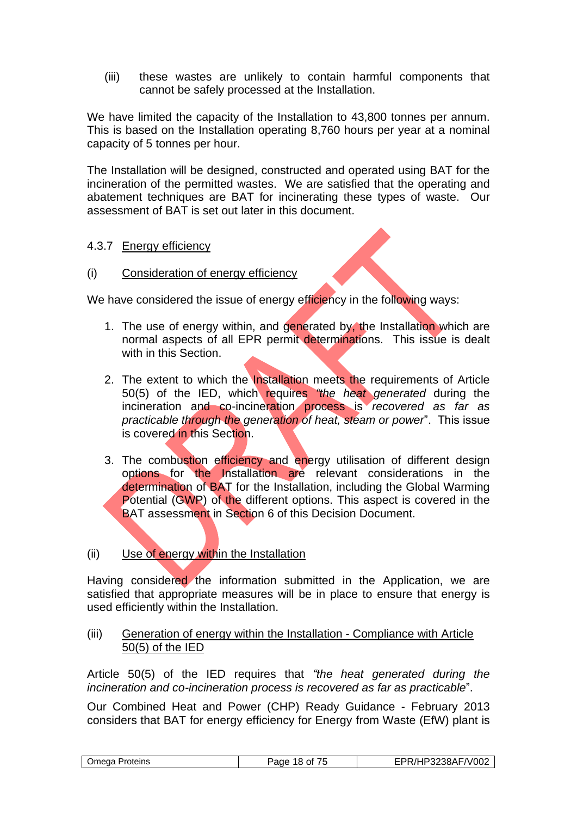(iii) these wastes are unlikely to contain harmful components that cannot be safely processed at the Installation.

We have limited the capacity of the Installation to 43,800 tonnes per annum. This is based on the Installation operating 8,760 hours per year at a nominal capacity of 5 tonnes per hour.

The Installation will be designed, constructed and operated using BAT for the incineration of the permitted wastes. We are satisfied that the operating and abatement techniques are BAT for incinerating these types of waste. Our assessment of BAT is set out later in this document.

#### 4.3.7 Energy efficiency

#### (i) Consideration of energy efficiency

We have considered the issue of energy efficiency in the following ways:

- 1. The use of energy within, and generated by, the Installation which are normal aspects of all EPR permit determinations. This issue is dealt with in this Section.
- 2. The extent to which the Installation meets the requirements of Article 50(5) of the IED, which requires *"the heat generated* during the incineration and co-incineration process is *recovered as far as practicable through the generation of heat, steam or power*". This issue is covered in this Section.
- 3. The combustion efficiency and energy utilisation of different design options for the Installation are relevant considerations in the determination of BAT for the Installation, including the Global Warming Potential (GWP) of the different options. This aspect is covered in the BAT assessment in Section 6 of this Decision Document.

## (ii) Use of energy within the Installation

Having considered the information submitted in the Application, we are satisfied that appropriate measures will be in place to ensure that energy is used efficiently within the Installation.

#### (iii) Generation of energy within the Installation - Compliance with Article 50(5) of the IED

Article 50(5) of the IED requires that *"the heat generated during the incineration and co-incineration process is recovered as far as practicable*".

Our Combined Heat and Power (CHP) Ready Guidance - February 2013 considers that BAT for energy efficiency for Energy from Waste (EfW) plant is

|  | ⊃meɑa<br><b>Proteins</b> | Page<br>8<br>Ωt | '238AF/V002<br><sup>7</sup> 3238AF<br>. |
|--|--------------------------|-----------------|-----------------------------------------|
|--|--------------------------|-----------------|-----------------------------------------|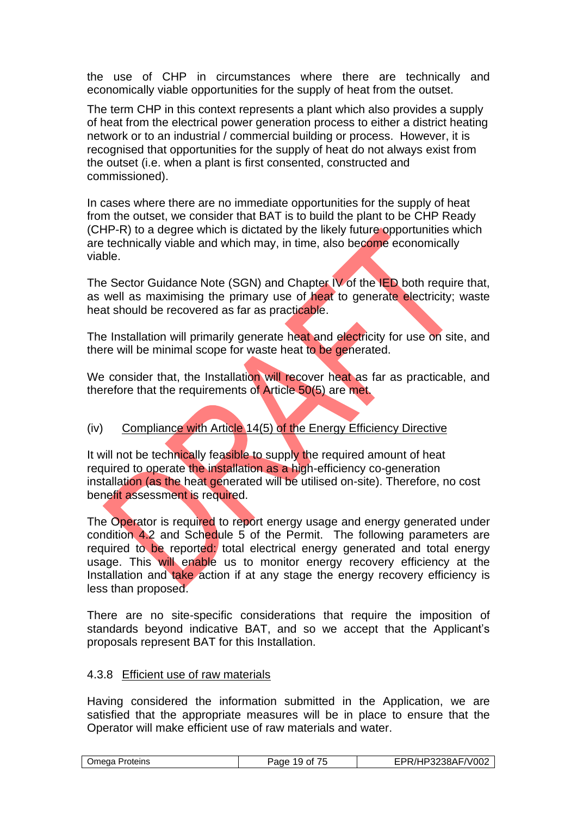the use of CHP in circumstances where there are technically and economically viable opportunities for the supply of heat from the outset.

The term CHP in this context represents a plant which also provides a supply of heat from the electrical power generation process to either a district heating network or to an industrial / commercial building or process. However, it is recognised that opportunities for the supply of heat do not always exist from the outset (i.e. when a plant is first consented, constructed and commissioned).

In cases where there are no immediate opportunities for the supply of heat from the outset, we consider that BAT is to build the plant to be CHP Ready (CHP-R) to a degree which is dictated by the likely future opportunities which are technically viable and which may, in time, also become economically viable.

The Sector Guidance Note (SGN) and Chapter IV of the IED both require that, as well as maximising the primary use of heat to generate electricity; waste heat should be recovered as far as practicable.

The Installation will primarily generate heat and electricity for use on site, and there will be minimal scope for waste heat to be generated.

We consider that, the Installation will recover heat as far as practicable, and therefore that the requirements of Article 50(5) are met.

## (iv) Compliance with Article 14(5) of the Energy Efficiency Directive

It will not be technically feasible to supply the required amount of heat required to operate the installation as a high-efficiency co-generation installation (as the heat generated will be utilised on-site). Therefore, no cost benefit assessment is required.

The Operator is required to report energy usage and energy generated under condition 4.2 and Schedule 5 of the Permit. The following parameters are required to be reported: total electrical energy generated and total energy usage. This will enable us to monitor energy recovery efficiency at the Installation and take action if at any stage the energy recovery efficiency is less than proposed.

There are no site-specific considerations that require the imposition of standards beyond indicative BAT, and so we accept that the Applicant's proposals represent BAT for this Installation.

#### 4.3.8 Efficient use of raw materials

Having considered the information submitted in the Application, we are satisfied that the appropriate measures will be in place to ensure that the Operator will make efficient use of raw materials and water.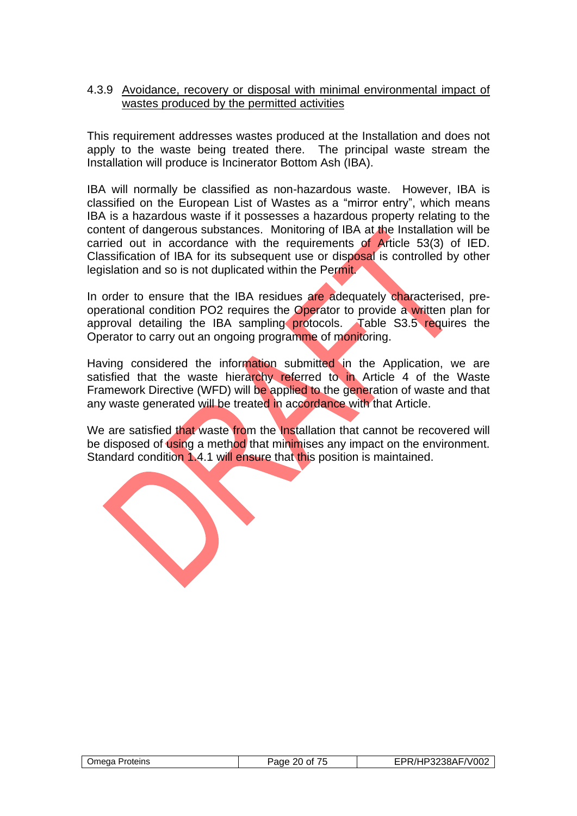#### 4.3.9 Avoidance, recovery or disposal with minimal environmental impact of wastes produced by the permitted activities

This requirement addresses wastes produced at the Installation and does not apply to the waste being treated there. The principal waste stream the Installation will produce is Incinerator Bottom Ash (IBA).

IBA will normally be classified as non-hazardous waste. However, IBA is classified on the European List of Wastes as a "mirror entry", which means IBA is a hazardous waste if it possesses a hazardous property relating to the content of dangerous substances. Monitoring of IBA at the Installation will be carried out in accordance with the requirements of Article 53(3) of IED. Classification of IBA for its subsequent use or disposal is controlled by other legislation and so is not duplicated within the Permit.

In order to ensure that the IBA residues are adequately characterised, preoperational condition PO2 requires the Operator to provide a written plan for approval detailing the IBA sampling protocols. Table S3.5 requires the Operator to carry out an ongoing programme of monitoring.

Having considered the information submitted in the Application, we are satisfied that the waste hierarchy referred to in Article 4 of the Waste Framework Directive (WFD) will be applied to the generation of waste and that any waste generated will be treated in accordance with that Article.

We are satisfied that waste from the Installation that cannot be recovered will be disposed of using a method that minimises any impact on the environment. Standard condition 1.4.1 will ensure that this position is maintained.

| Omega Proteins | Page 20 of 75 | EPR/HP3238AF/V002 |
|----------------|---------------|-------------------|
|                |               |                   |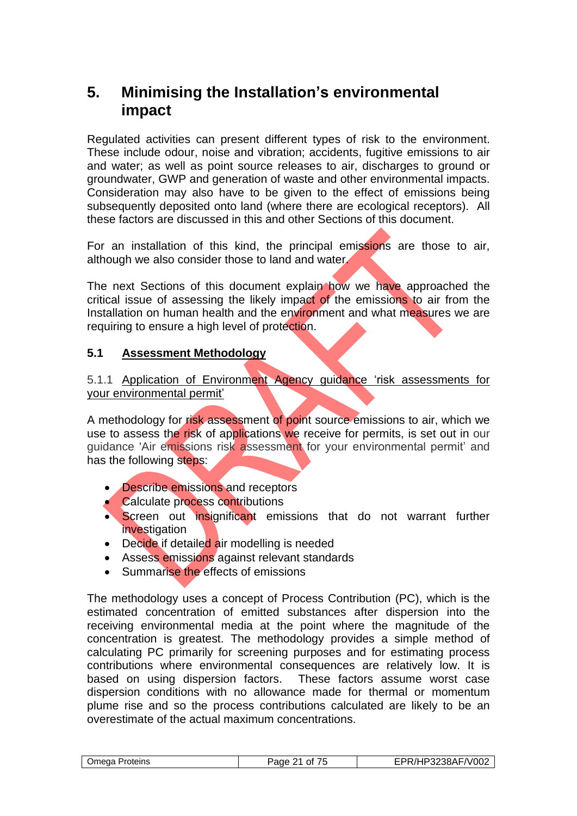## **5. Minimising the Installation's environmental impact**

Regulated activities can present different types of risk to the environment. These include odour, noise and vibration; accidents, fugitive emissions to air and water; as well as point source releases to air, discharges to ground or groundwater, GWP and generation of waste and other environmental impacts. Consideration may also have to be given to the effect of emissions being subsequently deposited onto land (where there are ecological receptors). All these factors are discussed in this and other Sections of this document.

For an installation of this kind, the principal emissions are those to air, although we also consider those to land and water.

The next Sections of this document explain how we have approached the critical issue of assessing the likely impact of the emissions to air from the Installation on human health and the environment and what measures we are requiring to ensure a high level of protection.

## **5.1 Assessment Methodology**

5.1.1 Application of Environment Agency guidance 'risk assessments for your environmental permit'

A methodology for risk assessment of point source emissions to air, which we use to assess the risk of applications we receive for permits, is set out in our guidance 'Air emissions risk assessment for your environmental permit' and has the following steps:

- Describe emissions and receptors
- Calculate process contributions
- Screen out insignificant emissions that do not warrant further investigation
- Decide if detailed air modelling is needed
- Assess emissions against relevant standards
- Summarise the effects of emissions

The methodology uses a concept of Process Contribution (PC), which is the estimated concentration of emitted substances after dispersion into the receiving environmental media at the point where the magnitude of the concentration is greatest. The methodology provides a simple method of calculating PC primarily for screening purposes and for estimating process contributions where environmental consequences are relatively low. It is based on using dispersion factors. These factors assume worst case dispersion conditions with no allowance made for thermal or momentum plume rise and so the process contributions calculated are likely to be an overestimate of the actual maximum concentrations.

|  | medaٽ<br>Proteins | --<br>age<br>Ωt<br>. .<br>,, | HP3238AF/V002 |
|--|-------------------|------------------------------|---------------|
|--|-------------------|------------------------------|---------------|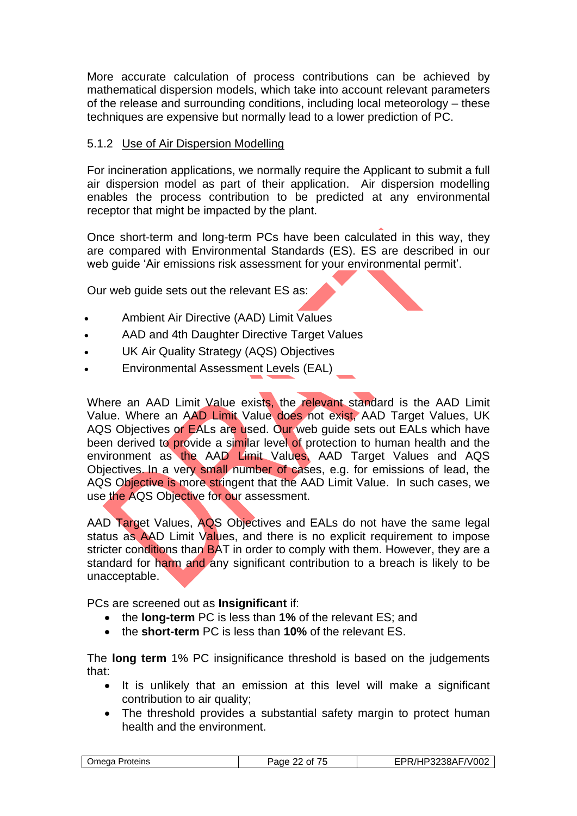More accurate calculation of process contributions can be achieved by mathematical dispersion models, which take into account relevant parameters of the release and surrounding conditions, including local meteorology – these techniques are expensive but normally lead to a lower prediction of PC.

## 5.1.2 Use of Air Dispersion Modelling

For incineration applications, we normally require the Applicant to submit a full air dispersion model as part of their application. Air dispersion modelling enables the process contribution to be predicted at any environmental receptor that might be impacted by the plant.

Once short-term and long-term PCs have been calculated in this way, they are compared with Environmental Standards (ES). ES are described in our web guide 'Air emissions risk assessment for your environmental permit'.

Our web guide sets out the relevant ES as:

- Ambient Air Directive (AAD) Limit Values
- AAD and 4th Daughter Directive Target Values
- UK Air Quality Strategy (AQS) Objectives
- Environmental Assessment Levels (EAL)

Where an AAD Limit Value exists, the relevant standard is the AAD Limit Value. Where an AAD Limit Value does not exist, AAD Target Values, UK AQS Objectives or EALs are used. Our web quide sets out EALs which have been derived to provide a similar level of protection to human health and the environment as the AAD Limit Values, AAD Target Values and AQS Objectives. In a very small number of cases, e.g. for emissions of lead, the AQS Objective is more stringent that the AAD Limit Value. In such cases, we use the AQS Objective for our assessment.

AAD Target Values, AQS Objectives and EALs do not have the same legal status as AAD Limit Values, and there is no explicit requirement to impose stricter conditions than BAT in order to comply with them. However, they are a standard for harm and any significant contribution to a breach is likely to be unacceptable.

PCs are screened out as **Insignificant** if:

- the **long-term** PC is less than **1%** of the relevant ES; and
- the **short-term** PC is less than **10%** of the relevant ES.

The **long term** 1% PC insignificance threshold is based on the judgements that:

- It is unlikely that an emission at this level will make a significant contribution to air quality;
- The threshold provides a substantial safety margin to protect human health and the environment.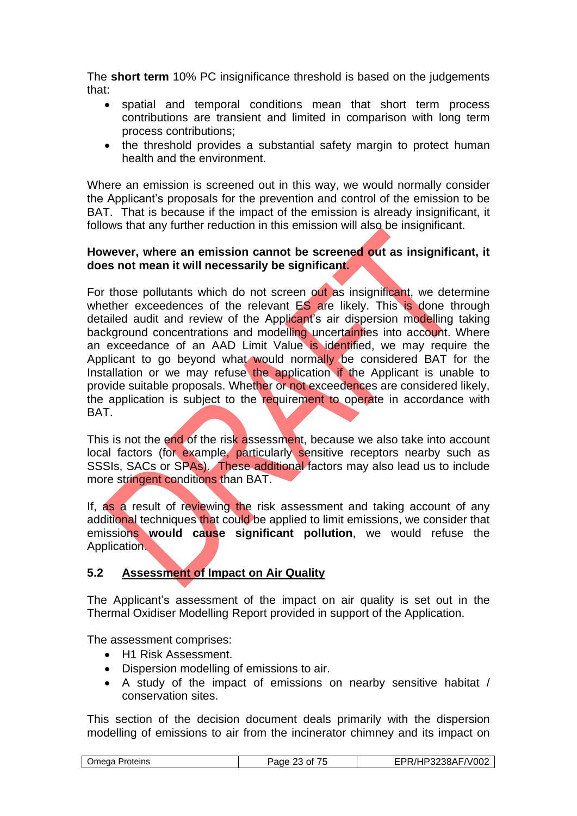The **short term** 10% PC insignificance threshold is based on the judgements that:

- spatial and temporal conditions mean that short term process contributions are transient and limited in comparison with long term process contributions;
- the threshold provides a substantial safety margin to protect human health and the environment.

Where an emission is screened out in this way, we would normally consider the Applicant's proposals for the prevention and control of the emission to be BAT. That is because if the impact of the emission is already insignificant, it follows that any further reduction in this emission will also be insignificant.

#### **However, where an emission cannot be screened out as insignificant, it does not mean it will necessarily be significant.**

For those pollutants which do not screen out as insignificant, we determine whether exceedences of the relevant ES are likely. This is done through detailed audit and review of the Applicant's air dispersion modelling taking background concentrations and modelling uncertainties into account. Where an exceedance of an AAD Limit Value is identified, we may require the Applicant to go beyond what would normally be considered BAT for the Installation or we may refuse the application if the Applicant is unable to provide suitable proposals. Whether or not exceedences are considered likely, the application is subject to the requirement to operate in accordance with BAT.

This is not the end of the risk assessment, because we also take into account local factors (for example, particularly sensitive receptors nearby such as SSSIs, SACs or SPAs). These additional factors may also lead us to include more stringent conditions than BAT.

If, as a result of reviewing the risk assessment and taking account of any additional techniques that could be applied to limit emissions, we consider that emissions **would cause significant pollution**, we would refuse the Application.

## **5.2 Assessment of Impact on Air Quality**

The Applicant's assessment of the impact on air quality is set out in the Thermal Oxidiser Modelling Report provided in support of the Application.

The assessment comprises:

- H1 Risk Assessment.
- Dispersion modelling of emissions to air.
- A study of the impact of emissions on nearby sensitive habitat / conservation sites.

This section of the decision document deals primarily with the dispersion modelling of emissions to air from the incinerator chimney and its impact on

|  | Proteins<br>Jmega | .<br>Page<br>Ωt<br>. .<br>-~ | P3238AF/V002<br>н. |
|--|-------------------|------------------------------|--------------------|
|--|-------------------|------------------------------|--------------------|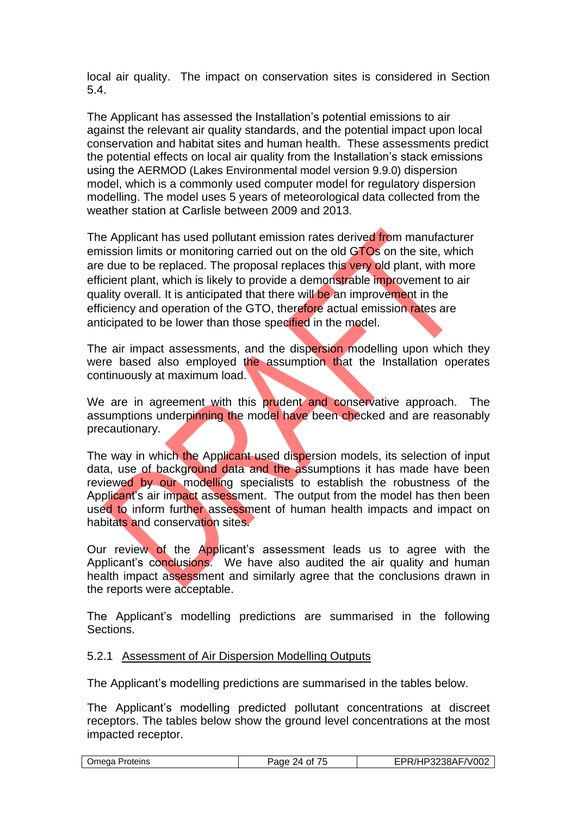local air quality. The impact on conservation sites is considered in Section 5.4.

The Applicant has assessed the Installation's potential emissions to air against the relevant air quality standards, and the potential impact upon local conservation and habitat sites and human health. These assessments predict the potential effects on local air quality from the Installation's stack emissions using the AERMOD (Lakes Environmental model version 9.9.0) dispersion model, which is a commonly used computer model for regulatory dispersion modelling. The model uses 5 years of meteorological data collected from the weather station at Carlisle between 2009 and 2013.

The Applicant has used pollutant emission rates derived from manufacturer emission limits or monitoring carried out on the old GTOs on the site, which are due to be replaced. The proposal replaces this very old plant, with more efficient plant, which is likely to provide a demonstrable improvement to air quality overall. It is anticipated that there will be an improvement in the efficiency and operation of the GTO, therefore actual emission rates are anticipated to be lower than those specified in the model.

The air impact assessments, and the dispersion modelling upon which they were based also employed the assumption that the Installation operates continuously at maximum load.

We are in agreement with this prudent and conservative approach. The assumptions underpinning the model have been checked and are reasonably precautionary.

The way in which the Applicant used dispersion models, its selection of input data, use of background data and the assumptions it has made have been reviewed by our modelling specialists to establish the robustness of the Applicant's air impact assessment. The output from the model has then been used to inform further assessment of human health impacts and impact on habitats and conservation sites.

Our review of the Applicant's assessment leads us to agree with the Applicant's conclusions. We have also audited the air quality and human health impact assessment and similarly agree that the conclusions drawn in the reports were acceptable.

The Applicant's modelling predictions are summarised in the following Sections.

#### 5.2.1 Assessment of Air Dispersion Modelling Outputs

The Applicant's modelling predictions are summarised in the tables below.

The Applicant's modelling predicted pollutant concentrations at discreet receptors. The tables below show the ground level concentrations at the most impacted receptor.

|--|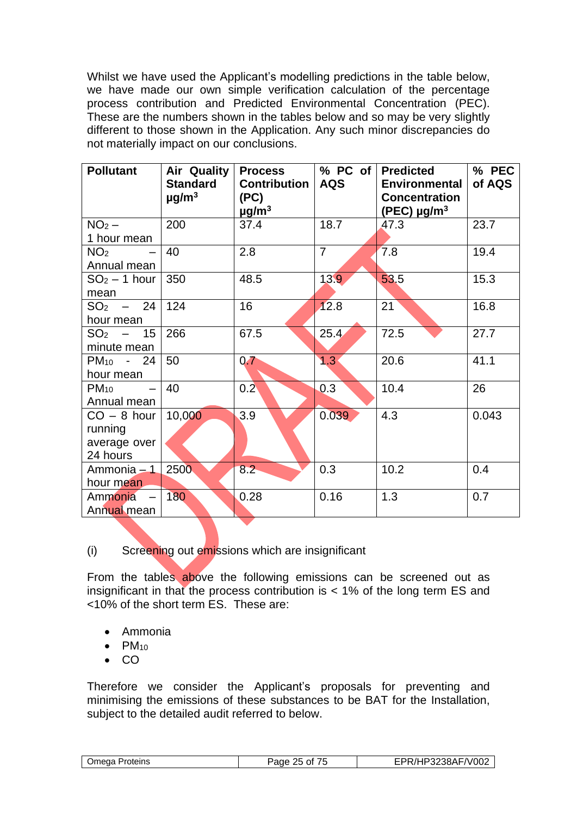Whilst we have used the Applicant's modelling predictions in the table below, we have made our own simple verification calculation of the percentage process contribution and Predicted Environmental Concentration (PEC). These are the numbers shown in the tables below and so may be very slightly different to those shown in the Application. Any such minor discrepancies do not materially impact on our conclusions.

| <b>Pollutant</b>                                     | <b>Air Quality</b><br><b>Standard</b><br>$\mu$ g/m <sup>3</sup> | <b>Process</b><br><b>Contribution</b><br>(PC)<br>$\mu$ g/m <sup>3</sup> | % PC of<br><b>AQS</b> | <b>Predicted</b><br><b>Environmental</b><br><b>Concentration</b><br>(PEC) $\mu$ g/m <sup>3</sup> | % PEC<br>of AQS |
|------------------------------------------------------|-----------------------------------------------------------------|-------------------------------------------------------------------------|-----------------------|--------------------------------------------------------------------------------------------------|-----------------|
| $NO2$ –<br>1 hour mean                               | 200                                                             | 37.4                                                                    | 18.7                  | 47.3                                                                                             | 23.7            |
| NO <sub>2</sub><br>Annual mean                       | 40                                                              | 2.8                                                                     | $\overline{7}$        | 7.8                                                                                              | 19.4            |
| $SO2 - 1$ hour<br>mean                               | 350                                                             | 48.5                                                                    | 13.9                  | 53.5                                                                                             | 15.3            |
| $SO_2$ – 24<br>hour mean                             | 124                                                             | 16                                                                      | 12.8                  | 21                                                                                               | 16.8            |
| $SO2 - 15$<br>minute mean                            | 266                                                             | 67.5                                                                    | 25.4                  | 72.5                                                                                             | 27.7            |
| PM <sub>10</sub> - 24<br>hour mean                   | 50                                                              | 0.7                                                                     | 1.3 <sup>°</sup>      | 20.6                                                                                             | 41.1            |
| $PM_{10}$<br>Annual mean                             | 40                                                              | 0.2 <sub>0</sub>                                                        | 0.3                   | 10.4                                                                                             | 26              |
| $CO - 8$ hour<br>running<br>average over<br>24 hours | 10,000                                                          | 3.9                                                                     | 0.039                 | 4.3                                                                                              | 0.043           |
| Ammonia - 1<br>hour mean                             | 2500                                                            | $8.2 -$                                                                 | 0.3                   | 10.2                                                                                             | 0.4             |
| Ammonia<br>Annual mean                               | 180                                                             | 0.28                                                                    | 0.16                  | 1.3                                                                                              | 0.7             |

(i) Screening out emissions which are insignificant

From the tables above the following emissions can be screened out as insignificant in that the process contribution is  $<$  1% of the long term ES and <10% of the short term ES. These are:

- Ammonia
- $\bullet$  PM<sub>10</sub>
- CO

Therefore we consider the Applicant's proposals for preventing and minimising the emissions of these substances to be BAT for the Installation, subject to the detailed audit referred to below.

| .)meda<br>Proteins | $ -$<br>$\sim$<br>Ωt<br>aus<br>. . | F/V002<br>.<br>ת ונ<br>$\overline{\phantom{a}}$<br>.UU<br> |
|--------------------|------------------------------------|------------------------------------------------------------|
|--------------------|------------------------------------|------------------------------------------------------------|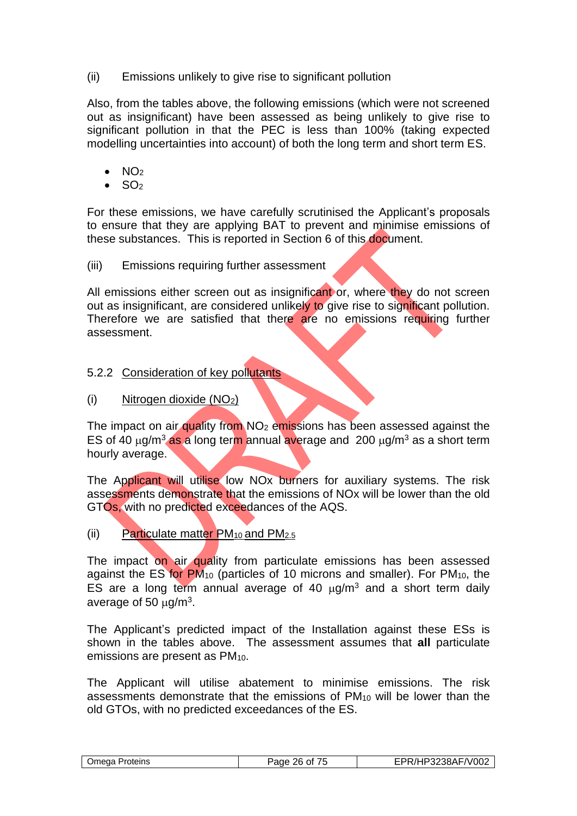(ii) Emissions unlikely to give rise to significant pollution

Also, from the tables above, the following emissions (which were not screened out as insignificant) have been assessed as being unlikely to give rise to significant pollution in that the PEC is less than 100% (taking expected modelling uncertainties into account) of both the long term and short term ES.

- $\bullet$  NO<sub>2</sub>
- $\bullet$  SO<sub>2</sub>

For these emissions, we have carefully scrutinised the Applicant's proposals to ensure that they are applying BAT to prevent and minimise emissions of these substances. This is reported in Section 6 of this document.

(iii) Emissions requiring further assessment

All emissions either screen out as insignificant or, where they do not screen out as insignificant, are considered unlikely to give rise to significant pollution. Therefore we are satisfied that there are no emissions requiring further assessment.

## 5.2.2 Consideration of key pollutants

(i) Nitrogen dioxide (NO2)

The impact on air quality from  $NO<sub>2</sub>$  emissions has been assessed against the ES of 40  $\mu$ g/m<sup>3</sup> as a long term annual average and 200  $\mu$ g/m<sup>3</sup> as a short term hourly average.

The Applicant will utilise low NOx burners for auxiliary systems. The risk assessments demonstrate that the emissions of NOx will be lower than the old GTOs, with no predicted exceedances of the AQS.

(ii) Particulate matter  $PM_{10}$  and  $PM_{2.5}$ 

The impact on air quality from particulate emissions has been assessed against the ES for PM<sup>10</sup> (particles of 10 microns and smaller). For PM10, the ES are a long term annual average of 40  $\mu$ g/m<sup>3</sup> and a short term daily average of 50  $\mu$ g/m<sup>3</sup>.

The Applicant's predicted impact of the Installation against these ESs is shown in the tables above. The assessment assumes that **all** particulate emissions are present as PM10.

The Applicant will utilise abatement to minimise emissions. The risk assessments demonstrate that the emissions of PM<sup>10</sup> will be lower than the old GTOs, with no predicted exceedances of the ES.

| )mega<br>Proteins | $- -$<br>ว 6<br>300 <sup>2</sup><br>Ωt<br>aut<br>. . | 70.IOOC<br>0 A I<br>-<br>700∠<br>v<br>-JOF<br>$\overline{\phantom{a}}$<br>$\sim$ $\sim$ |
|-------------------|------------------------------------------------------|-----------------------------------------------------------------------------------------|
|-------------------|------------------------------------------------------|-----------------------------------------------------------------------------------------|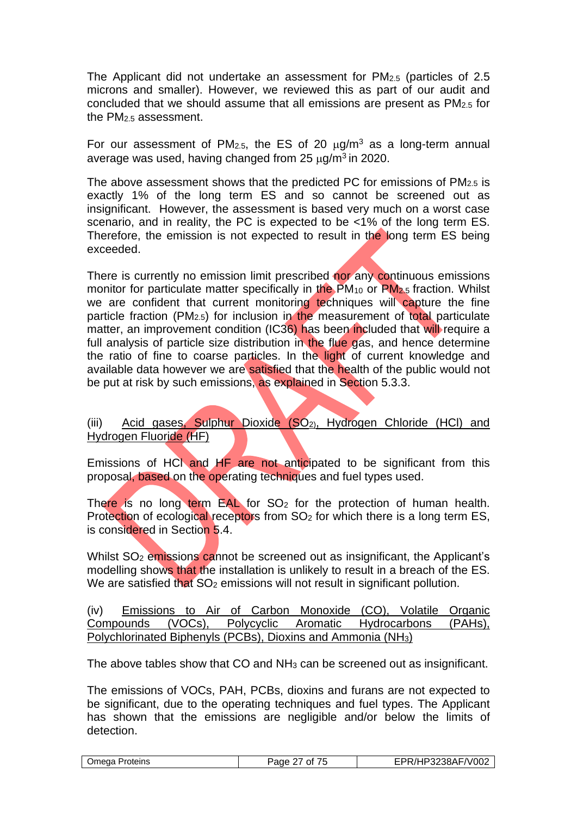The Applicant did not undertake an assessment for PM2.5 (particles of 2.5 microns and smaller). However, we reviewed this as part of our audit and concluded that we should assume that all emissions are present as PM2.5 for the PM2.5 assessment.

For our assessment of PM<sub>2.5</sub>, the ES of 20  $\mu$ g/m<sup>3</sup> as a long-term annual average was used, having changed from 25  $\mu$ g/m<sup>3</sup> in 2020.

The above assessment shows that the predicted PC for emissions of  $PM<sub>2.5</sub>$  is exactly 1% of the long term ES and so cannot be screened out as insignificant. However, the assessment is based very much on a worst case scenario, and in reality, the PC is expected to be <1% of the long term ES. Therefore, the emission is not expected to result in the long term ES being exceeded.

There is currently no emission limit prescribed nor any continuous emissions monitor for particulate matter specifically in the PM<sub>10</sub> or PM<sub>2.5</sub> fraction. Whilst we are confident that current monitoring techniques will capture the fine particle fraction (PM<sub>2.5</sub>) for inclusion in the measurement of total particulate matter, an improvement condition (IC36) has been included that will require a full analysis of particle size distribution in the flue gas, and hence determine the ratio of fine to coarse particles. In the light of current knowledge and available data however we are satisfied that the health of the public would not be put at risk by such emissions, as explained in Section 5.3.3.

(iii) Acid gases, Sulphur Dioxide (SO2), Hydrogen Chloride (HCl) and Hydrogen Fluoride (HF)

Emissions of HCl and HF are not anticipated to be significant from this proposal, based on the operating techniques and fuel types used.

There is no long term  $EAL$  for  $SO<sub>2</sub>$  for the protection of human health. Protection of ecological receptors from SO<sub>2</sub> for which there is a long term ES, is considered in Section 5.4.

Whilst SO<sub>2</sub> emissions cannot be screened out as insignificant, the Applicant's modelling shows that the installation is unlikely to result in a breach of the ES. We are satisfied that SO<sub>2</sub> emissions will not result in significant pollution.

(iv) Emissions to Air of Carbon Monoxide (CO), Volatile Organic Compounds (VOCs), Polycyclic Aromatic Hydrocarbons (PAHs), Polychlorinated Biphenyls (PCBs), Dioxins and Ammonia (NH3)

The above tables show that CO and NH<sup>3</sup> can be screened out as insignificant.

The emissions of VOCs, PAH, PCBs, dioxins and furans are not expected to be significant, due to the operating techniques and fuel types. The Applicant has shown that the emissions are negligible and/or below the limits of detection.

| Omega Proteins | Page <sup>r</sup><br>0t<br>$\overline{\phantom{a}}$ | FPR/HP3238AF/V002 |
|----------------|-----------------------------------------------------|-------------------|
|                |                                                     |                   |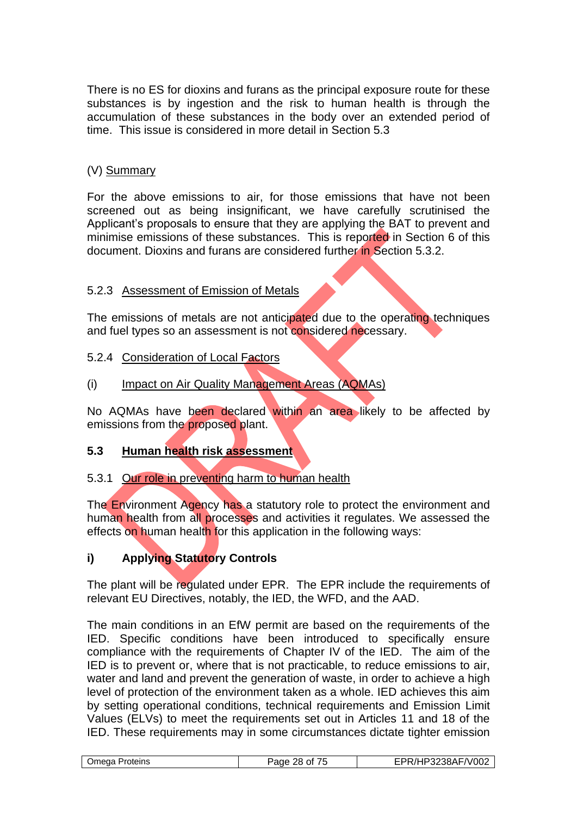There is no ES for dioxins and furans as the principal exposure route for these substances is by ingestion and the risk to human health is through the accumulation of these substances in the body over an extended period of time. This issue is considered in more detail in Section 5.3

### (V) Summary

For the above emissions to air, for those emissions that have not been screened out as being insignificant, we have carefully scrutinised the Applicant's proposals to ensure that they are applying the BAT to prevent and minimise emissions of these substances. This is reported in Section 6 of this document. Dioxins and furans are considered further in Section 5.3.2.

#### 5.2.3 Assessment of Emission of Metals

The emissions of metals are not anticipated due to the operating techniques and fuel types so an assessment is not considered necessary.

#### 5.2.4 Consideration of Local Factors

#### (i) Impact on Air Quality Management Areas (AQMAs)

No AQMAs have been declared within an area likely to be affected by emissions from the proposed plant.

#### **5.3 Human health risk assessment**

#### 5.3.1 Our role in preventing harm to human health

The Environment Agency has a statutory role to protect the environment and human health from all processes and activities it regulates. We assessed the effects on human health for this application in the following ways:

## **i) Applying Statutory Controls**

The plant will be regulated under EPR. The EPR include the requirements of relevant EU Directives, notably, the IED, the WFD, and the AAD.

The main conditions in an EfW permit are based on the requirements of the IED. Specific conditions have been introduced to specifically ensure compliance with the requirements of Chapter IV of the IED. The aim of the IED is to prevent or, where that is not practicable, to reduce emissions to air, water and land and prevent the generation of waste, in order to achieve a high level of protection of the environment taken as a whole. IED achieves this aim by setting operational conditions, technical requirements and Emission Limit Values (ELVs) to meet the requirements set out in Articles 11 and 18 of the IED. These requirements may in some circumstances dictate tighter emission

|  | Omega<br>Proteins | .<br>Page 28 of | FPR/HP3238AF/V002 |
|--|-------------------|-----------------|-------------------|
|--|-------------------|-----------------|-------------------|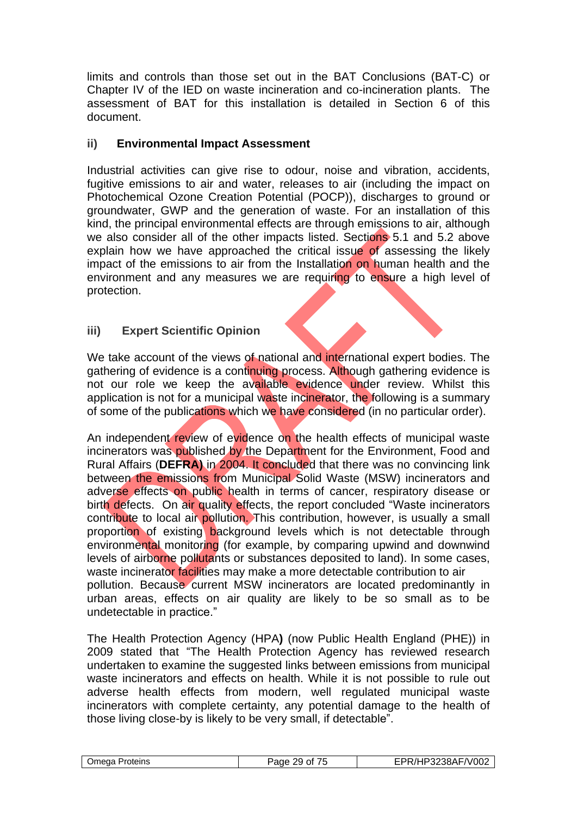limits and controls than those set out in the BAT Conclusions (BAT-C) or Chapter IV of the IED on waste incineration and co-incineration plants. The assessment of BAT for this installation is detailed in Section 6 of this document.

### **ii) Environmental Impact Assessment**

Industrial activities can give rise to odour, noise and vibration, accidents, fugitive emissions to air and water, releases to air (including the impact on Photochemical Ozone Creation Potential (POCP)), discharges to ground or groundwater, GWP and the generation of waste. For an installation of this kind, the principal environmental effects are through emissions to air, although we also consider all of the other impacts listed. Sections 5.1 and 5.2 above explain how we have approached the critical issue of assessing the likely impact of the emissions to air from the Installation on human health and the environment and any measures we are requiring to ensure a high level of protection.

#### **iii) Expert Scientific Opinion**

We take account of the views of national and international expert bodies. The gathering of evidence is a continuing process. Although gathering evidence is not our role we keep the available evidence under review. Whilst this application is not for a municipal waste incinerator, the following is a summary of some of the publications which we have considered (in no particular order).

An independent review of evidence on the health effects of municipal waste incinerators was published by the Department for the Environment. Food and Rural Affairs (**DEFRA)** in 2004. It concluded that there was no convincing link between the emissions from Municipal Solid Waste (MSW) incinerators and adverse effects on public health in terms of cancer, respiratory disease or birth defects. On air quality effects, the report concluded "Waste incinerators contribute to local air pollution. This contribution, however, is usually a small proportion of existing background levels which is not detectable through environmental monitoring (for example, by comparing upwind and downwind levels of airborne pollutants or substances deposited to land). In some cases, waste incinerator facilities may make a more detectable contribution to air pollution. Because current MSW incinerators are located predominantly in urban areas, effects on air quality are likely to be so small as to be undetectable in practice."

The Health Protection Agency (HPA**)** (now Public Health England (PHE)) in 2009 stated that "The Health Protection Agency has reviewed research undertaken to examine the suggested links between emissions from municipal waste incinerators and effects on health. While it is not possible to rule out adverse health effects from modern, well regulated municipal waste incinerators with complete certainty, any potential damage to the health of those living close-by is likely to be very small, if detectable".

| )mega<br>Proteins | $-$<br>300<br>Ωt<br>◡<br>aut<br>. . | $-0.10c$<br>ົີດΩ∆⊫⊥<br>ש∪יי∟<br>ורשט<br>. |
|-------------------|-------------------------------------|-------------------------------------------|
|-------------------|-------------------------------------|-------------------------------------------|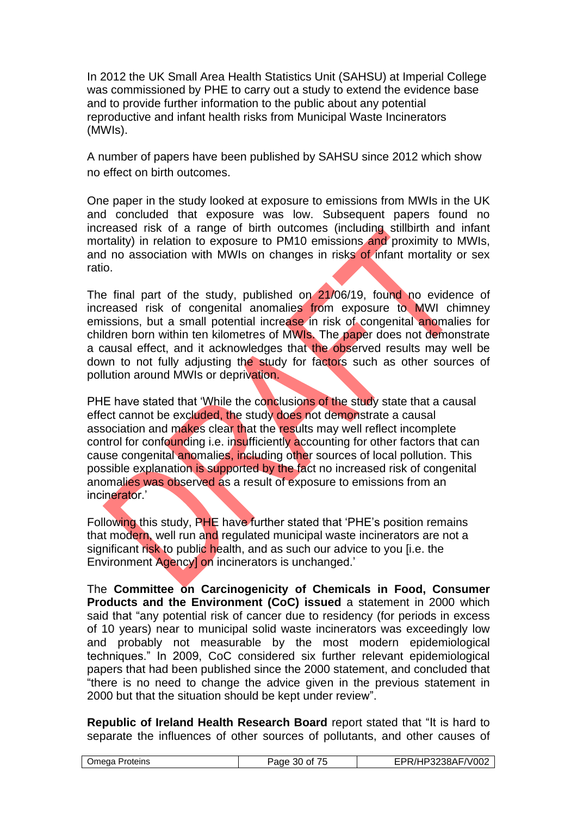In 2012 the UK Small Area Health Statistics Unit (SAHSU) at Imperial College was commissioned by PHE to carry out a study to extend the evidence base and to provide further information to the public about any potential reproductive and infant health risks from Municipal Waste Incinerators (MWIs).

A number of papers have been published by SAHSU since 2012 which show no effect on birth outcomes.

One paper in the study looked at exposure to emissions from MWIs in the UK and concluded that exposure was low. Subsequent papers found no increased risk of a range of birth outcomes (including stillbirth and infant mortality) in relation to exposure to PM10 emissions and proximity to MWIs. and no association with MWIs on changes in risks of infant mortality or sex ratio.

The final part of the study, published on 21/06/19, found no evidence of increased risk of congenital anomalies from exposure to MWI chimney emissions, but a small potential increase in risk of congenital anomalies for children born within ten kilometres of MWIs. The paper does not demonstrate a causal effect, and it acknowledges that the observed results may well be down to not fully adjusting the study for factors such as other sources of pollution around MWIs or deprivation.

PHE have stated that 'While the conclusions of the study state that a causal effect cannot be excluded, the study does not demonstrate a causal association and makes clear that the results may well reflect incomplete control for confounding i.e. insufficiently accounting for other factors that can cause congenital anomalies, including other sources of local pollution. This possible explanation is supported by the fact no increased risk of congenital anomalies was observed as a result of exposure to emissions from an incinerator<sup>'</sup>

Following this study, PHE have further stated that 'PHE's position remains that modern, well run and regulated municipal waste incinerators are not a significant risk to public health, and as such our advice to you [i.e. the Environment Agency] on incinerators is unchanged.'

The **Committee on Carcinogenicity of Chemicals in Food, Consumer Products and the Environment (CoC) issued** a statement in 2000 which said that "any potential risk of cancer due to residency (for periods in excess of 10 years) near to municipal solid waste incinerators was exceedingly low and probably not measurable by the most modern epidemiological techniques." In 2009, CoC considered six further relevant epidemiological papers that had been published since the 2000 statement, and concluded that "there is no need to change the advice given in the previous statement in 2000 but that the situation should be kept under review".

**Republic of Ireland Health Research Board** report stated that "It is hard to separate the influences of other sources of pollutants, and other causes of

| :/HP3238AF/V002 |
|-----------------|
|-----------------|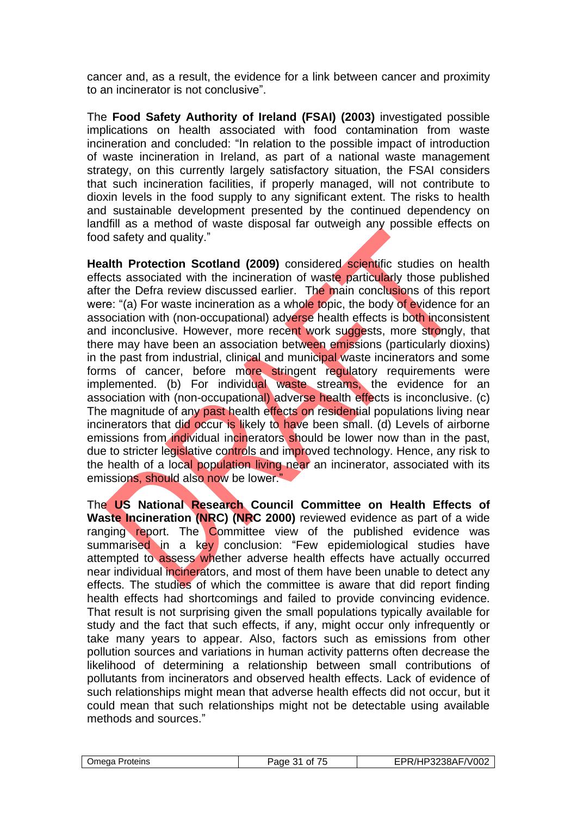cancer and, as a result, the evidence for a link between cancer and proximity to an incinerator is not conclusive".

The **Food Safety Authority of Ireland (FSAI) (2003)** investigated possible implications on health associated with food contamination from waste incineration and concluded: "In relation to the possible impact of introduction of waste incineration in Ireland, as part of a national waste management strategy, on this currently largely satisfactory situation, the FSAI considers that such incineration facilities, if properly managed, will not contribute to dioxin levels in the food supply to any significant extent. The risks to health and sustainable development presented by the continued dependency on landfill as a method of waste disposal far outweigh any possible effects on food safety and quality."

**Health Protection Scotland (2009)** considered scientific studies on health effects associated with the incineration of waste particularly those published after the Defra review discussed earlier. The main conclusions of this report were: "(a) For waste incineration as a whole topic, the body of evidence for an association with (non-occupational) adverse health effects is both inconsistent and inconclusive. However, more recent work suggests, more strongly, that there may have been an association between emissions (particularly dioxins) in the past from industrial, clinical and municipal waste incinerators and some forms of cancer, before more stringent requilatory requirements were implemented. (b) For individual waste streams, the evidence for an association with (non-occupational) adverse health effects is inconclusive. (c) The magnitude of any past health effects on residential populations living near incinerators that did occur is likely to have been small. (d) Levels of airborne emissions from individual incinerators should be lower now than in the past, due to stricter legislative controls and improved technology. Hence, any risk to the health of a local population living near an incinerator, associated with its emissions, should also now be lower."

The **US National Research Council Committee on Health Effects of Waste Incineration (NRC) (NRC 2000)** reviewed evidence as part of a wide ranging report. The Committee view of the published evidence was summarised in a key conclusion: "Few epidemiological studies have attempted to assess whether adverse health effects have actually occurred near individual incinerators, and most of them have been unable to detect any effects. The studies of which the committee is aware that did report finding health effects had shortcomings and failed to provide convincing evidence. That result is not surprising given the small populations typically available for study and the fact that such effects, if any, might occur only infrequently or take many years to appear. Also, factors such as emissions from other pollution sources and variations in human activity patterns often decrease the likelihood of determining a relationship between small contributions of pollutants from incinerators and observed health effects. Lack of evidence of such relationships might mean that adverse health effects did not occur, but it could mean that such relationships might not be detectable using available methods and sources."

|  | )meaa<br>Proteins | $ -$<br>300 <sup>2</sup><br>Ωt<br>. .<br>מוזב<br>аи<br>. . | л г<br>`′∪∪∠<br>v<br>-907<br>., |
|--|-------------------|------------------------------------------------------------|---------------------------------|
|--|-------------------|------------------------------------------------------------|---------------------------------|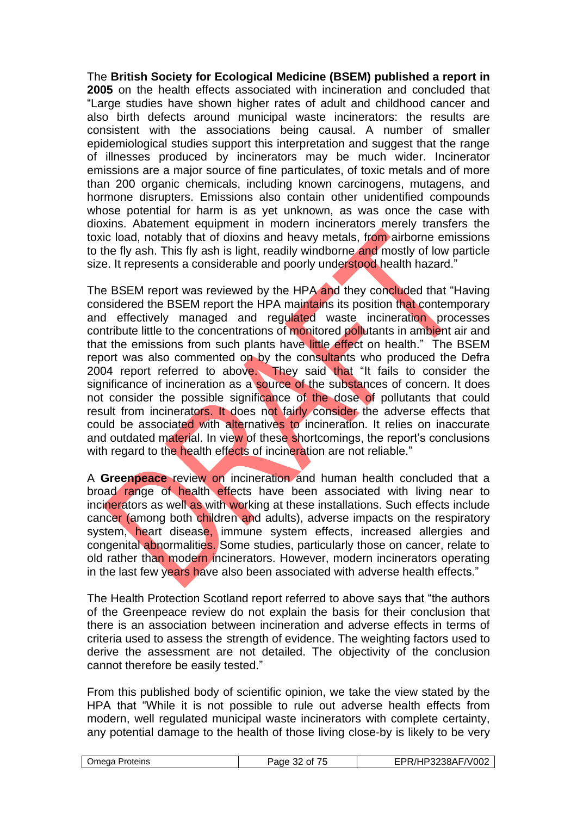The **British Society for Ecological Medicine (BSEM) published a report in 2005** on the health effects associated with incineration and concluded that "Large studies have shown higher rates of adult and childhood cancer and also birth defects around municipal waste incinerators: the results are consistent with the associations being causal. A number of smaller epidemiological studies support this interpretation and suggest that the range of illnesses produced by incinerators may be much wider. Incinerator emissions are a major source of fine particulates, of toxic metals and of more than 200 organic chemicals, including known carcinogens, mutagens, and hormone disrupters. Emissions also contain other unidentified compounds whose potential for harm is as yet unknown, as was once the case with dioxins. Abatement equipment in modern incinerators merely transfers the toxic load, notably that of dioxins and heavy metals, from airborne emissions to the fly ash. This fly ash is light, readily windborne and mostly of low particle size. It represents a considerable and poorly understood health hazard."

The BSEM report was reviewed by the HPA and they concluded that "Having considered the BSEM report the HPA maintains its position that contemporary and effectively managed and regulated waste incineration processes contribute little to the concentrations of monitored pollutants in ambient air and that the emissions from such plants have little effect on health." The BSEM report was also commented on by the consultants who produced the Defra 2004 report referred to above. They said that "It fails to consider the significance of incineration as a source of the substances of concern. It does not consider the possible significance of the dose of pollutants that could result from incinerators. It does not fairly consider the adverse effects that could be associated with alternatives to incineration. It relies on inaccurate and outdated material. In view of these shortcomings, the report's conclusions with regard to the health effects of incineration are not reliable."

A **Greenpeace** review on incineration and human health concluded that a broad range of health effects have been associated with living near to incinerators as well as with working at these installations. Such effects include cancer (among both children and adults), adverse impacts on the respiratory system, heart disease, immune system effects, increased allergies and congenital abnormalities. Some studies, particularly those on cancer, relate to old rather than modern incinerators. However, modern incinerators operating in the last few years have also been associated with adverse health effects."

The Health Protection Scotland report referred to above says that "the authors of the Greenpeace review do not explain the basis for their conclusion that there is an association between incineration and adverse effects in terms of criteria used to assess the strength of evidence. The weighting factors used to derive the assessment are not detailed. The objectivity of the conclusion cannot therefore be easily tested."

From this published body of scientific opinion, we take the view stated by the HPA that "While it is not possible to rule out adverse health effects from modern, well regulated municipal waste incinerators with complete certainty, any potential damage to the health of those living close-by is likely to be very

|--|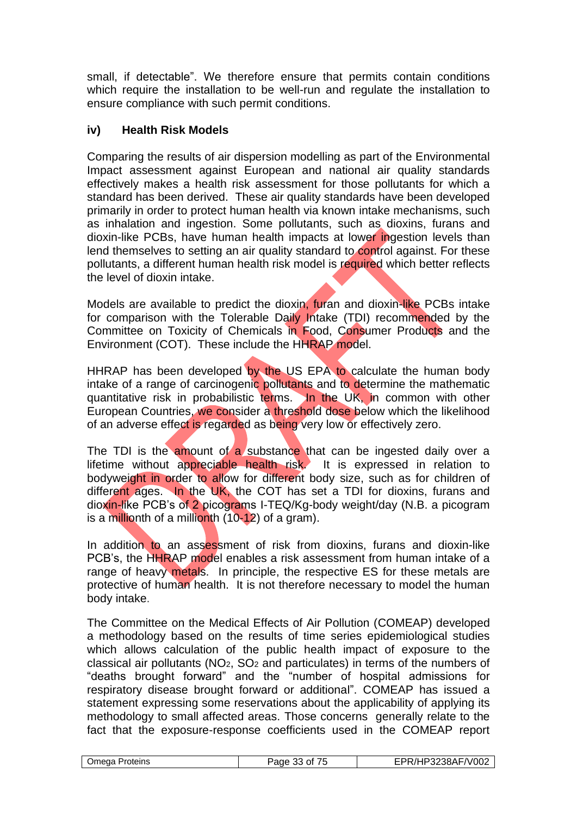small, if detectable". We therefore ensure that permits contain conditions which require the installation to be well-run and regulate the installation to ensure compliance with such permit conditions.

## **iv) Health Risk Models**

Comparing the results of air dispersion modelling as part of the Environmental Impact assessment against European and national air quality standards effectively makes a health risk assessment for those pollutants for which a standard has been derived. These air quality standards have been developed primarily in order to protect human health via known intake mechanisms, such as inhalation and ingestion. Some pollutants, such as dioxins, furans and dioxin-like PCBs, have human health impacts at lower ingestion levels than lend themselves to setting an air quality standard to control against. For these pollutants, a different human health risk model is required which better reflects the level of dioxin intake.

Models are available to predict the dioxin, furan and dioxin-like PCBs intake for comparison with the Tolerable Daily Intake (TDI) recommended by the Committee on Toxicity of Chemicals in Food, Consumer Products and the Environment (COT). These include the HHRAP model.

HHRAP has been developed by the US EPA to calculate the human body intake of a range of carcinogenic pollutants and to determine the mathematic quantitative risk in probabilistic terms. In the UK, in common with other European Countries, we consider a threshold dose below which the likelihood of an adverse effect is regarded as being very low or effectively zero.

The TDI is the amount of a substance that can be ingested daily over a lifetime without appreciable health risk. It is expressed in relation to bodyweight in order to allow for different body size, such as for children of different ages. In the UK, the COT has set a TDI for dioxins, furans and dioxin-like PCB's of 2 picograms I-TEQ/Kg-body weight/day (N.B. a picogram is a millionth of a millionth  $(10-12)$  of a gram).

In addition to an assessment of risk from dioxins, furans and dioxin-like PCB's, the HHRAP model enables a risk assessment from human intake of a range of heavy metals. In principle, the respective ES for these metals are protective of human health. It is not therefore necessary to model the human body intake.

The Committee on the Medical Effects of Air Pollution (COMEAP) developed a methodology based on the results of time series epidemiological studies which allows calculation of the public health impact of exposure to the classical air pollutants ( $NO<sub>2</sub>$ ,  $SO<sub>2</sub>$  and particulates) in terms of the numbers of "deaths brought forward" and the "number of hospital admissions for respiratory disease brought forward or additional". COMEAP has issued a statement expressing some reservations about the applicability of applying its methodology to small affected areas. Those concerns generally relate to the fact that the exposure-response coefficients used in the COMEAP report

| Omega Proteins | $- -$<br>Paɑe<br>0t<br>.<br>. . | $\sqrt{-1}$ V002<br>$^{\prime}$<br>73238AF/ |
|----------------|---------------------------------|---------------------------------------------|
|                |                                 |                                             |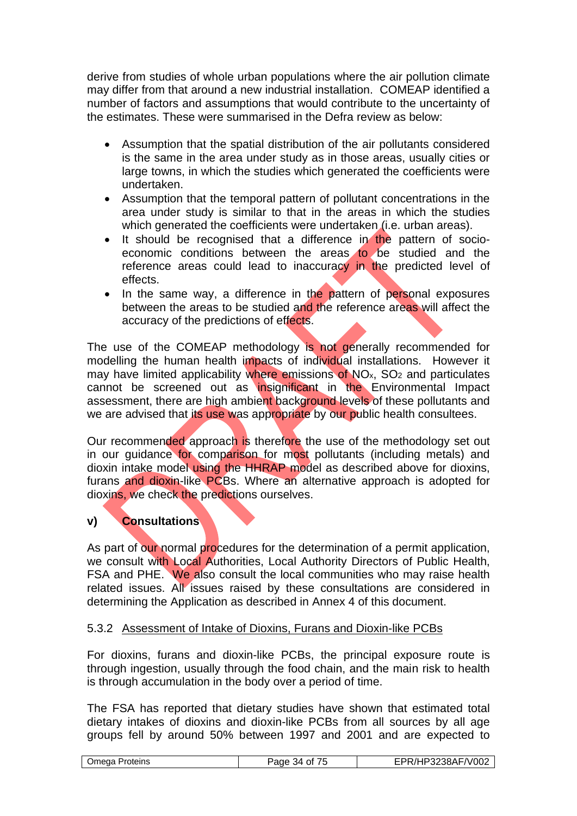derive from studies of whole urban populations where the air pollution climate may differ from that around a new industrial installation. COMEAP identified a number of factors and assumptions that would contribute to the uncertainty of the estimates. These were summarised in the Defra review as below:

- Assumption that the spatial distribution of the air pollutants considered is the same in the area under study as in those areas, usually cities or large towns, in which the studies which generated the coefficients were undertaken.
- Assumption that the temporal pattern of pollutant concentrations in the area under study is similar to that in the areas in which the studies which generated the coefficients were undertaken (i.e. urban areas).
- It should be recognised that a difference in the pattern of socioeconomic conditions between the areas to be studied and the reference areas could lead to inaccuracy in the predicted level of effects.
- In the same way, a difference in the pattern of personal exposures between the areas to be studied and the reference areas will affect the accuracy of the predictions of effects.

The use of the COMEAP methodology is not generally recommended for modelling the human health impacts of individual installations. However it may have limited applicability where emissions of  $NO<sub>x</sub>$ ,  $SO<sub>2</sub>$  and particulates cannot be screened out as insignificant in the Environmental Impact assessment, there are high ambient background levels of these pollutants and we are advised that its use was appropriate by our public health consultees.

Our recommended approach is therefore the use of the methodology set out in our guidance for comparison for most pollutants (including metals) and dioxin intake model using the HHRAP model as described above for dioxins, furans and dioxin-like PCBs. Where an alternative approach is adopted for dioxins, we check the predictions ourselves.

## **v) Consultations**

As part of our normal procedures for the determination of a permit application, we consult with Local Authorities, Local Authority Directors of Public Health, FSA and PHE. We also consult the local communities who may raise health related issues. All issues raised by these consultations are considered in determining the Application as described in Annex 4 of this document.

## 5.3.2 Assessment of Intake of Dioxins, Furans and Dioxin-like PCBs

For dioxins, furans and dioxin-like PCBs, the principal exposure route is through ingestion, usually through the food chain, and the main risk to health is through accumulation in the body over a period of time.

The FSA has reported that dietary studies have shown that estimated total dietary intakes of dioxins and dioxin-like PCBs from all sources by all age groups fell by around 50% between 1997 and 2001 and are expected to

|--|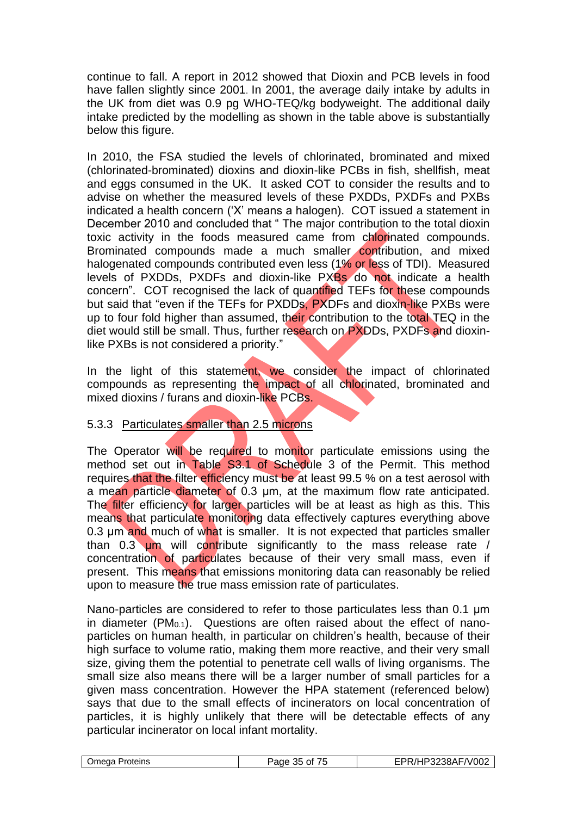continue to fall. A report in 2012 showed that Dioxin and PCB levels in food have fallen slightly since 2001. In 2001, the average daily intake by adults in the UK from diet was 0.9 pg WHO-TEQ/kg bodyweight. The additional daily intake predicted by the modelling as shown in the table above is substantially below this figure.

In 2010, the FSA studied the levels of chlorinated, brominated and mixed (chlorinated-brominated) dioxins and dioxin-like PCBs in fish, shellfish, meat and eggs consumed in the UK. It asked COT to consider the results and to advise on whether the measured levels of these PXDDs, PXDFs and PXBs indicated a health concern ('X' means a halogen). COT issued a statement in December 2010 and concluded that " The major contribution to the total dioxin toxic activity in the foods measured came from chlorinated compounds. Brominated compounds made a much smaller contribution, and mixed halogenated compounds contributed even less (1% or less of TDI). Measured levels of PXDDs, PXDFs and dioxin-like PXBs do not indicate a health concern". COT recognised the lack of quantified TEFs for these compounds but said that "even if the TEFs for PXDDs, PXDFs and dioxin-like PXBs were up to four fold higher than assumed, their contribution to the total TEQ in the diet would still be small. Thus, further research on PXDDs, PXDFs and dioxinlike PXBs is not considered a priority."

In the light of this statement, we consider the impact of chlorinated compounds as representing the impact of all chlorinated, brominated and mixed dioxins / furans and dioxin-like PCBs.

## 5.3.3 Particulates smaller than 2.5 microns

The Operator will be required to monitor particulate emissions using the method set out in Table S3.1 of Schedule 3 of the Permit. This method requires that the filter efficiency must be at least 99.5 % on a test aerosol with a mean particle diameter of 0.3 μm, at the maximum flow rate anticipated. The filter efficiency for larger particles will be at least as high as this. This means that particulate monitoring data effectively captures everything above 0.3 μm and much of what is smaller. It is not expected that particles smaller than 0.3 um will contribute significantly to the mass release rate / concentration of particulates because of their very small mass, even if present. This means that emissions monitoring data can reasonably be relied upon to measure the true mass emission rate of particulates.

Nano-particles are considered to refer to those particulates less than 0.1 μm in diameter  $(PM_{0.1})$ . Questions are often raised about the effect of nanoparticles on human health, in particular on children's health, because of their high surface to volume ratio, making them more reactive, and their very small size, giving them the potential to penetrate cell walls of living organisms. The small size also means there will be a larger number of small particles for a given mass concentration. However the HPA statement (referenced below) says that due to the small effects of incinerators on local concentration of particles, it is highly unlikely that there will be detectable effects of any particular incinerator on local infant mortality.

| . .<br>.<br>. . | .)meda<br>Proteins | $ -$<br>age<br>Ωt | 8AF/V002<br>73238AF/ v |
|-----------------|--------------------|-------------------|------------------------|
|-----------------|--------------------|-------------------|------------------------|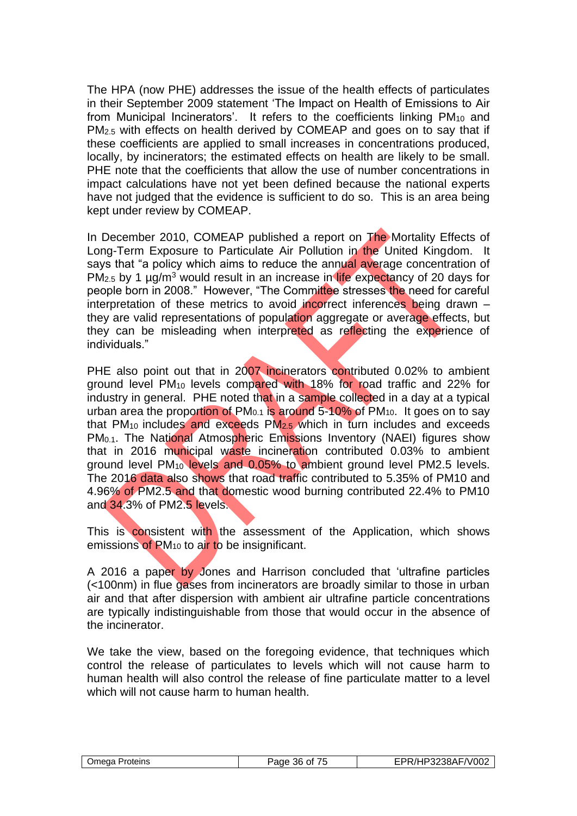The HPA (now PHE) addresses the issue of the health effects of particulates in their September 2009 statement 'The Impact on Health of Emissions to Air from Municipal Incinerators'. It refers to the coefficients linking PM<sub>10</sub> and PM<sub>2.5</sub> with effects on health derived by COMEAP and goes on to say that if these coefficients are applied to small increases in concentrations produced, locally, by incinerators; the estimated effects on health are likely to be small. PHE note that the coefficients that allow the use of number concentrations in impact calculations have not yet been defined because the national experts have not judged that the evidence is sufficient to do so. This is an area being kept under review by COMEAP.

In December 2010, COMEAP published a report on The Mortality Effects of Long-Term Exposure to Particulate Air Pollution in the United Kingdom. It says that "a policy which aims to reduce the annual average concentration of PM<sub>2.5</sub> by 1 µg/m<sup>3</sup> would result in an increase in life expectancy of 20 days for people born in 2008." However, "The Committee stresses the need for careful interpretation of these metrics to avoid incorrect inferences being drawn – they are valid representations of population aggregate or average effects, but they can be misleading when interpreted as reflecting the experience of individuals."

PHE also point out that in 2007 incinerators contributed 0.02% to ambient ground level PM<sub>10</sub> levels compared with 18% for road traffic and 22% for industry in general. PHE noted that in a sample collected in a day at a typical urban area the proportion of  $PM<sub>0.1</sub>$  is around 5-10% of  $PM<sub>10</sub>$ . It goes on to say that PM10 includes and exceeds PM2.5 which in turn includes and exceeds PM<sub>0.1</sub>. The National Atmospheric Emissions Inventory (NAEI) figures show that in 2016 municipal waste incineration contributed 0.03% to ambient ground level PM<sup>10</sup> levels and 0.05% to ambient ground level PM2.5 levels. The 2016 data also shows that road traffic contributed to 5.35% of PM10 and 4.96% of PM2.5 and that domestic wood burning contributed 22.4% to PM10 and 34.3% of PM2.5 levels.

This is consistent with the assessment of the Application, which shows emissions of PM<sub>10</sub> to air to be insignificant.

A 2016 a paper by Jones and Harrison concluded that 'ultrafine particles (<100nm) in flue gases from incinerators are broadly similar to those in urban air and that after dispersion with ambient air ultrafine particle concentrations are typically indistinguishable from those that would occur in the absence of the incinerator.

We take the view, based on the foregoing evidence, that techniques which control the release of particulates to levels which will not cause harm to human health will also control the release of fine particulate matter to a level which will not cause harm to human health.

| Omega Proteins | Page<br>.36 of<br>, , | EPR/HP3238AF/V002 |
|----------------|-----------------------|-------------------|
|----------------|-----------------------|-------------------|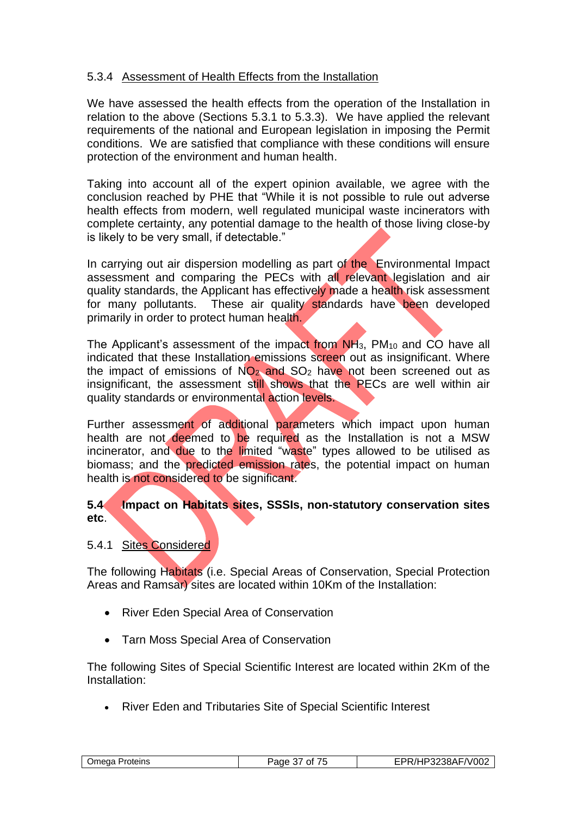# 5.3.4 Assessment of Health Effects from the Installation

We have assessed the health effects from the operation of the Installation in relation to the above (Sections 5.3.1 to 5.3.3). We have applied the relevant requirements of the national and European legislation in imposing the Permit conditions. We are satisfied that compliance with these conditions will ensure protection of the environment and human health.

Taking into account all of the expert opinion available, we agree with the conclusion reached by PHE that "While it is not possible to rule out adverse health effects from modern, well regulated municipal waste incinerators with complete certainty, any potential damage to the health of those living close-by is likely to be very small, if detectable."

In carrying out air dispersion modelling as part of the Environmental Impact assessment and comparing the PECs with all relevant legislation and air quality standards, the Applicant has effectively made a health risk assessment for many pollutants. These air quality standards have been developed primarily in order to protect human health.

The Applicant's assessment of the impact from NH3, PM<sup>10</sup> and CO have all indicated that these Installation emissions screen out as insignificant. Where the impact of emissions of  $NO<sub>2</sub>$  and  $SO<sub>2</sub>$  have not been screened out as insignificant, the assessment still shows that the PECs are well within air quality standards or environmental action levels.

Further assessment of additional parameters which impact upon human health are not deemed to be required as the Installation is not a MSW incinerator, and due to the limited "waste" types allowed to be utilised as biomass; and the predicted emission rates, the potential impact on human health is not considered to be significant.

# **5.4 Impact on Habitats sites, SSSIs, non-statutory conservation sites etc**.

5.4.1 Sites Considered

The following Habitats (i.e. Special Areas of Conservation, Special Protection Areas and Ramsar) sites are located within 10Km of the Installation:

- River Eden Special Area of Conservation
- Tarn Moss Special Area of Conservation

The following Sites of Special Scientific Interest are located within 2Km of the Installation:

• River Eden and Tributaries Site of Special Scientific Interest

| ---<br>Jmeɑa<br>Proteins<br>Page<br>Οt<br>. | 3238AF/V002 |
|---------------------------------------------|-------------|
|---------------------------------------------|-------------|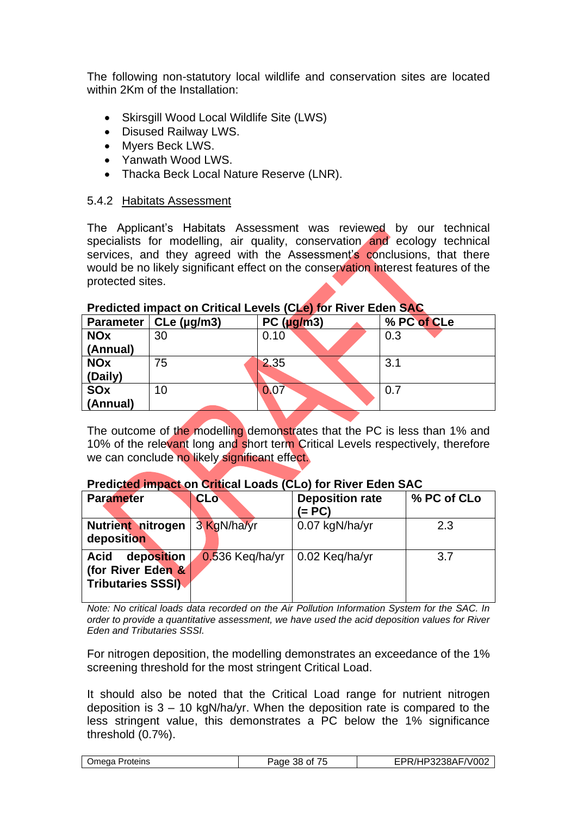The following non-statutory local wildlife and conservation sites are located within 2Km of the Installation:

- Skirsgill Wood Local Wildlife Site (LWS)
- Disused Railway LWS.
- Myers Beck LWS.
- Yanwath Wood LWS.
- Thacka Beck Local Nature Reserve (LNR).

## 5.4.2 Habitats Assessment

The Applicant's Habitats Assessment was reviewed by our technical specialists for modelling, air quality, conservation and ecology technical services, and they agreed with the Assessment's conclusions, that there would be no likely significant effect on the conservation interest features of the protected sites.

# **Predicted impact on Critical Levels (CLe) for River Eden SAC**

The outcome of the modelling demonstrates that the PC is less than 1% and 10% of the relevant long and short term Critical Levels respectively, therefore we can conclude no likely significant effect.

#### **Predicted impact on Critical Loads (CLo) for River Eden SAC**

| <b>Parameter</b>                                                          | <b>CLo</b>        | <b>Deposition rate</b><br>(= PC) | % PC of CLo |
|---------------------------------------------------------------------------|-------------------|----------------------------------|-------------|
| <b>Nutrient nitrogen</b><br>deposition                                    | 3 KgN/ha/yr       | 0.07 kgN/ha/yr                   | 2.3         |
| deposition<br><b>Acid</b><br>(for River Eden &<br><b>Tributaries SSSI</b> | $0.536$ Keg/ha/yr | 0.02 Keq/ha/yr                   | 3.7         |

*Note: No critical loads data recorded on the Air Pollution Information System for the SAC. In order to provide a quantitative assessment, we have used the acid deposition values for River Eden and Tributaries SSSI.* 

For nitrogen deposition, the modelling demonstrates an exceedance of the 1% screening threshold for the most stringent Critical Load.

It should also be noted that the Critical Load range for nutrient nitrogen deposition is  $3 - 10$  kgN/ha/yr. When the deposition rate is compared to the less stringent value, this demonstrates a PC below the 1% significance threshold (0.7%).

| <b>Omega Proteins</b> | Page 38 of<br>. | EPR/HP3238AF/V002 |
|-----------------------|-----------------|-------------------|
|                       |                 |                   |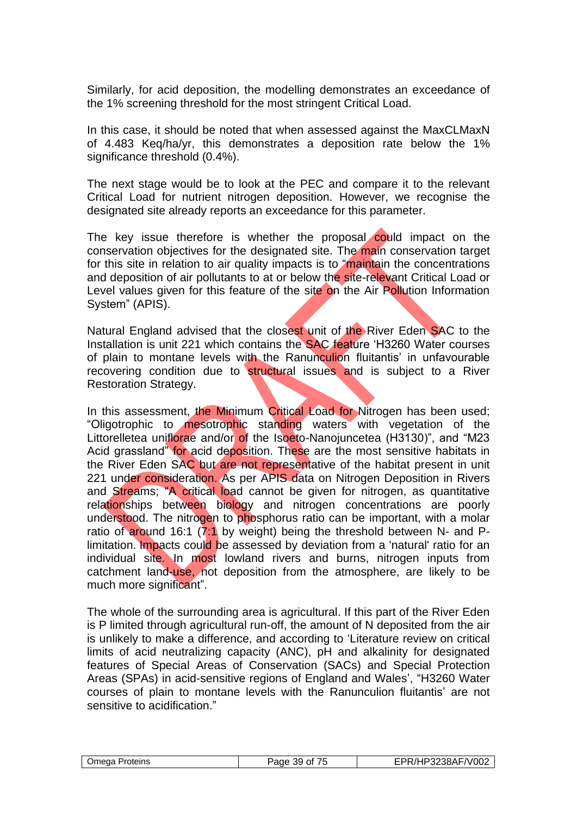Similarly, for acid deposition, the modelling demonstrates an exceedance of the 1% screening threshold for the most stringent Critical Load.

In this case, it should be noted that when assessed against the MaxCLMaxN of 4.483 Keq/ha/yr, this demonstrates a deposition rate below the 1% significance threshold  $(0.4\%)$ .

The next stage would be to look at the PEC and compare it to the relevant Critical Load for nutrient nitrogen deposition. However, we recognise the designated site already reports an exceedance for this parameter.

The key issue therefore is whether the proposal could impact on the conservation objectives for the designated site. The main conservation target for this site in relation to air quality impacts is to "maintain the concentrations and deposition of air pollutants to at or below the site-relevant Critical Load or Level values given for this feature of the site on the Air Pollution Information System" (APIS).

Natural England advised that the closest unit of the River Eden SAC to the Installation is unit 221 which contains the SAC feature 'H3260 Water courses of plain to montane levels with the Ranunculion fluitantis' in unfavourable recovering condition due to structural issues and is subject to a River Restoration Strategy.

In this assessment, the Minimum Critical Load for Nitrogen has been used; "Oligotrophic to mesotrophic standing waters with vegetation of the Littorelletea uniflorae and/or of the Isoeto-Nanojuncetea (H3130)", and "M23 Acid grassland" for acid deposition. These are the most sensitive habitats in the River Eden SAC but are not representative of the habitat present in unit 221 under consideration. As per APIS data on Nitrogen Deposition in Rivers and Streams; "A critical load cannot be given for nitrogen, as quantitative relationships between biology and nitrogen concentrations are poorly understood. The nitrogen to phosphorus ratio can be important, with a molar ratio of around 16:1 (7:1 by weight) being the threshold between N- and Plimitation. Impacts could be assessed by deviation from a 'natural' ratio for an individual site. In most lowland rivers and burns, nitrogen inputs from catchment land-use, not deposition from the atmosphere, are likely to be much more significant".

The whole of the surrounding area is agricultural. If this part of the River Eden is P limited through agricultural run-off, the amount of N deposited from the air is unlikely to make a difference, and according to 'Literature review on critical limits of acid neutralizing capacity (ANC), pH and alkalinity for designated features of Special Areas of Conservation (SACs) and Special Protection Areas (SPAs) in acid-sensitive regions of England and Wales', "H3260 Water courses of plain to montane levels with the Ranunculion fluitantis' are not sensitive to acidification."

| <b>Omega</b><br>Proteins | $ -$<br>ade<br>ົົົົົົົົົົົົົົົົົົົົົົົົົົົົົົົົ<br>-59 | F/V002<br>$\bigcap$ $2R \Delta L$<br>$\cdot$ $\cdot$<br>-JUN' |
|--------------------------|--------------------------------------------------------|---------------------------------------------------------------|
|                          |                                                        |                                                               |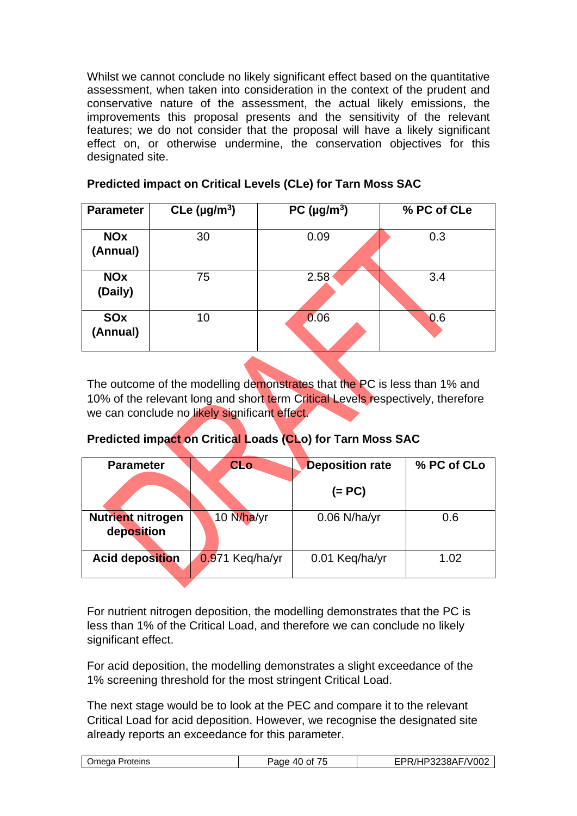Whilst we cannot conclude no likely significant effect based on the quantitative assessment, when taken into consideration in the context of the prudent and conservative nature of the assessment, the actual likely emissions, the improvements this proposal presents and the sensitivity of the relevant features; we do not consider that the proposal will have a likely significant effect on, or otherwise undermine, the conservation objectives for this designated site.

| <b>Parameter</b>       | CLe $(\mu g/m^3)$ | PC ( $\mu$ g/m <sup>3</sup> ) | % PC of CLe |
|------------------------|-------------------|-------------------------------|-------------|
| <b>NOx</b><br>(Annual) | 30                | 0.09                          | 0.3         |
| <b>NOx</b><br>(Daily)  | 75                | 2.58                          | 3.4         |
| <b>SOx</b><br>(Annual) | 10                | 0.06                          | 0.6         |

# **Predicted impact on Critical Levels (CLe) for Tarn Moss SAC**

The outcome of the modelling demonstrates that the PC is less than 1% and 10% of the relevant long and short term Critical Levels respectively, therefore we can conclude no likely significant effect.

# **Predicted impact on Critical Loads (CLo) for Tarn Moss SAC**

| <b>Parameter</b>                | <b>CLo</b>      | <b>Deposition rate</b> | % PC of CLo |
|---------------------------------|-----------------|------------------------|-------------|
|                                 |                 | $(= PC)$               |             |
| Nutrient nitrogen<br>deposition | 10 N/ha/yr      | $0.06$ N/ha/yr         | 0.6         |
| <b>Acid deposition</b>          | 0.971 Keq/ha/yr | 0.01 Keq/ha/yr         | 1.02        |

For nutrient nitrogen deposition, the modelling demonstrates that the PC is less than 1% of the Critical Load, and therefore we can conclude no likely significant effect.

For acid deposition, the modelling demonstrates a slight exceedance of the 1% screening threshold for the most stringent Critical Load.

The next stage would be to look at the PEC and compare it to the relevant Critical Load for acid deposition. However, we recognise the designated site already reports an exceedance for this parameter.

| )meaa<br>roteins' | --<br>$\sim$ $\sim$<br>Ωt<br>, ,<br>21 L<br>. | $\n  n$<br>$\mathbf{r}$<br>ے∪∪′<br>v<br>′JOAr<br>$\mathcal{L}$ |
|-------------------|-----------------------------------------------|----------------------------------------------------------------|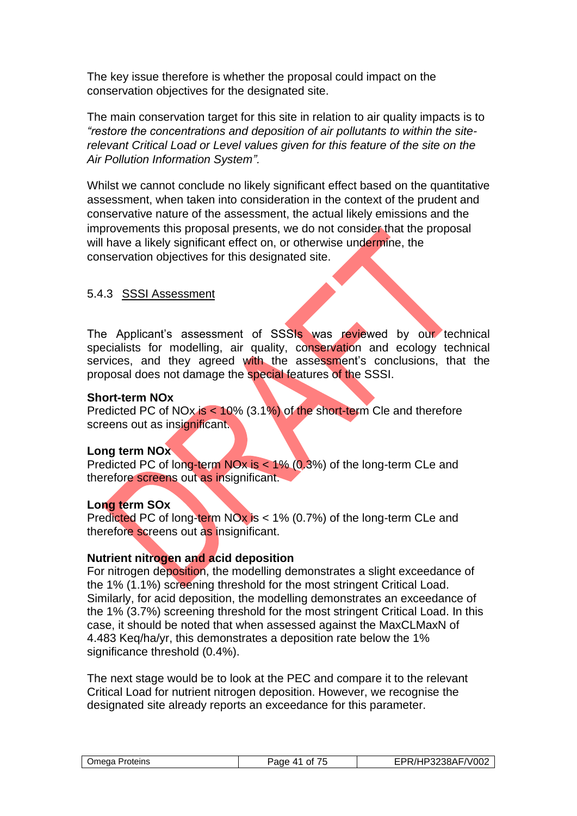The key issue therefore is whether the proposal could impact on the conservation objectives for the designated site.

The main conservation target for this site in relation to air quality impacts is to *"restore the concentrations and deposition of air pollutants to within the siterelevant Critical Load or Level values given for this feature of the site on the Air Pollution Information System".* 

Whilst we cannot conclude no likely significant effect based on the quantitative assessment, when taken into consideration in the context of the prudent and conservative nature of the assessment, the actual likely emissions and the improvements this proposal presents, we do not consider that the proposal will have a likely significant effect on, or otherwise undermine, the conservation objectives for this designated site.

# 5.4.3 SSSI Assessment

The Applicant's assessment of SSSIs was reviewed by our technical specialists for modelling, air quality, conservation and ecology technical services, and they agreed with the assessment's conclusions, that the proposal does not damage the special features of the SSSI.

## **Short-term NOx**

Predicted PC of NOx is < 10% (3.1%) of the short-term Cle and therefore screens out as insignificant.

# **Long term NOx**

Predicted PC of long-term NOx is < 1% (0.3%) of the long-term CLe and therefore screens out as insignificant.

# **Long term SOx**

Predicted PC of long-term NOx is < 1% (0.7%) of the long-term CLe and therefore screens out as insignificant.

# **Nutrient nitrogen and acid deposition**

For nitrogen deposition, the modelling demonstrates a slight exceedance of the 1% (1.1%) screening threshold for the most stringent Critical Load. Similarly, for acid deposition, the modelling demonstrates an exceedance of the 1% (3.7%) screening threshold for the most stringent Critical Load. In this case, it should be noted that when assessed against the MaxCLMaxN of 4.483 Keq/ha/yr, this demonstrates a deposition rate below the 1% significance threshold (0.4%).

The next stage would be to look at the PEC and compare it to the relevant Critical Load for nutrient nitrogen deposition. However, we recognise the designated site already reports an exceedance for this parameter.

| Omega Proteins | Page<br>$\Delta$ 1<br>0t<br>. . | EPR/HP3238AF/V002 |
|----------------|---------------------------------|-------------------|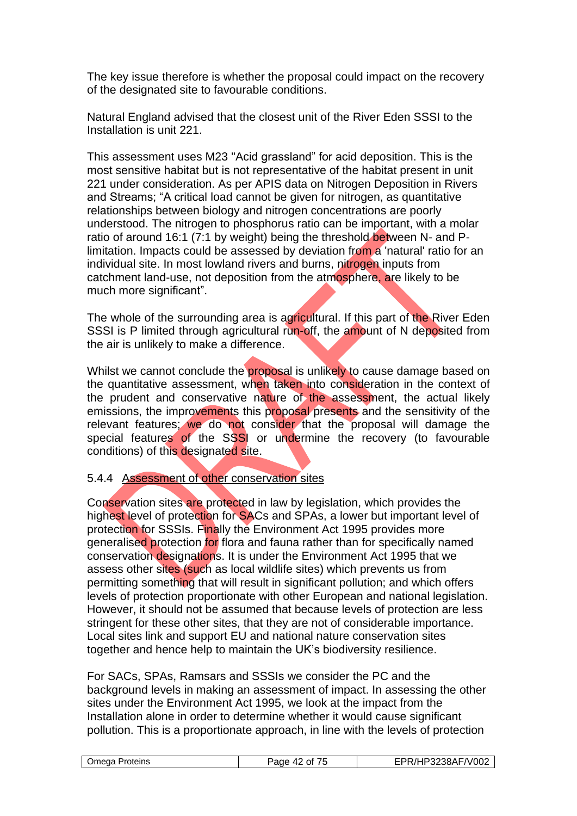The key issue therefore is whether the proposal could impact on the recovery of the designated site to favourable conditions.

Natural England advised that the closest unit of the River Eden SSSI to the Installation is unit 221.

This assessment uses M23 "Acid grassland" for acid deposition. This is the most sensitive habitat but is not representative of the habitat present in unit 221 under consideration. As per APIS data on Nitrogen Deposition in Rivers and Streams; "A critical load cannot be given for nitrogen, as quantitative relationships between biology and nitrogen concentrations are poorly understood. The nitrogen to phosphorus ratio can be important, with a molar ratio of around 16:1 (7:1 by weight) being the threshold between N- and Plimitation. Impacts could be assessed by deviation from a 'natural' ratio for an individual site. In most lowland rivers and burns, nitrogen inputs from catchment land-use, not deposition from the atmosphere, are likely to be much more significant".

The whole of the surrounding area is agricultural. If this part of the River Eden SSSI is P limited through agricultural run-off, the amount of N deposited from the air is unlikely to make a difference.

Whilst we cannot conclude the **proposal** is unlikely to cause damage based on the quantitative assessment, when taken into consideration in the context of the prudent and conservative nature of the assessment, the actual likely emissions, the improvements this proposal presents and the sensitivity of the relevant features; we do not consider that the proposal will damage the special features of the SSSI or undermine the recovery (to favourable conditions) of this designated site.

#### 5.4.4 Assessment of other conservation sites

Conservation sites are protected in law by legislation, which provides the highest level of protection for SACs and SPAs, a lower but important level of protection for SSSIs. Finally the Environment Act 1995 provides more generalised protection for flora and fauna rather than for specifically named conservation designations. It is under the Environment Act 1995 that we assess other sites (such as local wildlife sites) which prevents us from permitting something that will result in significant pollution; and which offers levels of protection proportionate with other European and national legislation. However, it should not be assumed that because levels of protection are less stringent for these other sites, that they are not of considerable importance. Local sites link and support EU and national nature conservation sites together and hence help to maintain the UK's biodiversity resilience.

For SACs, SPAs, Ramsars and SSSIs we consider the PC and the background levels in making an assessment of impact. In assessing the other sites under the Environment Act 1995, we look at the impact from the Installation alone in order to determine whether it would cause significant pollution. This is a proportionate approach, in line with the levels of protection

|  | )meaa<br>Proteins | $\sim$<br>Ωt<br>--- | F/V002<br>וסכ<br>$\overline{\phantom{a}}$ |
|--|-------------------|---------------------|-------------------------------------------|
|--|-------------------|---------------------|-------------------------------------------|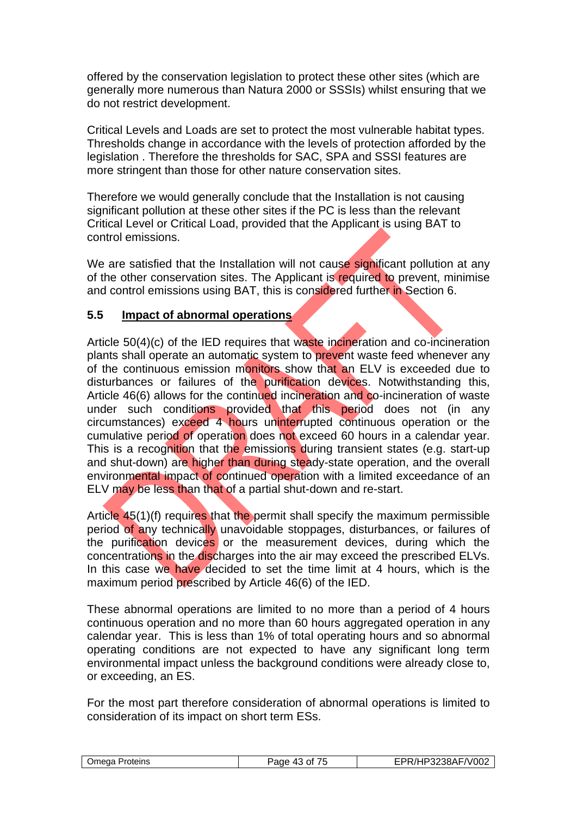offered by the conservation legislation to protect these other sites (which are generally more numerous than Natura 2000 or SSSIs) whilst ensuring that we do not restrict development.

Critical Levels and Loads are set to protect the most vulnerable habitat types. Thresholds change in accordance with the levels of protection afforded by the legislation . Therefore the thresholds for SAC, SPA and SSSI features are more stringent than those for other nature conservation sites.

Therefore we would generally conclude that the Installation is not causing significant pollution at these other sites if the PC is less than the relevant Critical Level or Critical Load, provided that the Applicant is using BAT to control emissions.

We are satisfied that the Installation will not cause significant pollution at any of the other conservation sites. The Applicant is required to prevent, minimise and control emissions using BAT, this is considered further in Section 6.

## **5.5 Impact of abnormal operations**

Article 50(4)(c) of the IED requires that waste incineration and co-incineration plants shall operate an automatic system to prevent waste feed whenever any of the continuous emission monitors show that an ELV is exceeded due to disturbances or failures of the purification devices. Notwithstanding this, Article 46(6) allows for the continued incineration and co-incineration of waste under such conditions provided that this period does not (in any circumstances) exceed 4 hours uninterrupted continuous operation or the cumulative period of operation does not exceed 60 hours in a calendar year. This is a recognition that the emissions during transient states (e.g. start-up and shut-down) are higher than during steady-state operation, and the overall environmental impact of continued operation with a limited exceedance of an ELV may be less than that of a partial shut-down and re-start.

Article 45(1)(f) requires that the permit shall specify the maximum permissible period of any technically unavoidable stoppages, disturbances, or failures of the purification devices or the measurement devices, during which the concentrations in the discharges into the air may exceed the prescribed ELVs. In this case we have decided to set the time limit at 4 hours, which is the maximum period prescribed by Article 46(6) of the IED.

These abnormal operations are limited to no more than a period of 4 hours continuous operation and no more than 60 hours aggregated operation in any calendar year. This is less than 1% of total operating hours and so abnormal operating conditions are not expected to have any significant long term environmental impact unless the background conditions were already close to, or exceeding, an ES.

For the most part therefore consideration of abnormal operations is limited to consideration of its impact on short term ESs.

| Omega Proteins | Panc<br>Οt<br>ب ر<br>. | FPR/HP3238AF/V002 |
|----------------|------------------------|-------------------|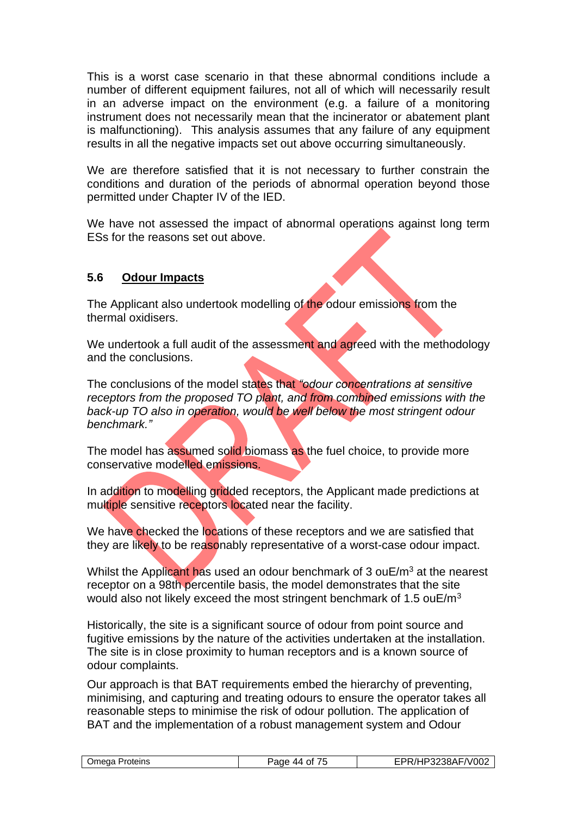This is a worst case scenario in that these abnormal conditions include a number of different equipment failures, not all of which will necessarily result in an adverse impact on the environment (e.g. a failure of a monitoring instrument does not necessarily mean that the incinerator or abatement plant is malfunctioning). This analysis assumes that any failure of any equipment results in all the negative impacts set out above occurring simultaneously.

We are therefore satisfied that it is not necessary to further constrain the conditions and duration of the periods of abnormal operation beyond those permitted under Chapter IV of the IED.

We have not assessed the impact of abnormal operations against long term ESs for the reasons set out above.

# **5.6 Odour Impacts**

The Applicant also undertook modelling of the odour emissions from the thermal oxidisers.

We undertook a full audit of the assessment and agreed with the methodology and the conclusions.

The conclusions of the model states that *"odour concentrations at sensitive receptors from the proposed TO plant, and from combined emissions with the back-up TO also in operation, would be well below the most stringent odour benchmark."* 

The model has assumed solid biomass as the fuel choice, to provide more conservative modelled emissions.

In addition to modelling gridded receptors, the Applicant made predictions at multiple sensitive receptors located near the facility.

We have checked the locations of these receptors and we are satisfied that they are likely to be reasonably representative of a worst-case odour impact.

Whilst the Applicant has used an odour benchmark of 3 ouE/ $m<sup>3</sup>$  at the nearest receptor on a 98th percentile basis, the model demonstrates that the site would also not likely exceed the most stringent benchmark of 1.5 ouE/m<sup>3</sup>

Historically, the site is a significant source of odour from point source and fugitive emissions by the nature of the activities undertaken at the installation. The site is in close proximity to human receptors and is a known source of odour complaints.

Our approach is that BAT requirements embed the hierarchy of preventing, minimising, and capturing and treating odours to ensure the operator takes all reasonable steps to minimise the risk of odour pollution. The application of BAT and the implementation of a robust management system and Odour

|  | Omega Proteins | $ -$<br>Page<br>Ωt<br>44 | $\neg$ V002<br><sup>→</sup> 3238AF៸៶ |
|--|----------------|--------------------------|--------------------------------------|
|--|----------------|--------------------------|--------------------------------------|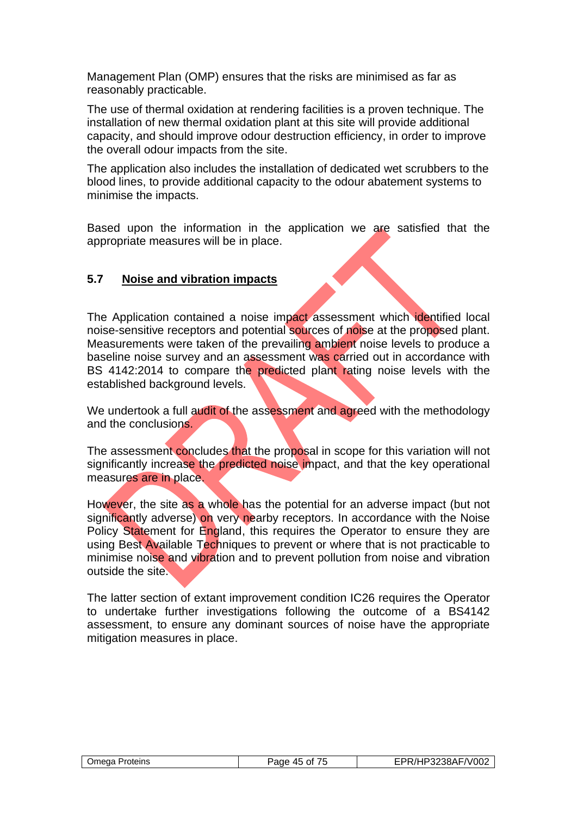Management Plan (OMP) ensures that the risks are minimised as far as reasonably practicable.

The use of thermal oxidation at rendering facilities is a proven technique. The installation of new thermal oxidation plant at this site will provide additional capacity, and should improve odour destruction efficiency, in order to improve the overall odour impacts from the site.

The application also includes the installation of dedicated wet scrubbers to the blood lines, to provide additional capacity to the odour abatement systems to minimise the impacts.

Based upon the information in the application we are satisfied that the appropriate measures will be in place.

# **5.7 Noise and vibration impacts**

The Application contained a noise impact assessment which identified local noise-sensitive receptors and potential sources of noise at the proposed plant. Measurements were taken of the prevailing ambient noise levels to produce a baseline noise survey and an assessment was carried out in accordance with BS 4142:2014 to compare the predicted plant rating noise levels with the established background levels.

We undertook a full audit of the assessment and agreed with the methodology and the conclusions.

The assessment concludes that the proposal in scope for this variation will not significantly increase the predicted noise impact, and that the key operational measures are in place.

However, the site as a whole has the potential for an adverse impact (but not significantly adverse) on very nearby receptors. In accordance with the Noise Policy Statement for England, this requires the Operator to ensure they are using Best Available Techniques to prevent or where that is not practicable to minimise noise and vibration and to prevent pollution from noise and vibration outside the site.

The latter section of extant improvement condition IC26 requires the Operator to undertake further investigations following the outcome of a BS4142 assessment, to ensure any dominant sources of noise have the appropriate mitigation measures in place.

| Omega Proteins | .<br>Page 45 of<br>$\overline{\phantom{a}}$ | EPR/HP3238AF/V002 |
|----------------|---------------------------------------------|-------------------|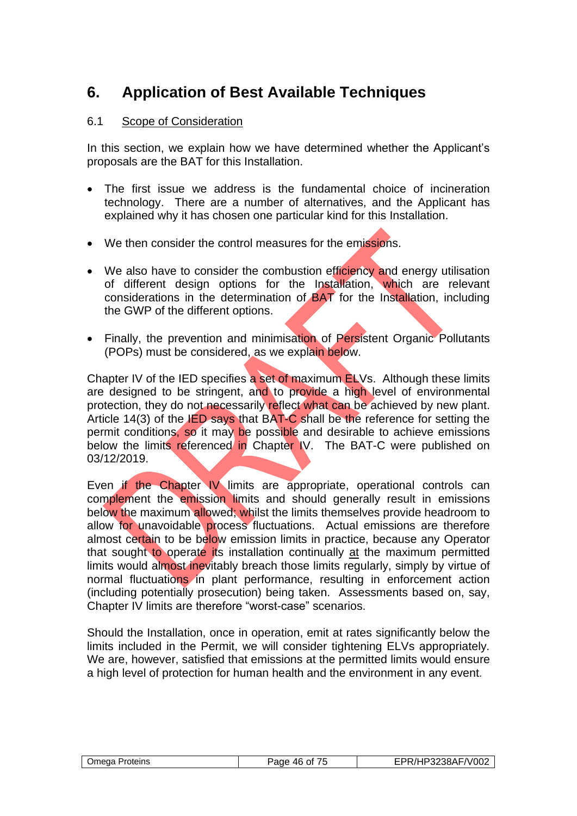# **6. Application of Best Available Techniques**

# 6.1 Scope of Consideration

In this section, we explain how we have determined whether the Applicant's proposals are the BAT for this Installation.

- The first issue we address is the fundamental choice of incineration technology. There are a number of alternatives, and the Applicant has explained why it has chosen one particular kind for this Installation.
- We then consider the control measures for the emissions.
- We also have to consider the combustion efficiency and energy utilisation of different design options for the Installation, which are relevant considerations in the determination of BAT for the Installation, including the GWP of the different options.
- Finally, the prevention and minimisation of Persistent Organic Pollutants (POPs) must be considered, as we explain below.

Chapter IV of the IED specifies a set of maximum ELVs. Although these limits are designed to be stringent, and to provide a high level of environmental protection, they do not necessarily reflect what can be achieved by new plant. Article 14(3) of the IED says that BAT-C shall be the reference for setting the permit conditions, so it may be possible and desirable to achieve emissions below the limits referenced in Chapter IV. The BAT-C were published on 03/12/2019.

Even if the Chapter IV limits are appropriate, operational controls can complement the emission limits and should generally result in emissions below the maximum allowed; whilst the limits themselves provide headroom to allow for unavoidable process fluctuations. Actual emissions are therefore almost certain to be below emission limits in practice, because any Operator that sought to operate its installation continually at the maximum permitted limits would almost inevitably breach those limits regularly, simply by virtue of normal fluctuations in plant performance, resulting in enforcement action (including potentially prosecution) being taken. Assessments based on, say, Chapter IV limits are therefore "worst-case" scenarios.

Should the Installation, once in operation, emit at rates significantly below the limits included in the Permit, we will consider tightening ELVs appropriately. We are, however, satisfied that emissions at the permitted limits would ensure a high level of protection for human health and the environment in any event.

| Proteins<br>Jmeaa | .<br>≙רובי<br>46<br>Ωt<br>, , | $\sqrt{00}$<br>∴י∟מ2יתי<br>∠oo∧r<br>ΩZ |
|-------------------|-------------------------------|----------------------------------------|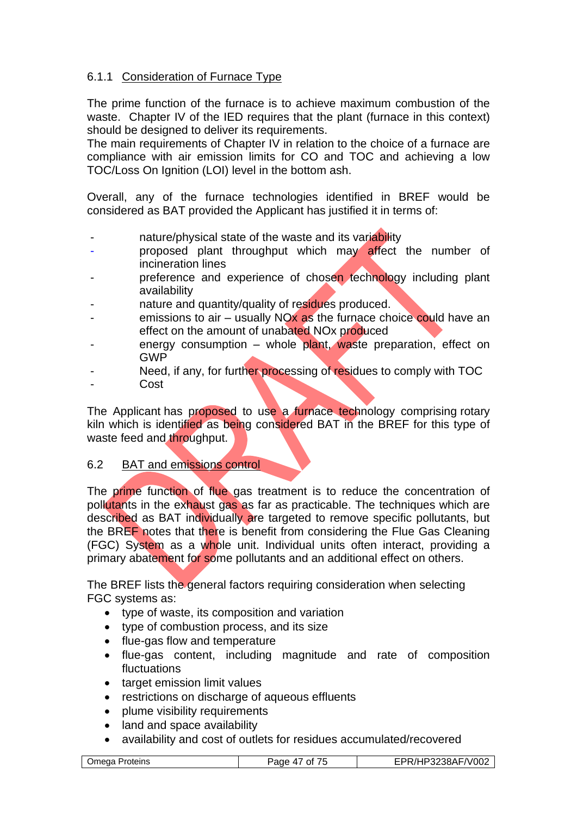# 6.1.1 Consideration of Furnace Type

The prime function of the furnace is to achieve maximum combustion of the waste. Chapter IV of the IED requires that the plant (furnace in this context) should be designed to deliver its requirements.

The main requirements of Chapter IV in relation to the choice of a furnace are compliance with air emission limits for CO and TOC and achieving a low TOC/Loss On Ignition (LOI) level in the bottom ash.

Overall, any of the furnace technologies identified in BREF would be considered as BAT provided the Applicant has justified it in terms of:

- nature/physical state of the waste and its variability
- proposed plant throughput which may affect the number of incineration lines
- preference and experience of chosen technology including plant availability
- nature and quantity/quality of residues produced.
- emissions to air usually  $NOX$  as the furnace choice could have an effect on the amount of unabated NOx produced
- energy consumption whole plant, waste preparation, effect on GWP
- Need, if any, for further processing of residues to comply with TOC
- **Cost**

The Applicant has proposed to use a furnace technology comprising rotary kiln which is identified as being considered BAT in the BREF for this type of waste feed and throughput.

#### 6.2 BAT and emissions control

The prime function of flue gas treatment is to reduce the concentration of pollutants in the exhaust gas as far as practicable. The techniques which are described as BAT individually are targeted to remove specific pollutants, but the BREF notes that there is benefit from considering the Flue Gas Cleaning (FGC) System as a whole unit. Individual units often interact, providing a primary abatement for some pollutants and an additional effect on others.

The BREF lists the general factors requiring consideration when selecting FGC systems as:

- type of waste, its composition and variation
- type of combustion process, and its size
- flue-gas flow and temperature
- flue-gas content, including magnitude and rate of composition fluctuations
- target emission limit values
- restrictions on discharge of aqueous effluents
- plume visibility requirements
- land and space availability
- availability and cost of outlets for residues accumulated/recovered

| P3238AF/V002<br>.<br>Jmeaa<br>Proteins<br>⊃aαe<br>Ωt<br>$\sqrt{ }$ |
|--------------------------------------------------------------------|
|--------------------------------------------------------------------|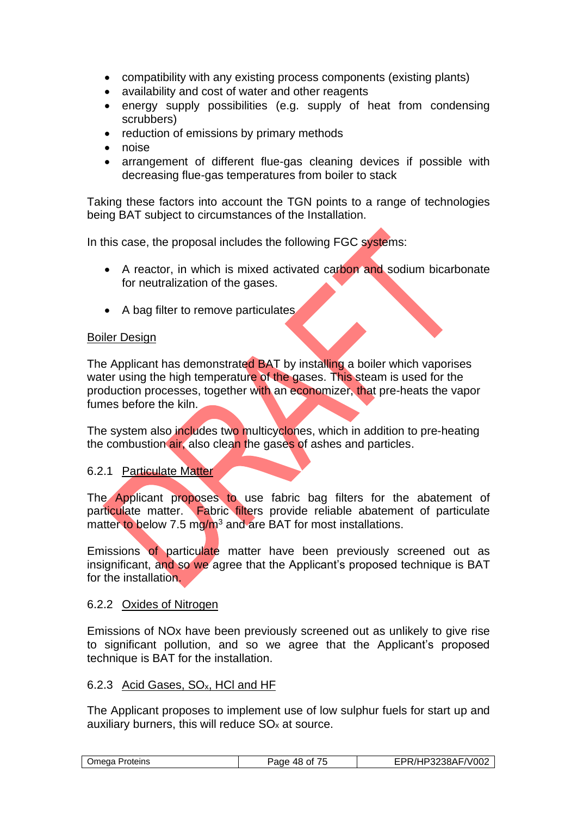- compatibility with any existing process components (existing plants)
- availability and cost of water and other reagents
- energy supply possibilities (e.g. supply of heat from condensing scrubbers)
- reduction of emissions by primary methods
- noise
- arrangement of different flue-gas cleaning devices if possible with decreasing flue-gas temperatures from boiler to stack

Taking these factors into account the TGN points to a range of technologies being BAT subject to circumstances of the Installation.

In this case, the proposal includes the following FGC systems:

- A reactor, in which is mixed activated carbon and sodium bicarbonate for neutralization of the gases.
- A bag filter to remove particulates

#### Boiler Design

The Applicant has demonstrated BAT by installing a boiler which vaporises water using the high temperature of the gases. This steam is used for the production processes, together with an economizer, that pre-heats the vapor fumes before the kiln.

The system also includes two multicyclones, which in addition to pre-heating the combustion air, also clean the gases of ashes and particles.

#### 6.2.1 Particulate Matter

The Applicant proposes to use fabric bag filters for the abatement of particulate matter. Fabric filters provide reliable abatement of particulate matter to below 7.5 mg/m<sup>3</sup> and are BAT for most installations.

Emissions of particulate matter have been previously screened out as insignificant, and so we agree that the Applicant's proposed technique is BAT for the installation.

#### 6.2.2 Oxides of Nitrogen

Emissions of NOx have been previously screened out as unlikely to give rise to significant pollution, and so we agree that the Applicant's proposed technique is BAT for the installation.

#### 6.2.3 Acid Gases, SOx, HCl and HF

The Applicant proposes to implement use of low sulphur fuels for start up and auxiliary burners, this will reduce  $SO<sub>x</sub>$  at source.

| $\sqrt{-1002}$<br>.∟∆ו?ר<br>)meda<br>Proteins<br>aae?<br>10.<br>Ωt<br>٠.<br>. .<br><b>40</b><br>ורטטב<br>.<br>. . |
|-------------------------------------------------------------------------------------------------------------------|
|-------------------------------------------------------------------------------------------------------------------|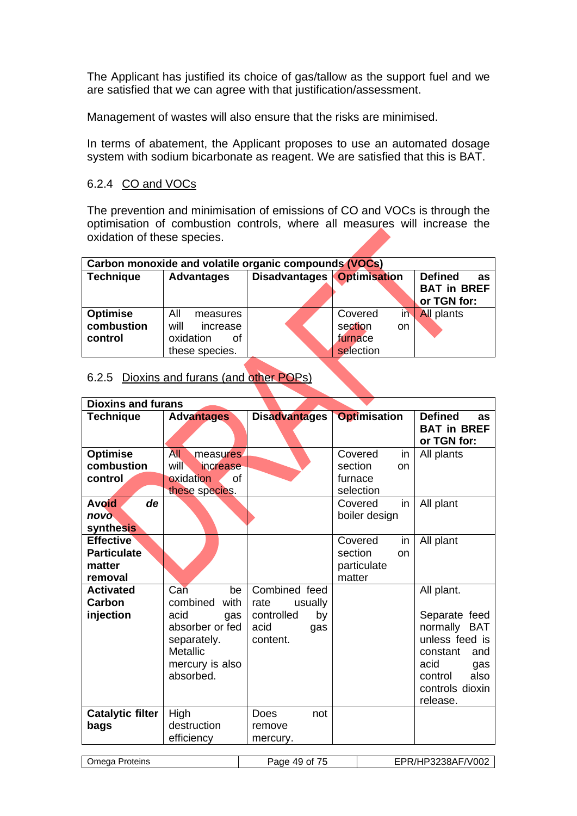The Applicant has justified its choice of gas/tallow as the support fuel and we are satisfied that we can agree with that justification/assessment.

Management of wastes will also ensure that the risks are minimised.

In terms of abatement, the Applicant proposes to use an automated dosage system with sodium bicarbonate as reagent. We are satisfied that this is BAT.

# 6.2.4 CO and VOCs

The prevention and minimisation of emissions of CO and VOCs is through the optimisation of combustion controls, where all measures will increase the oxidation of these species.

| Carbon monoxide and volatile organic compounds (VOCs) |                                                                          |                      |                                                         |                                                           |  |
|-------------------------------------------------------|--------------------------------------------------------------------------|----------------------|---------------------------------------------------------|-----------------------------------------------------------|--|
| <b>Technique</b>                                      | <b>Advantages</b>                                                        | <b>Disadvantages</b> | <b>Optimisation</b>                                     | <b>Defined</b><br>as<br><b>BAT in BREF</b><br>or TGN for: |  |
| <b>Optimise</b><br>combustion<br>control              | All<br>measures<br>will<br>increase<br>oxidation<br>οf<br>these species. |                      | in<br>Covered<br>section<br>on.<br>furnace<br>selection | <b>All plants</b>                                         |  |

# 6.2.5 Dioxins and furans (and other POPs)

| <b>Dioxins and furans</b>                                                           |                                                                                                                                   |                                                                                 |                                                                                          |                                                                                                                                                             |
|-------------------------------------------------------------------------------------|-----------------------------------------------------------------------------------------------------------------------------------|---------------------------------------------------------------------------------|------------------------------------------------------------------------------------------|-------------------------------------------------------------------------------------------------------------------------------------------------------------|
| <b>Technique</b>                                                                    | <b>Advantages</b>                                                                                                                 | <b>Disadvantages</b>                                                            | <b>Optimisation</b>                                                                      | <b>Defined</b><br>as<br><b>BAT in BREF</b><br>or TGN for:                                                                                                   |
| <b>Optimise</b><br>combustion<br>control<br>de<br><b>Avoid</b><br>novo<br>synthesis | <b>All</b><br>measures.<br>will <sup>\</sup><br>increase<br>oxidation<br>Ωf<br>these species.                                     |                                                                                 | Covered<br>in<br>section<br>on<br>furnace<br>selection<br>Covered<br>in<br>boiler design | All plants<br>All plant                                                                                                                                     |
| <b>Effective</b><br><b>Particulate</b><br>matter<br>removal                         |                                                                                                                                   |                                                                                 | Covered<br>in<br>section<br>on<br>particulate<br>matter                                  | All plant                                                                                                                                                   |
| <b>Activated</b><br><b>Carbon</b><br>injection                                      | Can<br>be<br>combined<br>with<br>acid<br>gas<br>absorber or fed<br>separately.<br><b>Metallic</b><br>mercury is also<br>absorbed. | Combined feed<br>rate<br>usually<br>controlled<br>by<br>acid<br>gas<br>content. |                                                                                          | All plant.<br>Separate feed<br>normally<br><b>BAT</b><br>unless feed is<br>constant<br>and<br>acid<br>gas<br>also<br>control<br>controls dioxin<br>release. |
| Catalytic filter<br>bags                                                            | High<br>destruction<br>efficiency                                                                                                 | Does<br>not<br>remove<br>mercury.                                               |                                                                                          |                                                                                                                                                             |
| Omega Proteins                                                                      |                                                                                                                                   | Page 49 of 75                                                                   |                                                                                          | EPR/HP3238AF/V002                                                                                                                                           |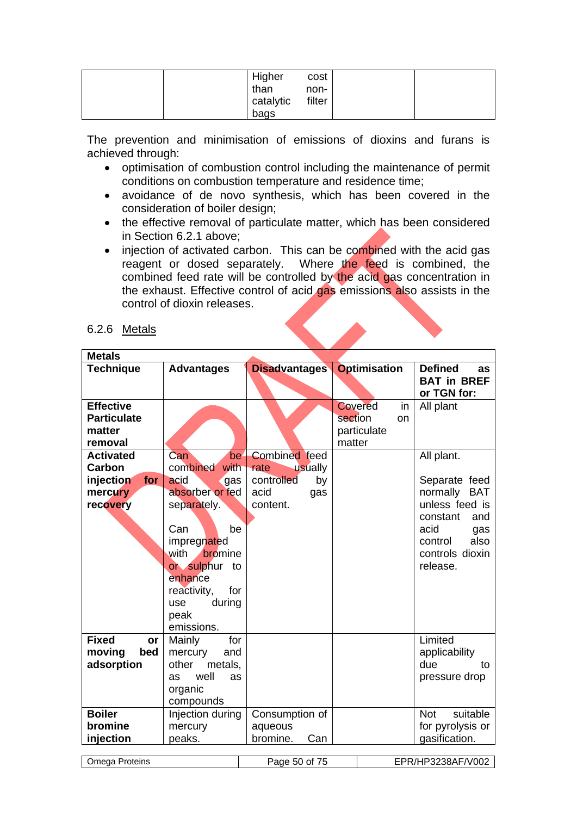|  | Higher    | cost   |  |
|--|-----------|--------|--|
|  | than      | non-   |  |
|  | catalytic | filter |  |
|  | bags      |        |  |

The prevention and minimisation of emissions of dioxins and furans is achieved through:

- optimisation of combustion control including the maintenance of permit conditions on combustion temperature and residence time;
- avoidance of de novo synthesis, which has been covered in the consideration of boiler design;
- the effective removal of particulate matter, which has been considered in Section 6.2.1 above;
- injection of activated carbon. This can be combined with the acid gas reagent or dosed separately. Where the feed is combined, the combined feed rate will be controlled by the acid gas concentration in the exhaust. Effective control of acid gas emissions also assists in the control of dioxin releases.

#### 6.2.6 Metals

| <b>Metals</b>       |                          |                      |                      |                        |
|---------------------|--------------------------|----------------------|----------------------|------------------------|
| <b>Technique</b>    | <b>Advantages</b>        | <b>Disadvantages</b> | <b>Optimisation</b>  | <b>Defined</b><br>as   |
|                     |                          |                      |                      | <b>BAT in BREF</b>     |
|                     |                          |                      |                      | or TGN for:            |
| <b>Effective</b>    |                          |                      | <b>Covered</b><br>in | All plant              |
| <b>Particulate</b>  |                          |                      | section<br>on        |                        |
| matter              |                          |                      | particulate          |                        |
| removal             |                          |                      | matter               |                        |
| <b>Activated</b>    | Can<br>be <sup>.</sup>   | <b>Combined</b> feed |                      | All plant.             |
| Carbon              | combined<br>with         | rate<br>usually      |                      |                        |
| injection<br>for    | acid<br>gas              | controlled<br>by     |                      | Separate feed          |
| mercury             | absorber or fed          | acid<br>gas          |                      | normally<br><b>BAT</b> |
| recovery            | separately.              | content.             |                      | unless feed is         |
|                     |                          |                      |                      | constant<br>and        |
|                     | Can<br>be                |                      |                      | acid<br>gas            |
|                     | impregnated              |                      |                      | also<br>control        |
|                     | with<br>bromine          |                      |                      | controls dioxin        |
|                     | or sulphur to<br>enhance |                      |                      | release.               |
|                     | for                      |                      |                      |                        |
|                     | reactivity,<br>during    |                      |                      |                        |
|                     | use                      |                      |                      |                        |
|                     | peak<br>emissions.       |                      |                      |                        |
| <b>Fixed</b>        | Mainly<br>for            |                      |                      | Limited                |
| or<br>moving<br>bed | mercury<br>and           |                      |                      | applicability          |
| adsorption          | other<br>metals,         |                      |                      | due<br>to              |
|                     | well<br>as<br>as         |                      |                      | pressure drop          |
|                     | organic                  |                      |                      |                        |
|                     | compounds                |                      |                      |                        |
| <b>Boiler</b>       | Injection during         | Consumption of       |                      | suitable<br><b>Not</b> |
| bromine             | mercury                  | aqueous              |                      | for pyrolysis or       |
| injection           | peaks.                   | bromine.<br>Can      |                      | gasification.          |
|                     |                          |                      |                      |                        |
| Omega Proteins      |                          | Page 50 of 75        |                      | EPR/HP3238AF/V002      |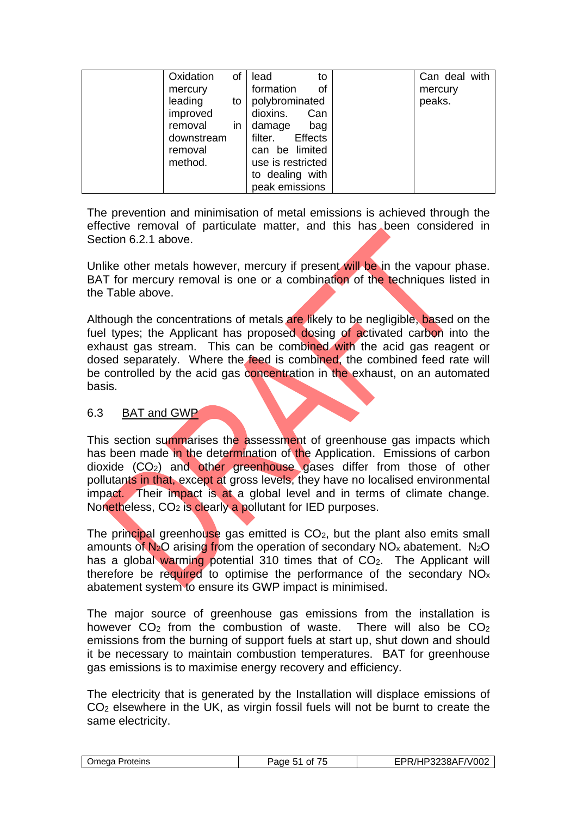| Oxidation  | of | lead<br>to                | Can deal with |
|------------|----|---------------------------|---------------|
| mercury    |    | formation<br>οf           | mercury       |
| leading    | to | polybrominated            | peaks.        |
| improved   |    | dioxins.<br>Can           |               |
| removal    | in | damage<br>bag             |               |
| downstream |    | <b>Effects</b><br>filter. |               |
| removal    |    | can be limited            |               |
| method.    |    | use is restricted         |               |
|            |    | to dealing with           |               |
|            |    | peak emissions            |               |

The prevention and minimisation of metal emissions is achieved through the effective removal of particulate matter, and this has been considered in Section 6.2.1 above.

Unlike other metals however, mercury if present will be in the vapour phase. BAT for mercury removal is one or a combination of the techniques listed in the Table above.

Although the concentrations of metals are likely to be negligible, based on the fuel types; the Applicant has proposed dosing of activated carbon into the exhaust gas stream. This can be combined with the acid gas reagent or dosed separately. Where the feed is combined, the combined feed rate will be controlled by the acid gas concentration in the exhaust, on an automated basis.

#### 6.3 BAT and GWP

This section summarises the assessment of greenhouse gas impacts which has been made in the determination of the Application. Emissions of carbon dioxide (CO2) and other greenhouse gases differ from those of other pollutants in that, except at gross levels, they have no localised environmental impact. Their impact is at a global level and in terms of climate change. Nonetheless, CO<sub>2</sub> is clearly a pollutant for IED purposes.

The principal greenhouse gas emitted is  $CO<sub>2</sub>$ , but the plant also emits small amounts of  $N_2O$  arising from the operation of secondary  $NO<sub>x</sub>$  abatement. N<sub>2</sub>O has a global warming potential 310 times that of  $CO<sub>2</sub>$ . The Applicant will therefore be required to optimise the performance of the secondary  $NO<sub>x</sub>$ abatement system to ensure its GWP impact is minimised.

The major source of greenhouse gas emissions from the installation is however  $CO<sub>2</sub>$  from the combustion of waste. There will also be  $CO<sub>2</sub>$ emissions from the burning of support fuels at start up, shut down and should it be necessary to maintain combustion temperatures. BAT for greenhouse gas emissions is to maximise energy recovery and efficiency.

The electricity that is generated by the Installation will displace emissions of CO<sup>2</sup> elsewhere in the UK, as virgin fossil fuels will not be burnt to create the same electricity.

| Omega Proteins | Page 51 of | EPR/HP3238AF/V002 |
|----------------|------------|-------------------|
|----------------|------------|-------------------|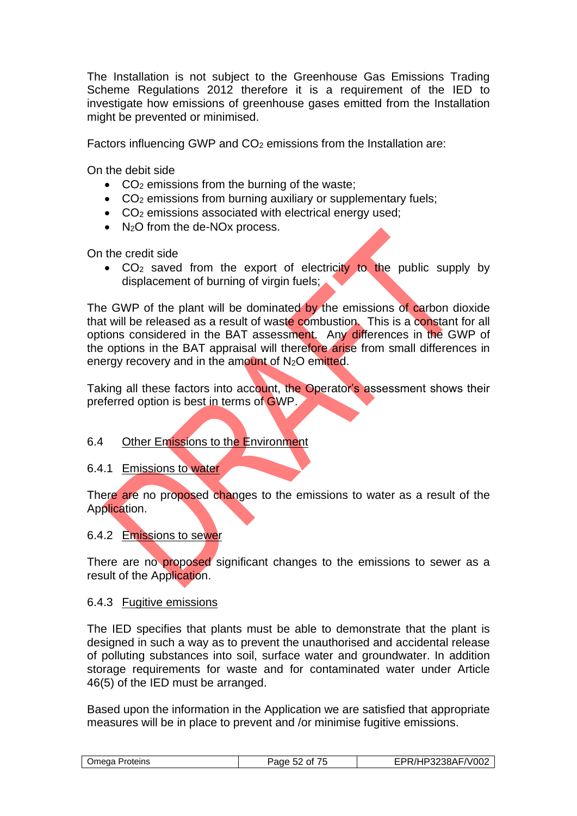The Installation is not subject to the Greenhouse Gas Emissions Trading Scheme Regulations 2012 therefore it is a requirement of the IED to investigate how emissions of greenhouse gases emitted from the Installation might be prevented or minimised.

Factors influencing GWP and  $CO<sub>2</sub>$  emissions from the Installation are:

On the debit side

- $\bullet$  CO<sub>2</sub> emissions from the burning of the waste;
- CO<sub>2</sub> emissions from burning auxiliary or supplementary fuels;
- CO<sub>2</sub> emissions associated with electrical energy used:
- N<sub>2</sub>O from the de-NO<sub>x</sub> process.

On the credit side

• CO<sub>2</sub> saved from the export of electricity to the public supply by displacement of burning of virgin fuels;

The GWP of the plant will be dominated by the emissions of carbon dioxide that will be released as a result of waste combustion. This is a constant for all options considered in the BAT assessment. Any differences in the GWP of the options in the BAT appraisal will therefore arise from small differences in energy recovery and in the amount of N<sub>2</sub>O emitted.

Taking all these factors into account, the Operator's assessment shows their preferred option is best in terms of GWP.

#### 6.4 Other Emissions to the Environment

6.4.1 Emissions to water

There are no proposed changes to the emissions to water as a result of the Application.

#### 6.4.2 Emissions to sewer

There are no proposed significant changes to the emissions to sewer as a result of the Application.

#### 6.4.3 Fugitive emissions

The IED specifies that plants must be able to demonstrate that the plant is designed in such a way as to prevent the unauthorised and accidental release of polluting substances into soil, surface water and groundwater. In addition storage requirements for waste and for contaminated water under Article 46(5) of the IED must be arranged.

Based upon the information in the Application we are satisfied that appropriate measures will be in place to prevent and /or minimise fugitive emissions.

| F/V002<br>$\epsilon =$<br>∍3238AF<br>⊃meɑa l<br>Proteins<br>aae?<br>Ωt<br>٠.<br>. .<br>32 |
|-------------------------------------------------------------------------------------------|
|-------------------------------------------------------------------------------------------|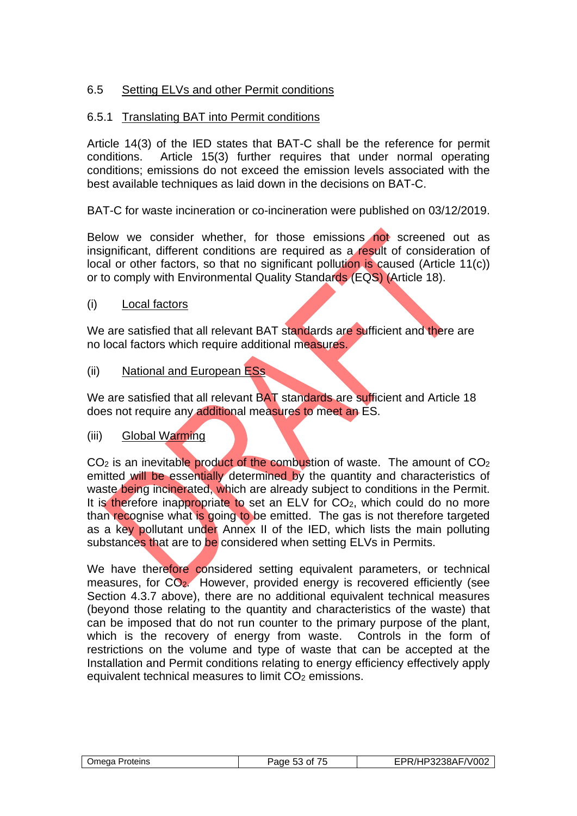# 6.5 Setting ELVs and other Permit conditions

# 6.5.1 Translating BAT into Permit conditions

Article 14(3) of the IED states that BAT-C shall be the reference for permit conditions. Article 15(3) further requires that under normal operating conditions; emissions do not exceed the emission levels associated with the best available techniques as laid down in the decisions on BAT-C.

BAT-C for waste incineration or co-incineration were published on 03/12/2019.

Below we consider whether, for those emissions not screened out as insignificant, different conditions are required as a result of consideration of local or other factors, so that no significant pollution is caused (Article 11(c)) or to comply with Environmental Quality Standards (EQS) (Article 18).

(i) Local factors

We are satisfied that all relevant BAT standards are sufficient and there are no local factors which require additional measures.

(ii) National and European ESs

We are satisfied that all relevant BAT standards are sufficient and Article 18 does not require any additional measures to meet an ES.

(iii) Global Warming

CO<sub>2</sub> is an inevitable product of the combustion of waste. The amount of CO<sub>2</sub> emitted will be essentially determined by the quantity and characteristics of waste being incinerated, which are already subject to conditions in the Permit. It is therefore inappropriate to set an ELV for  $CO<sub>2</sub>$ , which could do no more than recognise what is going to be emitted. The gas is not therefore targeted as a key pollutant under Annex II of the IED, which lists the main polluting substances that are to be considered when setting ELVs in Permits.

We have therefore considered setting equivalent parameters, or technical measures, for CO2. However, provided energy is recovered efficiently (see Section 4.3.7 above), there are no additional equivalent technical measures (beyond those relating to the quantity and characteristics of the waste) that can be imposed that do not run counter to the primary purpose of the plant, which is the recovery of energy from waste. Controls in the form of restrictions on the volume and type of waste that can be accepted at the Installation and Permit conditions relating to energy efficiency effectively apply equivalent technical measures to limit CO<sub>2</sub> emissions.

| Omega<br>∖ Proteins | Page 53 of<br>. | EPR/HP3238AF/V002 |
|---------------------|-----------------|-------------------|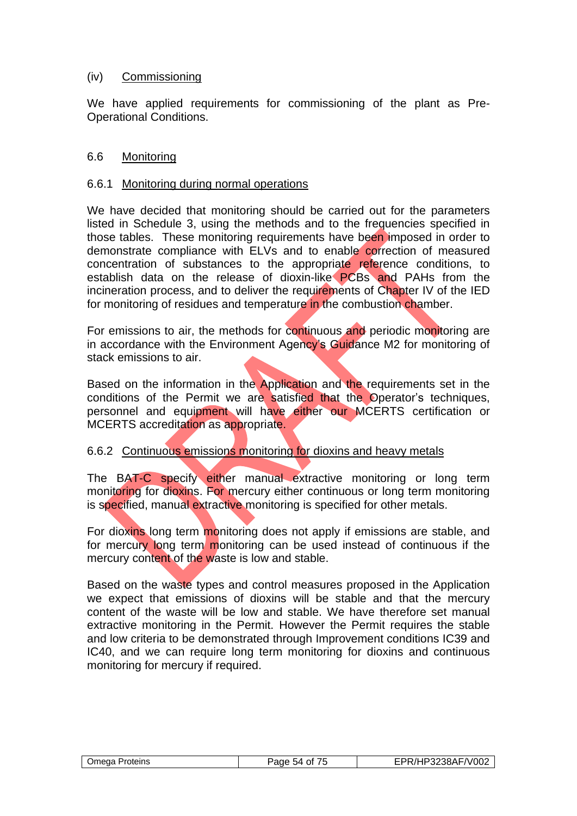## (iv) Commissioning

We have applied requirements for commissioning of the plant as Pre-Operational Conditions.

#### 6.6 Monitoring

#### 6.6.1 Monitoring during normal operations

We have decided that monitoring should be carried out for the parameters listed in Schedule 3, using the methods and to the frequencies specified in those tables. These monitoring requirements have been imposed in order to demonstrate compliance with ELVs and to enable correction of measured concentration of substances to the appropriate reference conditions, to establish data on the release of dioxin-like **PCBs and PAHs** from the incineration process, and to deliver the requirements of Chapter IV of the IED for monitoring of residues and temperature in the combustion chamber.

For emissions to air, the methods for continuous and periodic monitoring are in accordance with the Environment Agency's Guidance M2 for monitoring of stack emissions to air.

Based on the information in the Application and the requirements set in the conditions of the Permit we are satisfied that the Operator's techniques, personnel and equipment will have either our MCERTS certification or MCERTS accreditation as appropriate.

#### 6.6.2 Continuous emissions monitoring for dioxins and heavy metals

The BAT-C specify either manual extractive monitoring or long term monitoring for dioxins. For mercury either continuous or long term monitoring is specified, manual extractive monitoring is specified for other metals.

For dioxins long term monitoring does not apply if emissions are stable, and for mercury long term monitoring can be used instead of continuous if the mercury content of the waste is low and stable.

Based on the waste types and control measures proposed in the Application we expect that emissions of dioxins will be stable and that the mercury content of the waste will be low and stable. We have therefore set manual extractive monitoring in the Permit. However the Permit requires the stable and low criteria to be demonstrated through Improvement conditions IC39 and IC40, and we can require long term monitoring for dioxins and continuous monitoring for mercury if required.

| Omega Proteins | Page 54 of 75 | EPR/HP3238AF/V002 |
|----------------|---------------|-------------------|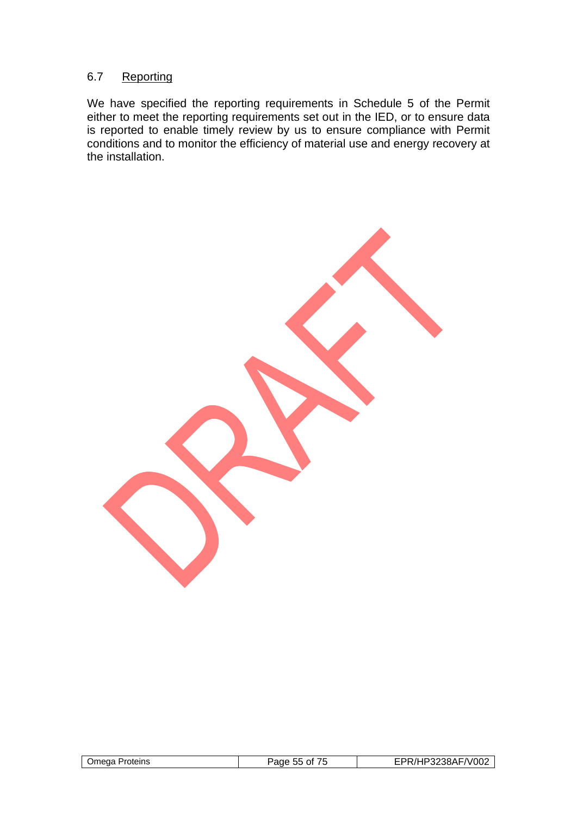# 6.7 Reporting

We have specified the reporting requirements in Schedule 5 of the Permit either to meet the reporting requirements set out in the IED, or to ensure data is reported to enable timely review by us to ensure compliance with Permit conditions and to monitor the efficiency of material use and energy recovery at the installation.

| Omega Proteins | Page 55 of | EPR/HP3238AF/V002 |
|----------------|------------|-------------------|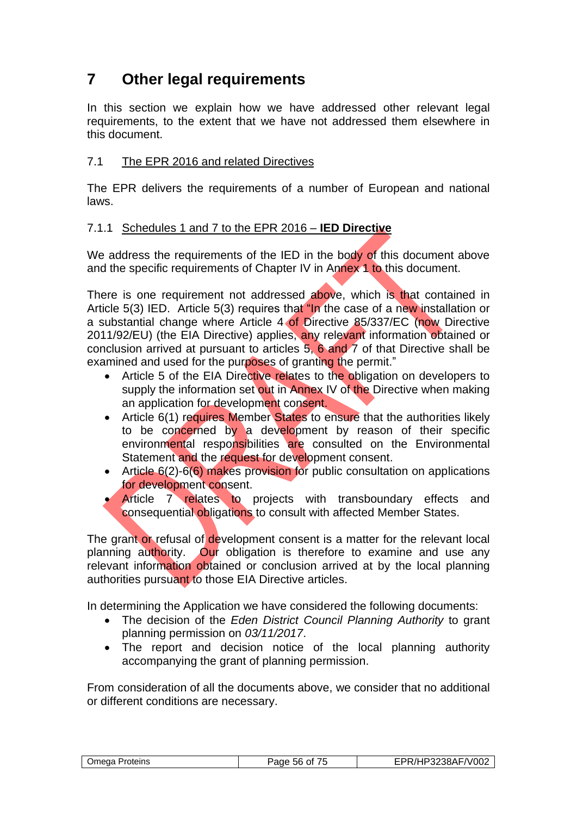# **7 Other legal requirements**

In this section we explain how we have addressed other relevant legal requirements, to the extent that we have not addressed them elsewhere in this document.

# 7.1 The EPR 2016 and related Directives

The EPR delivers the requirements of a number of European and national laws.

# 7.1.1 Schedules 1 and 7 to the EPR 2016 – **IED Directive**

We address the requirements of the IED in the body of this document above and the specific requirements of Chapter IV in Annex 1 to this document.

There is one requirement not addressed above, which is that contained in Article 5(3) IED. Article 5(3) requires that "In the case of a new installation or a substantial change where Article 4 of Directive 85/337/EC (now Directive 2011/92/EU) (the EIA Directive) applies, any relevant information obtained or conclusion arrived at pursuant to articles 5, 6 and 7 of that Directive shall be examined and used for the purposes of granting the permit."

- Article 5 of the EIA Directive relates to the obligation on developers to supply the information set out in Annex IV of the Directive when making an application for development consent.
- Article 6(1) requires Member States to ensure that the authorities likely to be concerned by a development by reason of their specific environmental responsibilities are consulted on the Environmental Statement and the request for development consent.
- Article 6(2)-6(6) makes provision for public consultation on applications for development consent.

• Article 7 relates to projects with transboundary effects and consequential obligations to consult with affected Member States.

The grant or refusal of development consent is a matter for the relevant local planning authority. Our obligation is therefore to examine and use any relevant information obtained or conclusion arrived at by the local planning authorities pursuant to those EIA Directive articles.

In determining the Application we have considered the following documents:

- The decision of the *Eden District Council Planning Authority* to grant planning permission on *03/11/2017*.
- The report and decision notice of the local planning authority accompanying the grant of planning permission.

From consideration of all the documents above, we consider that no additional or different conditions are necessary.

| ---<br><b>Jmeaa</b><br>Proteins<br>302<br>Ωt<br>.hh<br>מחב<br>าเแ<br>. . | F/V002<br>$^{\prime\prime}$<br>`^`<br>הרמרו<br>-JOH-<br>JZ. |
|--------------------------------------------------------------------------|-------------------------------------------------------------|
|--------------------------------------------------------------------------|-------------------------------------------------------------|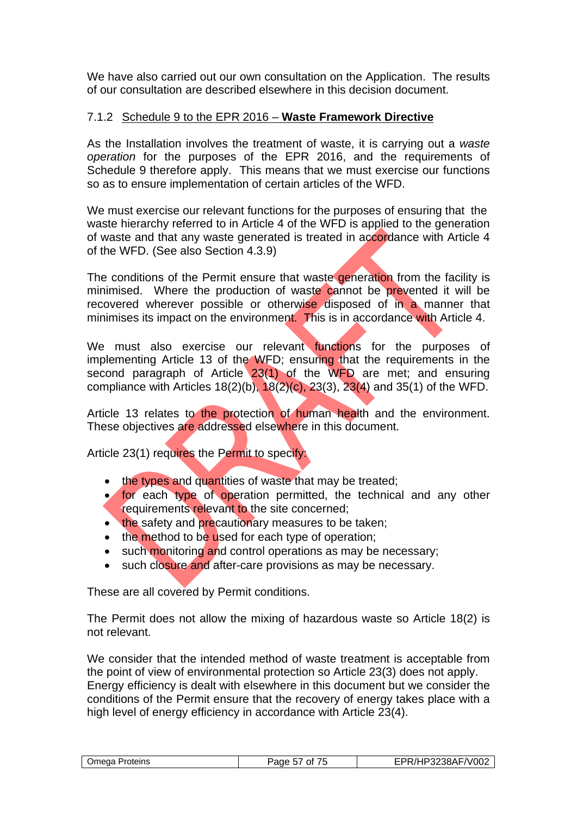We have also carried out our own consultation on the Application. The results of our consultation are described elsewhere in this decision document.

# 7.1.2 Schedule 9 to the EPR 2016 – **Waste Framework Directive**

As the Installation involves the treatment of waste, it is carrying out a *waste operation* for the purposes of the EPR 2016, and the requirements of Schedule 9 therefore apply. This means that we must exercise our functions so as to ensure implementation of certain articles of the WFD.

We must exercise our relevant functions for the purposes of ensuring that the waste hierarchy referred to in Article 4 of the WFD is applied to the generation of waste and that any waste generated is treated in accordance with Article 4 of the WFD. (See also Section 4.3.9)

The conditions of the Permit ensure that waste generation from the facility is minimised. Where the production of waste cannot be prevented it will be recovered wherever possible or otherwise disposed of in a manner that minimises its impact on the environment. This is in accordance with Article 4.

We must also exercise our relevant functions for the purposes of implementing Article 13 of the WFD; ensuring that the requirements in the second paragraph of Article 23(1) of the WFD are met; and ensuring compliance with Articles  $18(2)(b)$ ,  $18(2)(c)$ ,  $23(3)$ ,  $23(4)$  and  $35(1)$  of the WFD.

Article 13 relates to the protection of human health and the environment. These objectives are addressed elsewhere in this document.

Article 23(1) requires the Permit to specify:

- the types and quantities of waste that may be treated;
- for each type of operation permitted, the technical and any other requirements relevant to the site concerned;
- the safety and precautionary measures to be taken;
- the method to be used for each type of operation:
- such monitoring and control operations as may be necessary;
- such closure and after-care provisions as may be necessary.

These are all covered by Permit conditions.

The Permit does not allow the mixing of hazardous waste so Article 18(2) is not relevant.

We consider that the intended method of waste treatment is acceptable from the point of view of environmental protection so Article 23(3) does not apply. Energy efficiency is dealt with elsewhere in this document but we consider the conditions of the Permit ensure that the recovery of energy takes place with a high level of energy efficiency in accordance with Article 23(4).

| ---      | $ n$ $-$     |
|----------|--------------|
| )mega    | '∧∟          |
| Proteins | _∨טע         |
| $\sim$   | $\mathbf{v}$ |
| Ωt       | ירשע-        |
| מוזב     | -57          |
| аш       |              |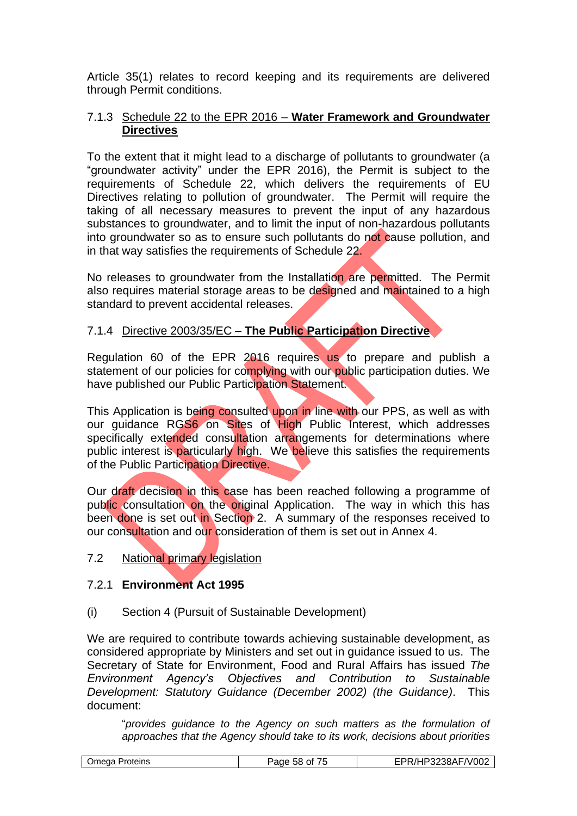Article 35(1) relates to record keeping and its requirements are delivered through Permit conditions.

## 7.1.3 Schedule 22 to the EPR 2016 – **Water Framework and Groundwater Directives**

To the extent that it might lead to a discharge of pollutants to groundwater (a "groundwater activity" under the EPR 2016), the Permit is subject to the requirements of Schedule 22, which delivers the requirements of EU Directives relating to pollution of groundwater. The Permit will require the taking of all necessary measures to prevent the input of any hazardous substances to groundwater, and to limit the input of non-hazardous pollutants into groundwater so as to ensure such pollutants do not cause pollution, and in that way satisfies the requirements of Schedule 22.

No releases to groundwater from the Installation are permitted. The Permit also requires material storage areas to be designed and maintained to a high standard to prevent accidental releases.

# 7.1.4 Directive 2003/35/EC – **The Public Participation Directive**

Regulation 60 of the EPR 2016 requires us to prepare and publish a statement of our policies for complying with our public participation duties. We have published our Public Participation Statement.

This Application is being consulted upon in line with our PPS, as well as with our guidance RGS6 on Sites of High Public Interest, which addresses specifically extended consultation arrangements for determinations where public interest is particularly high. We believe this satisfies the requirements of the Public Participation Directive.

Our draft decision in this case has been reached following a programme of public consultation on the original Application. The way in which this has been done is set out in Section 2. A summary of the responses received to our consultation and our consideration of them is set out in Annex 4.

#### 7.2 National primary legislation

# 7.2.1 **Environment Act 1995**

(i) Section 4 (Pursuit of Sustainable Development)

We are required to contribute towards achieving sustainable development, as considered appropriate by Ministers and set out in guidance issued to us. The Secretary of State for Environment, Food and Rural Affairs has issued *The Environment Agency's Objectives and Contribution to Sustainable Development: Statutory Guidance (December 2002) (the Guidance)*. This document:

"*provides guidance to the Agency on such matters as the formulation of approaches that the Agency should take to its work, decisions about priorities* 

| --<br>$\cap$ 20 $\Lambda$ L.<br>Jmeɑa<br>Proteins<br>3222<br>58<br>01<br>aue<br>ורוטט.<br>$\cdot$ |
|---------------------------------------------------------------------------------------------------|
|---------------------------------------------------------------------------------------------------|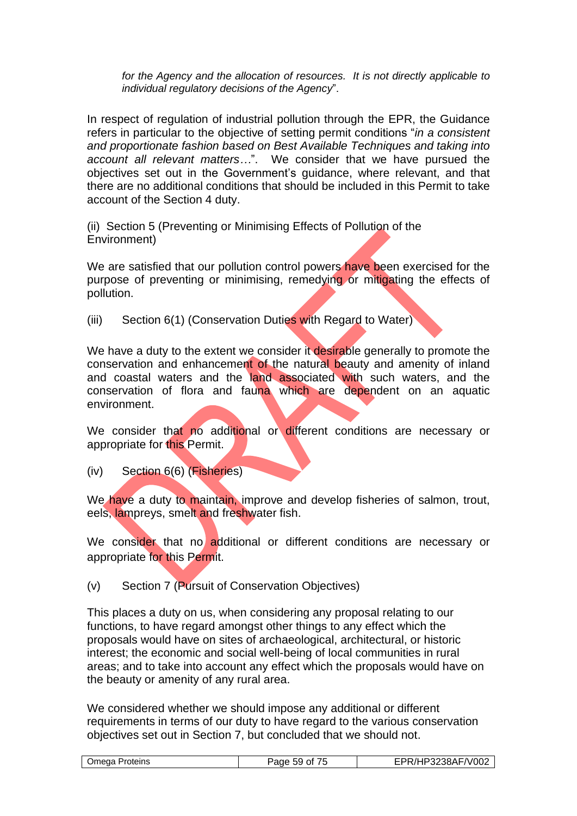*for the Agency and the allocation of resources. It is not directly applicable to individual regulatory decisions of the Agency*".

In respect of regulation of industrial pollution through the EPR, the Guidance refers in particular to the objective of setting permit conditions "*in a consistent and proportionate fashion based on Best Available Techniques and taking into account all relevant matters…*". We consider that we have pursued the objectives set out in the Government's guidance, where relevant, and that there are no additional conditions that should be included in this Permit to take account of the Section 4 duty.

(ii) Section 5 (Preventing or Minimising Effects of Pollution of the Environment)

We are satisfied that our pollution control powers have been exercised for the purpose of preventing or minimising, remedying or mitigating the effects of pollution.

(iii) Section 6(1) (Conservation Duties with Regard to Water)

We have a duty to the extent we consider it desirable generally to promote the conservation and enhancement of the natural beauty and amenity of inland and coastal waters and the land associated with such waters, and the conservation of flora and fauna which are dependent on an aquatic environment.

We consider that no additional or different conditions are necessary or appropriate for this Permit.

(iv) Section 6(6) (Fisheries)

We have a duty to maintain, improve and develop fisheries of salmon, trout, eels, lampreys, smelt and freshwater fish.

We consider that no additional or different conditions are necessary or appropriate for this Permit.

(v) Section 7 (Pursuit of Conservation Objectives)

This places a duty on us, when considering any proposal relating to our functions, to have regard amongst other things to any effect which the proposals would have on sites of archaeological, architectural, or historic interest; the economic and social well-being of local communities in rural areas; and to take into account any effect which the proposals would have on the beauty or amenity of any rural area.

We considered whether we should impose any additional or different requirements in terms of our duty to have regard to the various conservation objectives set out in Section 7, but concluded that we should not.

| AF/V002<br>.∟∆ו?ר<br>)mega<br>Proteins<br>'aae<br>Ωt<br>٠.<br>nЧ.<br>-JOAL 1<br>. |
|-----------------------------------------------------------------------------------|
|-----------------------------------------------------------------------------------|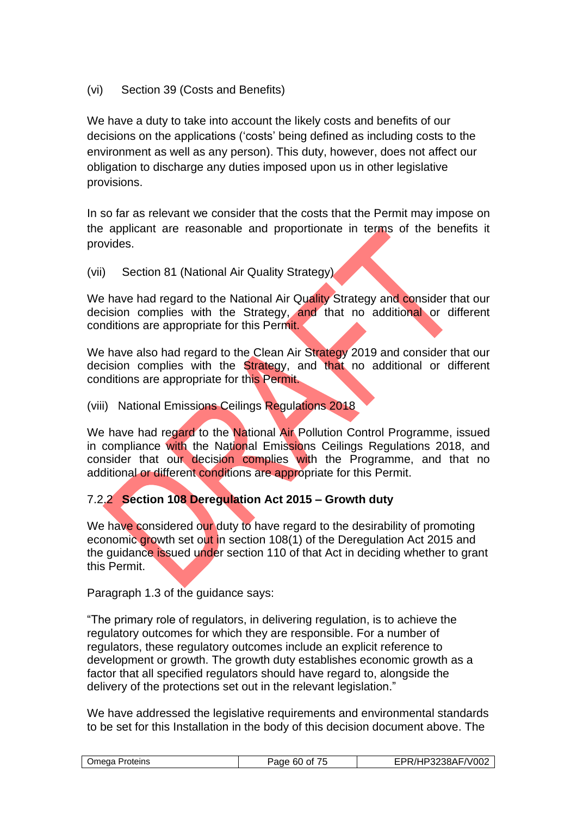# (vi) Section 39 (Costs and Benefits)

We have a duty to take into account the likely costs and benefits of our decisions on the applications ('costs' being defined as including costs to the environment as well as any person). This duty, however, does not affect our obligation to discharge any duties imposed upon us in other legislative provisions.

In so far as relevant we consider that the costs that the Permit may impose on the applicant are reasonable and proportionate in terms of the benefits it provides.

(vii) Section 81 (National Air Quality Strategy)

We have had regard to the National Air Quality Strategy and consider that our decision complies with the Strategy, and that no additional or different conditions are appropriate for this Permit.

We have also had regard to the Clean Air Strategy 2019 and consider that our decision complies with the Strategy, and that no additional or different conditions are appropriate for this Permit.

(viii) National Emissions Ceilings Regulations 2018

We have had regard to the National Air Pollution Control Programme, issued in compliance with the National Emissions Ceilings Regulations 2018, and consider that our decision complies with the Programme, and that no additional or different conditions are appropriate for this Permit.

# 7.2.2 **Section 108 Deregulation Act 2015 – Growth duty**

We have considered our duty to have regard to the desirability of promoting economic growth set out in section 108(1) of the Deregulation Act 2015 and the guidance issued under section 110 of that Act in deciding whether to grant this Permit.

Paragraph 1.3 of the guidance says:

"The primary role of regulators, in delivering regulation, is to achieve the regulatory outcomes for which they are responsible. For a number of regulators, these regulatory outcomes include an explicit reference to development or growth. The growth duty establishes economic growth as a factor that all specified regulators should have regard to, alongside the delivery of the protections set out in the relevant legislation."

We have addressed the legislative requirements and environmental standards to be set for this Installation in the body of this decision document above. The

| F/V002<br>73238AF <sub>/</sub><br>.<br>Omega Proteins<br>Page 60 J<br>Ωt<br>$\overline{\phantom{a}}$<br>. |  |
|-----------------------------------------------------------------------------------------------------------|--|
|-----------------------------------------------------------------------------------------------------------|--|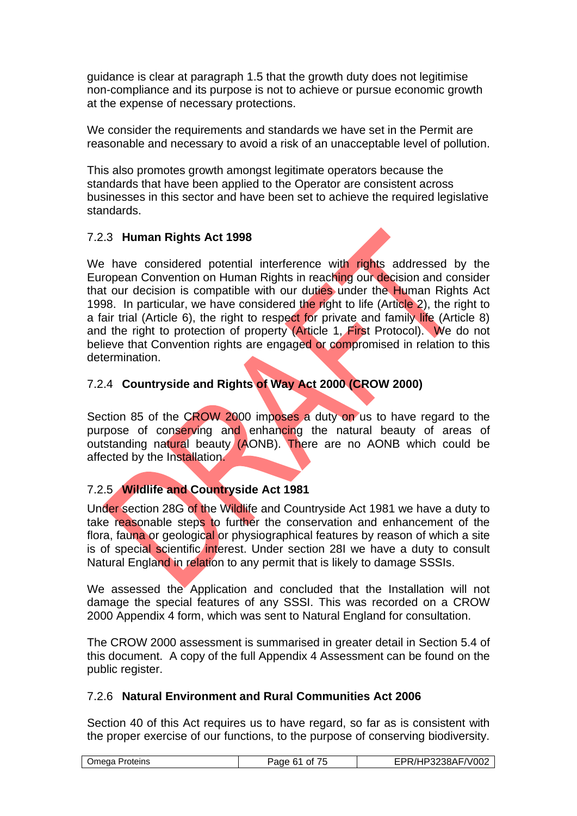guidance is clear at paragraph 1.5 that the growth duty does not legitimise non-compliance and its purpose is not to achieve or pursue economic growth at the expense of necessary protections.

We consider the requirements and standards we have set in the Permit are reasonable and necessary to avoid a risk of an unacceptable level of pollution.

This also promotes growth amongst legitimate operators because the standards that have been applied to the Operator are consistent across businesses in this sector and have been set to achieve the required legislative standards.

# 7.2.3 **Human Rights Act 1998**

We have considered potential interference with rights addressed by the European Convention on Human Rights in reaching our decision and consider that our decision is compatible with our duties under the Human Rights Act 1998. In particular, we have considered the right to life (Article 2), the right to a fair trial (Article 6), the right to respect for private and family life (Article 8) and the right to protection of property (Article 1, First Protocol). We do not believe that Convention rights are engaged or compromised in relation to this determination.

# 7.2.4 **Countryside and Rights of Way Act 2000 (CROW 2000)**

Section 85 of the CROW 2000 imposes a duty on us to have regard to the purpose of conserving and enhancing the natural beauty of areas of outstanding natural beauty (AONB). There are no AONB which could be affected by the Installation.

# 7.2.5 **Wildlife and Countryside Act 1981**

Under section 28G of the Wildlife and Countryside Act 1981 we have a duty to take reasonable steps to further the conservation and enhancement of the flora, fauna or geological or physiographical features by reason of which a site is of special scientific interest. Under section 28I we have a duty to consult Natural England in relation to any permit that is likely to damage SSSIs.

We assessed the Application and concluded that the Installation will not damage the special features of any SSSI. This was recorded on a CROW 2000 Appendix 4 form, which was sent to Natural England for consultation.

The CROW 2000 assessment is summarised in greater detail in Section 5.4 of this document. A copy of the full Appendix 4 Assessment can be found on the public register.

#### 7.2.6 **Natural Environment and Rural Communities Act 2006**

Section 40 of this Act requires us to have regard, so far as is consistent with the proper exercise of our functions, to the purpose of conserving biodiversity.

| Omega Proteins | .<br>Page 6.<br>Οt<br>1 L | '/HP3238AF/V002 |
|----------------|---------------------------|-----------------|
|                |                           |                 |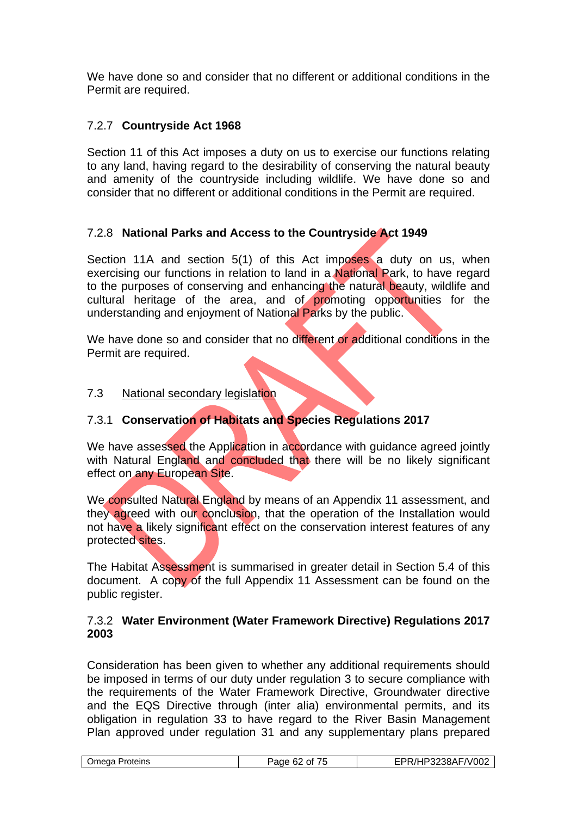We have done so and consider that no different or additional conditions in the Permit are required.

# 7.2.7 **Countryside Act 1968**

Section 11 of this Act imposes a duty on us to exercise our functions relating to any land, having regard to the desirability of conserving the natural beauty and amenity of the countryside including wildlife. We have done so and consider that no different or additional conditions in the Permit are required.

# 7.2.8 **National Parks and Access to the Countryside Act 1949**

Section 11A and section 5(1) of this Act imposes a duty on us, when exercising our functions in relation to land in a **National Park**, to have regard to the purposes of conserving and enhancing the natural beauty, wildlife and cultural heritage of the area, and of promoting opportunities for the understanding and enjoyment of National Parks by the public.

We have done so and consider that no different or additional conditions in the Permit are required.

#### 7.3 National secondary legislation

# 7.3.1 **Conservation of Habitats and Species Regulations 2017**

We have assessed the Application in accordance with guidance agreed jointly with Natural England and concluded that there will be no likely significant effect on any European Site.

We consulted Natural England by means of an Appendix 11 assessment, and they agreed with our conclusion, that the operation of the Installation would not have a likely significant effect on the conservation interest features of any protected sites.

The Habitat Assessment is summarised in greater detail in Section 5.4 of this document. A copy of the full Appendix 11 Assessment can be found on the public register.

#### 7.3.2 **Water Environment (Water Framework Directive) Regulations 2017 2003**

Consideration has been given to whether any additional requirements should be imposed in terms of our duty under regulation 3 to secure compliance with the requirements of the Water Framework Directive, Groundwater directive and the EQS Directive through (inter alia) environmental permits, and its obligation in regulation 33 to have regard to the River Basin Management Plan approved under regulation 31 and any supplementary plans prepared

|  | Omega Proteins | Paɑe<br>nt.<br>-62<br>. | P3238AF/V002<br>DD<br>7. J D<br>ПL. |
|--|----------------|-------------------------|-------------------------------------|
|--|----------------|-------------------------|-------------------------------------|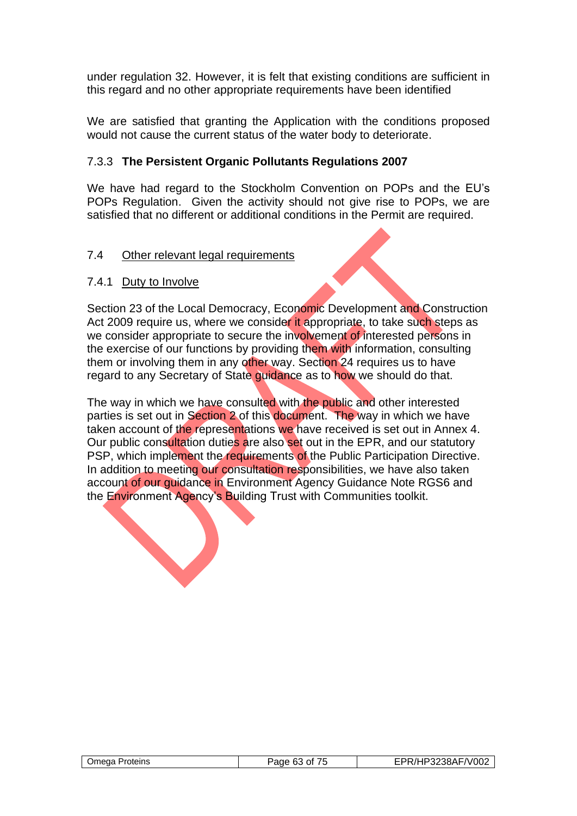under regulation 32. However, it is felt that existing conditions are sufficient in this regard and no other appropriate requirements have been identified

We are satisfied that granting the Application with the conditions proposed would not cause the current status of the water body to deteriorate.

# 7.3.3 **The Persistent Organic Pollutants Regulations 2007**

We have had regard to the Stockholm Convention on POPs and the EU's POPs Regulation. Given the activity should not give rise to POPs, we are satisfied that no different or additional conditions in the Permit are required.

## 7.4 Other relevant legal requirements

## 7.4.1 Duty to Involve

Section 23 of the Local Democracy, Economic Development and Construction Act 2009 require us, where we consider it appropriate, to take such steps as we consider appropriate to secure the involvement of interested persons in the exercise of our functions by providing them with information, consulting them or involving them in any other way. Section 24 requires us to have regard to any Secretary of State guidance as to how we should do that.

The way in which we have consulted with the public and other interested parties is set out in Section 2 of this document. The way in which we have taken account of the representations we have received is set out in Annex 4. Our public consultation duties are also set out in the EPR, and our statutory PSP, which implement the requirements of the Public Participation Directive. In addition to meeting our consultation responsibilities, we have also taken account of our guidance in Environment Agency Guidance Note RGS6 and the Environment Agency's Building Trust with Communities toolkit.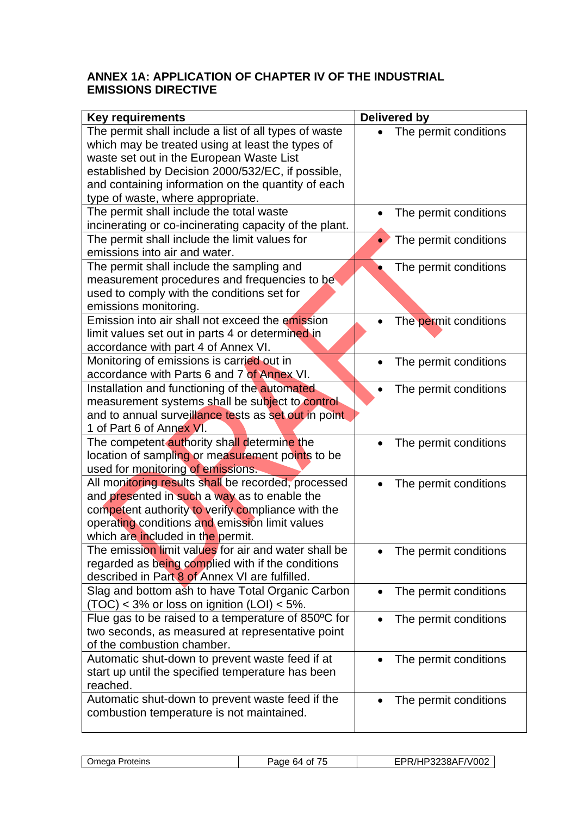# **ANNEX 1A: APPLICATION OF CHAPTER IV OF THE INDUSTRIAL EMISSIONS DIRECTIVE**

| <b>Key requirements</b>                                                                               | <b>Delivered by</b>   |
|-------------------------------------------------------------------------------------------------------|-----------------------|
| The permit shall include a list of all types of waste                                                 | The permit conditions |
| which may be treated using at least the types of                                                      |                       |
| waste set out in the European Waste List                                                              |                       |
| established by Decision 2000/532/EC, if possible,                                                     |                       |
| and containing information on the quantity of each                                                    |                       |
| type of waste, where appropriate.                                                                     |                       |
| The permit shall include the total waste                                                              | The permit conditions |
| incinerating or co-incinerating capacity of the plant.                                                |                       |
| The permit shall include the limit values for                                                         | The permit conditions |
| emissions into air and water.                                                                         |                       |
| The permit shall include the sampling and                                                             | The permit conditions |
| measurement procedures and frequencies to be                                                          |                       |
| used to comply with the conditions set for                                                            |                       |
| emissions monitoring.                                                                                 |                       |
| Emission into air shall not exceed the emission                                                       | The permit conditions |
| limit values set out in parts 4 or determined in                                                      |                       |
| accordance with part 4 of Annex VI.                                                                   |                       |
| Monitoring of emissions is carried out in                                                             | The permit conditions |
| accordance with Parts 6 and 7 of Annex VI.                                                            |                       |
| Installation and functioning of the automated                                                         | The permit conditions |
| measurement systems shall be subject to control                                                       |                       |
| and to annual surveillance tests as set out in point                                                  |                       |
| 1 of Part 6 of Annex VI.                                                                              |                       |
| The competent authority shall determine the                                                           | The permit conditions |
| location of sampling or measurement points to be                                                      |                       |
| used for monitoring of emissions.                                                                     |                       |
| All monitoring results shall be recorded, processed                                                   | The permit conditions |
| and presented in such a way as to enable the                                                          |                       |
| competent authority to verify compliance with the                                                     |                       |
| operating conditions and emission limit values                                                        |                       |
| which are included in the permit.<br>The emission limit values for air and water shall be             |                       |
|                                                                                                       | The permit conditions |
| regarded as being complied with if the conditions<br>described in Part 8 of Annex VI are fulfilled.   |                       |
|                                                                                                       |                       |
| Slag and bottom ash to have Total Organic Carbon<br>$(TOC) < 3\%$ or loss on ignition (LOI) $< 5\%$ . | The permit conditions |
| Flue gas to be raised to a temperature of 850°C for                                                   |                       |
| two seconds, as measured at representative point                                                      | The permit conditions |
| of the combustion chamber.                                                                            |                       |
| Automatic shut-down to prevent waste feed if at                                                       | The permit conditions |
| start up until the specified temperature has been                                                     |                       |
| reached.                                                                                              |                       |
| Automatic shut-down to prevent waste feed if the                                                      | The permit conditions |
| combustion temperature is not maintained.                                                             |                       |
|                                                                                                       |                       |

| Omega Proteins |
|----------------|
|                |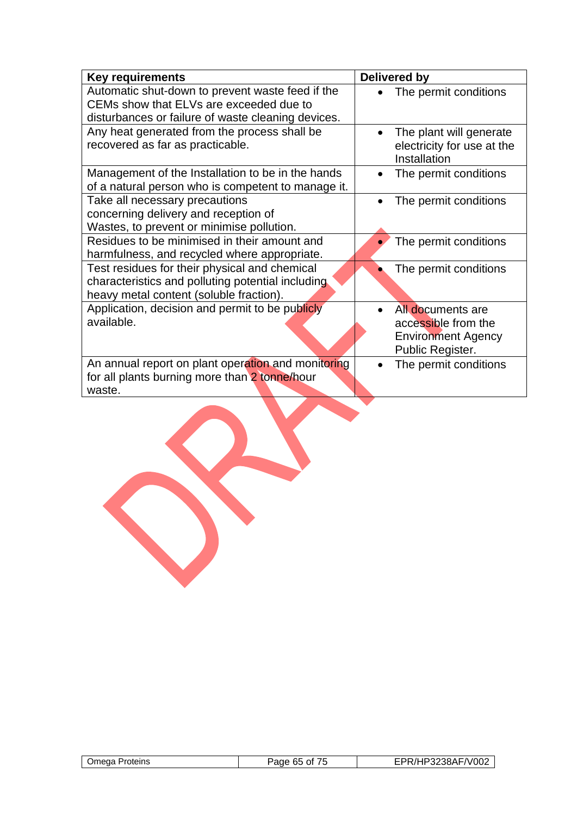| <b>Key requirements</b>                                                                                                                           | <b>Delivered by</b>                                                                       |
|---------------------------------------------------------------------------------------------------------------------------------------------------|-------------------------------------------------------------------------------------------|
| Automatic shut-down to prevent waste feed if the<br>CEMs show that ELVs are exceeded due to<br>disturbances or failure of waste cleaning devices. | The permit conditions                                                                     |
| Any heat generated from the process shall be<br>recovered as far as practicable.                                                                  | The plant will generate<br>electricity for use at the<br>Installation                     |
| Management of the Installation to be in the hands<br>of a natural person who is competent to manage it.                                           | The permit conditions                                                                     |
| Take all necessary precautions<br>concerning delivery and reception of<br>Wastes, to prevent or minimise pollution.                               | The permit conditions                                                                     |
| Residues to be minimised in their amount and<br>harmfulness, and recycled where appropriate.                                                      | The permit conditions                                                                     |
| Test residues for their physical and chemical<br>characteristics and polluting potential including<br>heavy metal content (soluble fraction).     | The permit conditions                                                                     |
| Application, decision and permit to be publicly<br>available.                                                                                     | All documents are<br>accessible from the<br><b>Environment Agency</b><br>Public Register. |
| An annual report on plant operation and monitoring<br>for all plants burning more than 2 tonne/hour<br>waste.                                     | The permit conditions                                                                     |

| Omega Proteins | 65<br>Page<br>0t<br>, J | P3238AF/V002 |
|----------------|-------------------------|--------------|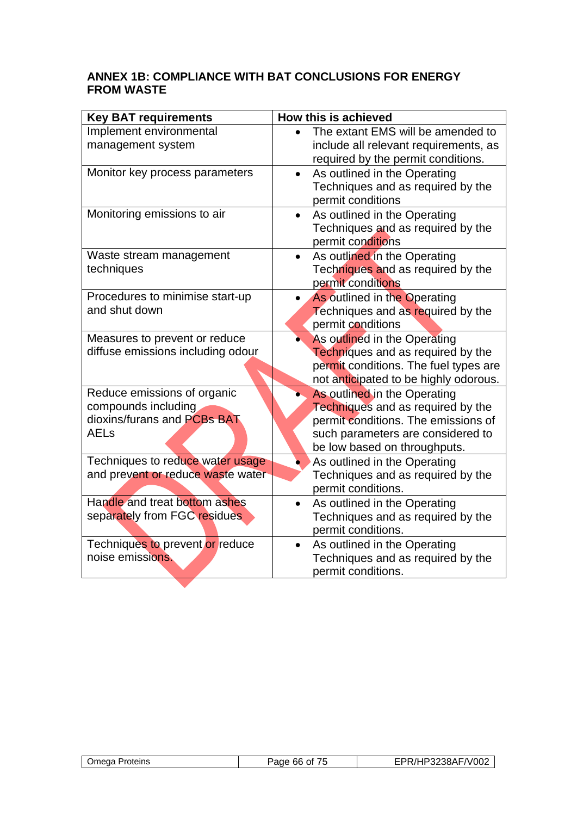# **ANNEX 1B: COMPLIANCE WITH BAT CONCLUSIONS FOR ENERGY FROM WASTE**

| <b>Key BAT requirements</b>       | How this is achieved                      |
|-----------------------------------|-------------------------------------------|
| Implement environmental           | The extant EMS will be amended to         |
| management system                 | include all relevant requirements, as     |
|                                   | required by the permit conditions.        |
| Monitor key process parameters    | As outlined in the Operating<br>$\bullet$ |
|                                   | Techniques and as required by the         |
|                                   | permit conditions                         |
| Monitoring emissions to air       | As outlined in the Operating              |
|                                   | Techniques and as required by the         |
|                                   | permit conditions                         |
| Waste stream management           | As outlined in the Operating<br>$\bullet$ |
| techniques                        | Techniques and as required by the         |
|                                   | permit conditions                         |
| Procedures to minimise start-up   | As outlined in the Operating              |
| and shut down                     | Techniques and as required by the         |
|                                   | permit conditions                         |
| Measures to prevent or reduce     | As outlined in the Operating              |
| diffuse emissions including odour | Techniques and as required by the         |
|                                   | permit conditions. The fuel types are     |
|                                   | not anticipated to be highly odorous.     |
| Reduce emissions of organic       | As outlined in the Operating              |
| compounds including               | Techniques and as required by the         |
| dioxins/furans and PCBs BAT       | permit conditions. The emissions of       |
| <b>AELs</b>                       | such parameters are considered to         |
|                                   | be low based on throughputs.              |
| Techniques to reduce water usage  | As outlined in the Operating              |
| and prevent or reduce waste water | Techniques and as required by the         |
|                                   | permit conditions.                        |
| Handle and treat bottom ashes     | As outlined in the Operating              |
| separately from FGC residues      | Techniques and as required by the         |
|                                   | permit conditions.                        |
| Techniques to prevent or reduce   | As outlined in the Operating              |
| noise emissions.                  | Techniques and as required by the         |
|                                   | permit conditions.                        |

| Omega<br>Proteins | Page 66 of | /HP3238AF/V002<br>`/L |
|-------------------|------------|-----------------------|
|                   |            |                       |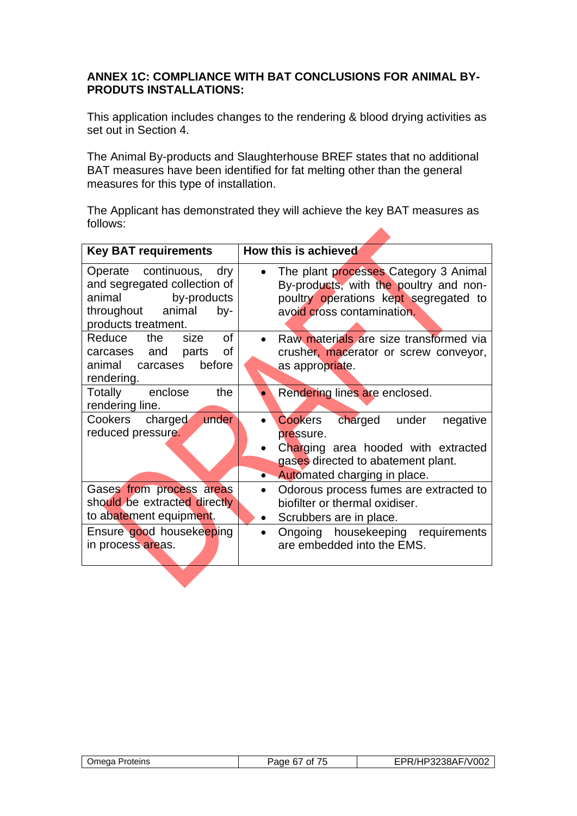# **ANNEX 1C: COMPLIANCE WITH BAT CONCLUSIONS FOR ANIMAL BY-PRODUTS INSTALLATIONS:**

This application includes changes to the rendering & blood drying activities as set out in Section 4.

The Animal By-products and Slaughterhouse BREF states that no additional BAT measures have been identified for fat melting other than the general measures for this type of installation.

The Applicant has demonstrated they will achieve the key BAT measures as follows:

| <b>Key BAT requirements</b>                                                                                                         | How this is achieved                                                                                                                                                        |
|-------------------------------------------------------------------------------------------------------------------------------------|-----------------------------------------------------------------------------------------------------------------------------------------------------------------------------|
| Operate continuous, dry<br>and segregated collection of<br>animal<br>by-products<br>throughout animal<br>by-<br>products treatment. | The plant processes Category 3 Animal<br>By-products, with the poultry and non-<br>poultry operations kept segregated to<br>avoid cross contamination.                      |
| <b>of</b><br>Reduce<br>the<br>size<br>of<br>carcases and parts<br>before<br>animal carcases<br>rendering.                           | Raw materials are size transformed via<br>crusher, macerator or screw conveyor,<br>as appropriate.                                                                          |
| the<br>Totally<br>enclose<br>rendering line.                                                                                        | Rendering lines are enclosed.                                                                                                                                               |
| under<br>Cookers charged<br>reduced pressure.                                                                                       | charged under<br>Cookers<br>negative<br>pressure.<br>Charging area hooded with extracted<br>gases directed to abatement plant.<br>Automated charging in place.<br>$\bullet$ |
| Gases from process areas<br>should be extracted directly<br>to abatement equipment.                                                 | Odorous process fumes are extracted to<br>$\bullet$<br>biofilter or thermal oxidiser.<br>Scrubbers are in place.<br>$\bullet$                                               |
| Ensure good housekeeping<br>in process areas.                                                                                       | Ongoing housekeeping requirements<br>are embedded into the EMS.                                                                                                             |

|  | Omega Proteins | Paqe<br>ി<br>67 | 3238AF/V002 |
|--|----------------|-----------------|-------------|
|--|----------------|-----------------|-------------|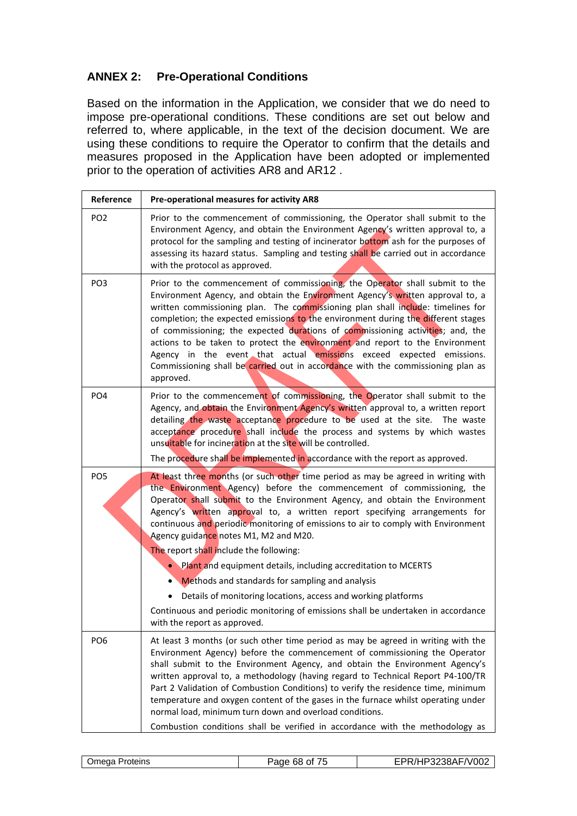# **ANNEX 2: Pre-Operational Conditions**

Based on the information in the Application, we consider that we do need to impose pre-operational conditions. These conditions are set out below and referred to, where applicable, in the text of the decision document. We are using these conditions to require the Operator to confirm that the details and measures proposed in the Application have been adopted or implemented prior to the operation of activities AR8 and AR12 .

| Reference       | Pre-operational measures for activity AR8                                                                                                                                                                                                                                                                                                                                                                                                                                                                                                                                                                                                                                                                                                                                                                     |
|-----------------|---------------------------------------------------------------------------------------------------------------------------------------------------------------------------------------------------------------------------------------------------------------------------------------------------------------------------------------------------------------------------------------------------------------------------------------------------------------------------------------------------------------------------------------------------------------------------------------------------------------------------------------------------------------------------------------------------------------------------------------------------------------------------------------------------------------|
| PO <sub>2</sub> | Prior to the commencement of commissioning, the Operator shall submit to the<br>Environment Agency, and obtain the Environment Agency's written approval to, a<br>protocol for the sampling and testing of incinerator bottom ash for the purposes of<br>assessing its hazard status. Sampling and testing shall be carried out in accordance<br>with the protocol as approved.                                                                                                                                                                                                                                                                                                                                                                                                                               |
| PO <sub>3</sub> | Prior to the commencement of commissioning, the Operator shall submit to the<br>Environment Agency, and obtain the Environment Agency's written approval to, a<br>written commissioning plan. The commissioning plan shall include: timelines for<br>completion; the expected emissions to the environment during the different stages<br>of commissioning; the expected durations of commissioning activities; and, the<br>actions to be taken to protect the environment and report to the Environment<br>Agency in the event that actual emissions exceed expected emissions.<br>Commissioning shall be carried out in accordance with the commissioning plan as<br>approved.                                                                                                                              |
| PO <sub>4</sub> | Prior to the commencement of commissioning, the Operator shall submit to the<br>Agency, and obtain the Environment Agency's written approval to, a written report<br>detailing the waste acceptance procedure to be used at the site. The waste<br>acceptance procedure shall include the process and systems by which wastes<br>unsuitable for incineration at the site will be controlled.<br>The procedure shall be implemented in accordance with the report as approved.                                                                                                                                                                                                                                                                                                                                 |
| PO <sub>5</sub> | At least three months (or such other time period as may be agreed in writing with<br>the Environment Agency) before the commencement of commissioning, the<br>Operator shall submit to the Environment Agency, and obtain the Environment<br>Agency's written approval to, a written report specifying arrangements for<br>continuous and periodic monitoring of emissions to air to comply with Environment<br>Agency guidance notes M1, M2 and M20.<br>The report shall include the following:<br>• Plant and equipment details, including accreditation to MCERTS<br>Methods and standards for sampling and analysis<br>Details of monitoring locations, access and working platforms<br>Continuous and periodic monitoring of emissions shall be undertaken in accordance<br>with the report as approved. |
| PO <sub>6</sub> | At least 3 months (or such other time period as may be agreed in writing with the<br>Environment Agency) before the commencement of commissioning the Operator<br>shall submit to the Environment Agency, and obtain the Environment Agency's<br>written approval to, a methodology (having regard to Technical Report P4-100/TR<br>Part 2 Validation of Combustion Conditions) to verify the residence time, minimum<br>temperature and oxygen content of the gases in the furnace whilst operating under<br>normal load, minimum turn down and overload conditions.<br>Combustion conditions shall be verified in accordance with the methodology as                                                                                                                                                        |

| Omega<br>Proteins | .<br>Page<br>ั ๆ<br>68.<br>Ωt | HP3238AF/V002 |
|-------------------|-------------------------------|---------------|
|                   |                               |               |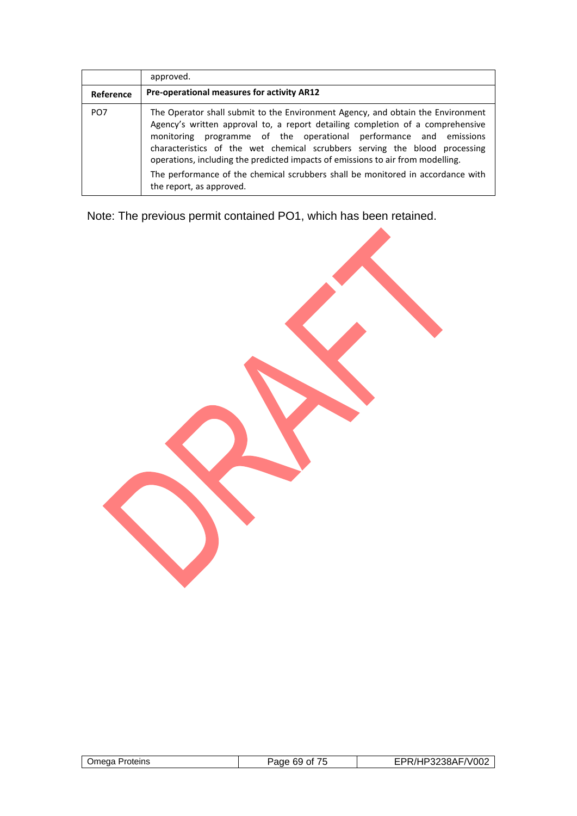|                 | approved.                                                                                                                                                                                                                                                                                                                                                                                                                                                                                                              |
|-----------------|------------------------------------------------------------------------------------------------------------------------------------------------------------------------------------------------------------------------------------------------------------------------------------------------------------------------------------------------------------------------------------------------------------------------------------------------------------------------------------------------------------------------|
| Reference       | Pre-operational measures for activity AR12                                                                                                                                                                                                                                                                                                                                                                                                                                                                             |
| PO <sub>7</sub> | The Operator shall submit to the Environment Agency, and obtain the Environment<br>Agency's written approval to, a report detailing completion of a comprehensive<br>monitoring programme of the operational performance and emissions<br>characteristics of the wet chemical scrubbers serving the blood processing<br>operations, including the predicted impacts of emissions to air from modelling.<br>The performance of the chemical scrubbers shall be monitored in accordance with<br>the report, as approved. |

Note: The previous permit contained PO1, which has been retained.

| Proteins<br>.)meda | ane,<br>Ωt<br>'nЧ | 'P3238AF/V002 |
|--------------------|-------------------|---------------|
|                    |                   |               |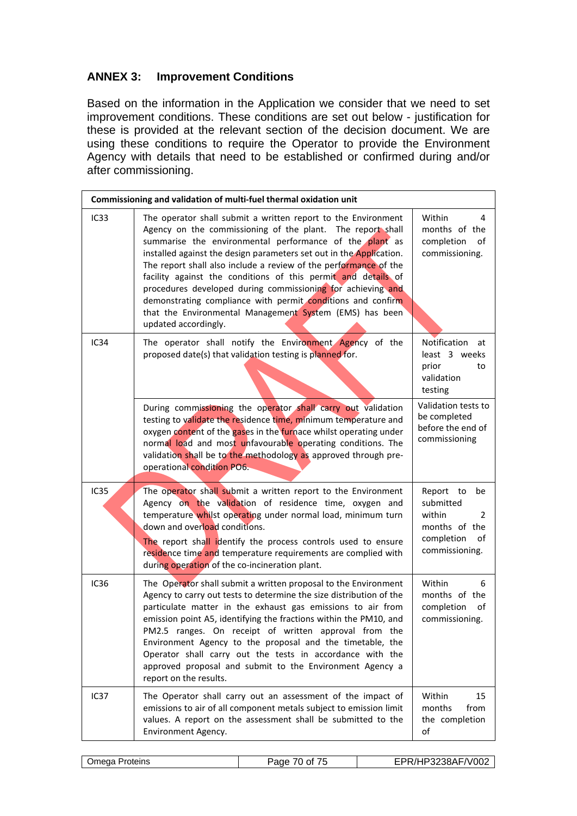# **ANNEX 3: Improvement Conditions**

Based on the information in the Application we consider that we need to set improvement conditions. These conditions are set out below - justification for these is provided at the relevant section of the decision document. We are using these conditions to require the Operator to provide the Environment Agency with details that need to be established or confirmed during and/or after commissioning.

|                  | Commissioning and validation of multi-fuel thermal oxidation unit                                                                                                                                                                                                                                                                                                                                                                                                                                                                                                                                                   |                                                                                                                 |
|------------------|---------------------------------------------------------------------------------------------------------------------------------------------------------------------------------------------------------------------------------------------------------------------------------------------------------------------------------------------------------------------------------------------------------------------------------------------------------------------------------------------------------------------------------------------------------------------------------------------------------------------|-----------------------------------------------------------------------------------------------------------------|
| IC33             | The operator shall submit a written report to the Environment<br>Agency on the commissioning of the plant. The report shall<br>summarise the environmental performance of the plant as<br>installed against the design parameters set out in the Application.<br>The report shall also include a review of the performance of the<br>facility against the conditions of this permit and details of<br>procedures developed during commissioning for achieving and<br>demonstrating compliance with permit conditions and confirm<br>that the Environmental Management System (EMS) has been<br>updated accordingly. | Within<br>4<br>months of the<br>completion<br>of<br>commissioning.                                              |
| IC34             | The operator shall notify the Environment Agency of the<br>proposed date(s) that validation testing is planned for.                                                                                                                                                                                                                                                                                                                                                                                                                                                                                                 | Notification<br>at<br>least 3 weeks<br>prior<br>to<br>validation<br>testing                                     |
|                  | During commissioning the operator shall carry out validation<br>testing to validate the residence time, minimum temperature and<br>oxygen content of the gases in the furnace whilst operating under<br>normal load and most unfavourable operating conditions. The<br>validation shall be to the methodology as approved through pre-<br>operational condition PO6.                                                                                                                                                                                                                                                | Validation tests to<br>be completed<br>before the end of<br>commissioning                                       |
| <b>IC35</b>      | The operator shall submit a written report to the Environment<br>Agency on the validation of residence time, oxygen and<br>temperature whilst operating under normal load, minimum turn<br>down and overload conditions.<br>The report shall identify the process controls used to ensure<br>residence time and temperature requirements are complied with<br>during operation of the co-incineration plant.                                                                                                                                                                                                        | Report to<br>be<br>submitted<br>within<br>$\overline{2}$<br>months of the<br>completion<br>of<br>commissioning. |
| IC <sub>36</sub> | The Operator shall submit a written proposal to the Environment<br>Agency to carry out tests to determine the size distribution of the<br>particulate matter in the exhaust gas emissions to air from<br>emission point A5, identifying the fractions within the PM10, and<br>PM2.5 ranges. On receipt of written approval from the<br>Environment Agency to the proposal and the timetable, the<br>Operator shall carry out the tests in accordance with the<br>approved proposal and submit to the Environment Agency a<br>report on the results.                                                                 | Within<br>6<br>months of the<br>completion<br>of<br>commissioning.                                              |
| IC <sub>37</sub> | The Operator shall carry out an assessment of the impact of<br>emissions to air of all component metals subject to emission limit<br>values. A report on the assessment shall be submitted to the<br>Environment Agency.                                                                                                                                                                                                                                                                                                                                                                                            | Within<br>15<br>from<br>months<br>the completion<br>of                                                          |

|  | <b>Omega Proteins</b> | $1 - r$<br>70 of<br>Page<br>$\overline{\phantom{a}}$ | EPR/HP3238AF/V002 |
|--|-----------------------|------------------------------------------------------|-------------------|
|--|-----------------------|------------------------------------------------------|-------------------|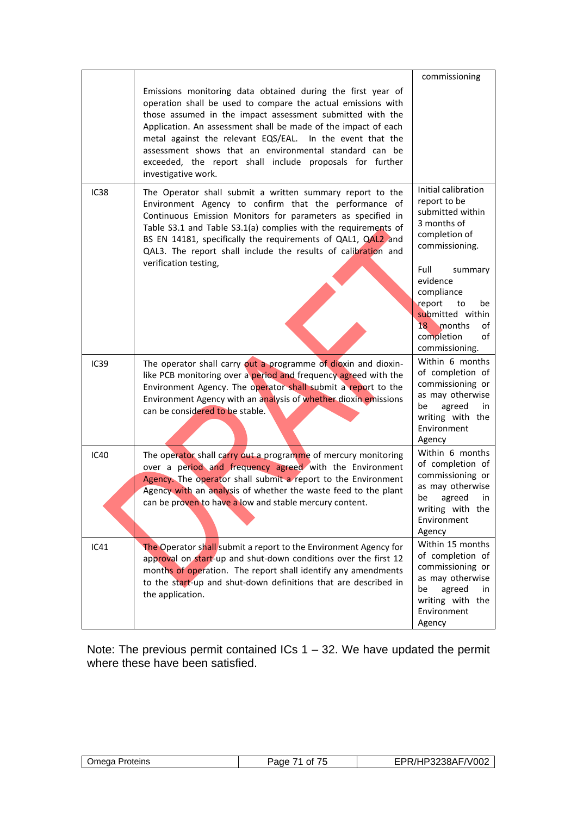|                  | Emissions monitoring data obtained during the first year of<br>operation shall be used to compare the actual emissions with<br>those assumed in the impact assessment submitted with the<br>Application. An assessment shall be made of the impact of each<br>metal against the relevant EQS/EAL. In the event that the<br>assessment shows that an environmental standard can be<br>exceeded, the report shall include proposals for further<br>investigative work. | commissioning                                                                                                                                   |
|------------------|----------------------------------------------------------------------------------------------------------------------------------------------------------------------------------------------------------------------------------------------------------------------------------------------------------------------------------------------------------------------------------------------------------------------------------------------------------------------|-------------------------------------------------------------------------------------------------------------------------------------------------|
| IC38             | The Operator shall submit a written summary report to the<br>Environment Agency to confirm that the performance of<br>Continuous Emission Monitors for parameters as specified in<br>Table S3.1 and Table S3.1(a) complies with the requirements of<br>BS EN 14181, specifically the requirements of QAL1, QAL2 and<br>QAL3. The report shall include the results of calibration and<br>verification testing,                                                        | Initial calibration<br>report to be<br>submitted within<br>3 months of<br>completion of<br>commissioning.                                       |
|                  |                                                                                                                                                                                                                                                                                                                                                                                                                                                                      | Full<br>summary<br>evidence<br>compliance<br>report<br>be<br>to<br>submitted within<br>18<br>months<br>οf<br>completion<br>of<br>commissioning. |
| IC <sub>39</sub> | The operator shall carry out a programme of dioxin and dioxin-<br>like PCB monitoring over a period and frequency agreed with the<br>Environment Agency. The operator shall submit a report to the<br>Environment Agency with an analysis of whether dioxin emissions<br>can be considered to be stable.                                                                                                                                                             | Within 6 months<br>of completion of<br>commissioning or<br>as may otherwise<br>be<br>agreed<br>in.<br>writing with the<br>Environment<br>Agency |
| <b>IC40</b>      | The operator shall carry out a programme of mercury monitoring<br>over a period and frequency agreed with the Environment<br>Agency. The operator shall submit a report to the Environment<br>Agency with an analysis of whether the waste feed to the plant<br>can be proven to have a low and stable mercury content.                                                                                                                                              | Within 6 months<br>of completion of<br>commissioning or<br>as may otherwise<br>be<br>agreed<br>in<br>writing with the<br>Environment<br>Agency  |
| IC41             | The Operator shall submit a report to the Environment Agency for<br>approval on start-up and shut-down conditions over the first 12<br>months of operation. The report shall identify any amendments<br>to the start-up and shut-down definitions that are described in<br>the application.                                                                                                                                                                          | Within 15 months<br>of completion of<br>commissioning or<br>as may otherwise<br>be<br>agreed<br>in<br>writing with the<br>Environment<br>Agency |

Note: The previous permit contained ICs 1 – 32. We have updated the permit where these have been satisfied.

| Proteins<br>)meaa | --<br>3000<br>Ωt<br>, ,<br>- 11 | $\sim$ 1000<br>$\sim$ $\sim$ $\sim$<br>'V∪∪≿<br>- 11<br>ີ<br>the contract of the contract of the contract of the contract of the contract of the contract of the contract of |
|-------------------|---------------------------------|------------------------------------------------------------------------------------------------------------------------------------------------------------------------------|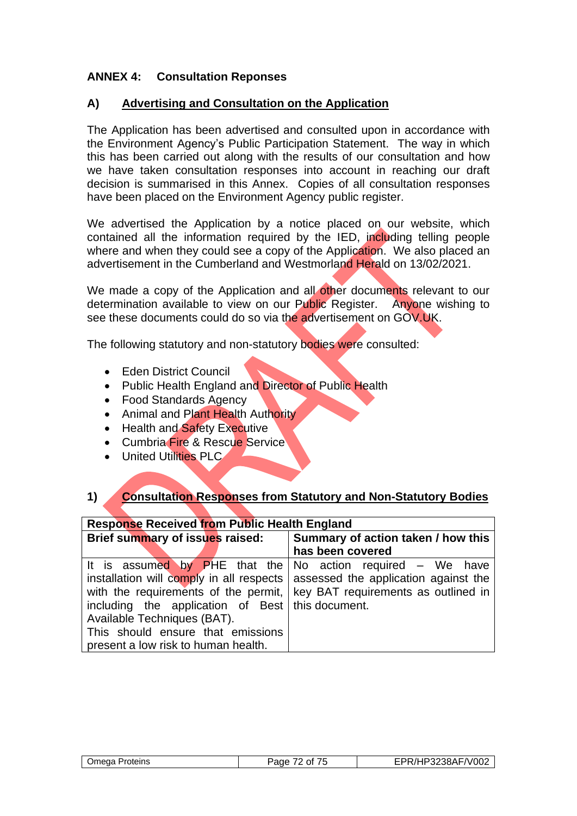# **ANNEX 4: Consultation Reponses**

## **A) Advertising and Consultation on the Application**

The Application has been advertised and consulted upon in accordance with the Environment Agency's Public Participation Statement. The way in which this has been carried out along with the results of our consultation and how we have taken consultation responses into account in reaching our draft decision is summarised in this Annex. Copies of all consultation responses have been placed on the Environment Agency public register.

We advertised the Application by a notice placed on our website, which contained all the information required by the IED, including telling people where and when they could see a copy of the Application. We also placed an advertisement in the Cumberland and Westmorland Herald on 13/02/2021.

We made a copy of the Application and all other documents relevant to our determination available to view on our Public Register. Anyone wishing to see these documents could do so via the advertisement on GOV.UK.

The following statutory and non-statutory bodies were consulted:

- Eden District Council
- Public Health England and Director of Public Health
- Food Standards Agency
- Animal and Plant Health Authority
- Health and Safety Executive
- Cumbria Fire & Rescue Service
- United Utilities PLC

# **1) Consultation Responses from Statutory and Non-Statutory Bodies**

| <b>Response Received from Public Health England</b>                                                                                                                                                                                                                                                            |                                                                            |  |  |  |
|----------------------------------------------------------------------------------------------------------------------------------------------------------------------------------------------------------------------------------------------------------------------------------------------------------------|----------------------------------------------------------------------------|--|--|--|
| Brief summary of issues raised:                                                                                                                                                                                                                                                                                | Summary of action taken / how this<br>has been covered                     |  |  |  |
| It is assumed by PHE that the No action required – We have<br>installation will comply in all respects   assessed the application against the<br>including the application of Best   this document.<br>Available Techniques (BAT).<br>This should ensure that emissions<br>present a low risk to human health. | with the requirements of the permit,   key BAT requirements as outlined in |  |  |  |

| Omega Proteins | ---<br>Page<br>ΩŤ | HP3238AF/V002 |
|----------------|-------------------|---------------|
|                |                   |               |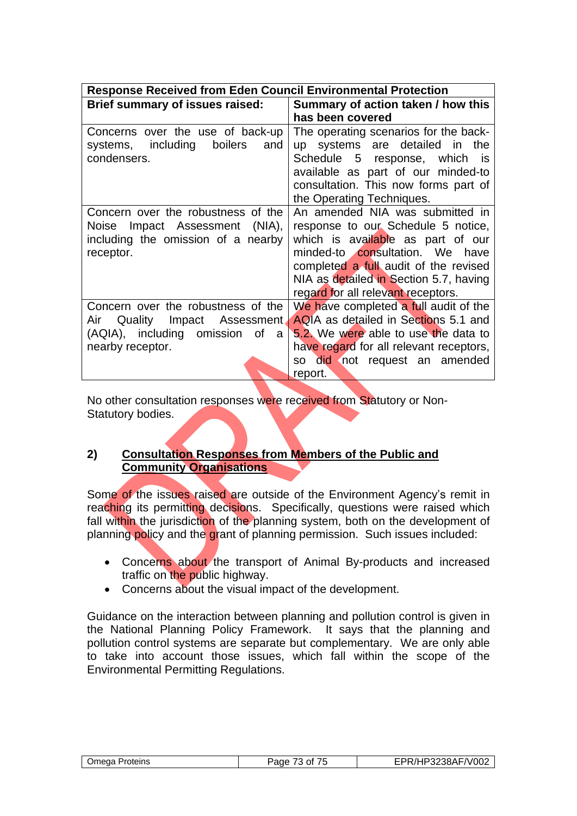| <b>Response Received from Eden Council Environmental Protection</b>                                                                 |                                                                                                                                                                                                                                                                        |  |  |
|-------------------------------------------------------------------------------------------------------------------------------------|------------------------------------------------------------------------------------------------------------------------------------------------------------------------------------------------------------------------------------------------------------------------|--|--|
| Brief summary of issues raised:                                                                                                     | Summary of action taken / how this                                                                                                                                                                                                                                     |  |  |
|                                                                                                                                     | has been covered                                                                                                                                                                                                                                                       |  |  |
| Concerns over the use of back-up<br>systems, including<br>boilers<br>and<br>condensers.                                             | The operating scenarios for the back-<br>up systems are detailed in<br>the<br>Schedule 5 response, which<br>is<br>available as part of our minded-to<br>consultation. This now forms part of<br>the Operating Techniques.                                              |  |  |
| Concern over the robustness of the<br>Impact Assessment (NIA),<br>Noise<br>including the omission of a nearby<br>receptor.          | An amended NIA was submitted in<br>response to our Schedule 5 notice,<br>which is available as part of our<br>minded-to consultation. We have<br>completed a full audit of the revised<br>NIA as detailed in Section 5.7, having<br>regard for all relevant receptors. |  |  |
| Concern over the robustness of the<br>Quality Impact Assessment<br>Air<br>(AQIA), including omission<br>0f<br>a<br>nearby receptor. | We have completed a full audit of the<br>AQIA as detailed in Sections 5.1 and<br>5.2. We were able to use the data to<br>have regard for all relevant receptors,<br>did not request an amended<br>SO -<br>report.                                                      |  |  |

No other consultation responses were received from Statutory or Non-Statutory bodies.

## **2) Consultation Responses from Members of the Public and Community Organisations**

Some of the issues raised are outside of the Environment Agency's remit in reaching its permitting decisions. Specifically, questions were raised which fall within the jurisdiction of the planning system, both on the development of planning policy and the grant of planning permission. Such issues included:

- Concerns about the transport of Animal By-products and increased traffic on the public highway.
- Concerns about the visual impact of the development.

Guidance on the interaction between planning and pollution control is given in the National Planning Policy Framework. It says that the planning and pollution control systems are separate but complementary. We are only able to take into account those issues, which fall within the scope of the Environmental Permitting Regulations.

| )mega<br>Proteins | $ -$<br>'ane<br>Ωt<br>. | <sup>2</sup> 3238AF/V002<br>- 71 |
|-------------------|-------------------------|----------------------------------|
|                   |                         |                                  |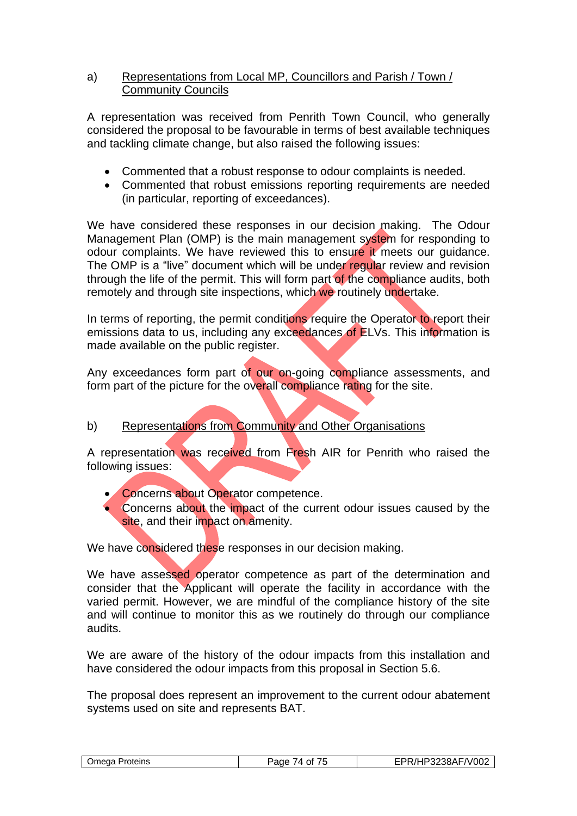## a) Representations from Local MP, Councillors and Parish / Town / Community Councils

A representation was received from Penrith Town Council, who generally considered the proposal to be favourable in terms of best available techniques and tackling climate change, but also raised the following issues:

- Commented that a robust response to odour complaints is needed.
- Commented that robust emissions reporting requirements are needed (in particular, reporting of exceedances).

We have considered these responses in our decision making. The Odour Management Plan (OMP) is the main management system for responding to odour complaints. We have reviewed this to ensure it meets our quidance. The OMP is a "live" document which will be under regular review and revision through the life of the permit. This will form part of the compliance audits, both remotely and through site inspections, which we routinely undertake.

In terms of reporting, the permit conditions require the Operator to report their emissions data to us, including any exceedances of ELVs. This information is made available on the public register.

Any exceedances form part of our on-going compliance assessments, and form part of the picture for the overall compliance rating for the site.

## b) Representations from Community and Other Organisations

A representation was received from Fresh AIR for Penrith who raised the following issues:

- Concerns about Operator competence.
- Concerns about the impact of the current odour issues caused by the site, and their impact on amenity.

We have considered these responses in our decision making.

We have assessed operator competence as part of the determination and consider that the Applicant will operate the facility in accordance with the varied permit. However, we are mindful of the compliance history of the site and will continue to monitor this as we routinely do through our compliance audits.

We are aware of the history of the odour impacts from this installation and have considered the odour impacts from this proposal in Section 5.6.

The proposal does represent an improvement to the current odour abatement systems used on site and represents BAT.